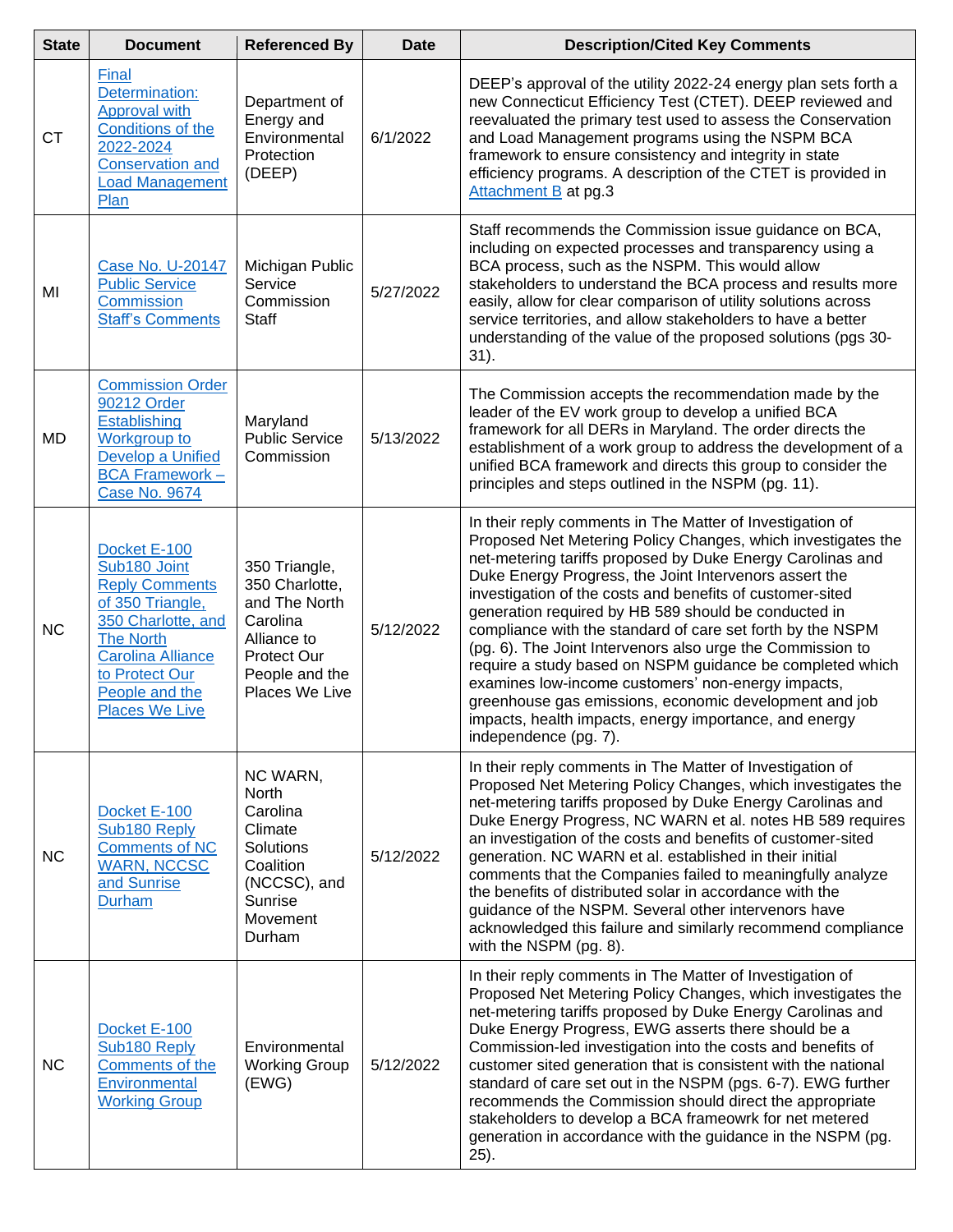| <b>State</b> | <b>Document</b>                                                                                                                                                                                              | <b>Referenced By</b>                                                                                                                  | <b>Date</b> | <b>Description/Cited Key Comments</b>                                                                                                                                                                                                                                                                                                                                                                                                                                                                                                                                                                                                                                                                                                                              |
|--------------|--------------------------------------------------------------------------------------------------------------------------------------------------------------------------------------------------------------|---------------------------------------------------------------------------------------------------------------------------------------|-------------|--------------------------------------------------------------------------------------------------------------------------------------------------------------------------------------------------------------------------------------------------------------------------------------------------------------------------------------------------------------------------------------------------------------------------------------------------------------------------------------------------------------------------------------------------------------------------------------------------------------------------------------------------------------------------------------------------------------------------------------------------------------------|
| CT           | Final<br>Determination:<br>Approval with<br>Conditions of the<br>2022-2024<br><b>Conservation and</b><br><b>Load Management</b><br>Plan                                                                      | Department of<br>Energy and<br>Environmental<br>Protection<br>(DEEP)                                                                  | 6/1/2022    | DEEP's approval of the utility 2022-24 energy plan sets forth a<br>new Connecticut Efficiency Test (CTET). DEEP reviewed and<br>reevaluated the primary test used to assess the Conservation<br>and Load Management programs using the NSPM BCA<br>framework to ensure consistency and integrity in state<br>efficiency programs. A description of the CTET is provided in<br>Attachment B at pg.3                                                                                                                                                                                                                                                                                                                                                                 |
| MI           | Case No. U-20147<br><b>Public Service</b><br>Commission<br><b>Staff's Comments</b>                                                                                                                           | Michigan Public<br>Service<br>Commission<br><b>Staff</b>                                                                              | 5/27/2022   | Staff recommends the Commission issue guidance on BCA,<br>including on expected processes and transparency using a<br>BCA process, such as the NSPM. This would allow<br>stakeholders to understand the BCA process and results more<br>easily, allow for clear comparison of utility solutions across<br>service territories, and allow stakeholders to have a better<br>understanding of the value of the proposed solutions (pgs 30-<br>31).                                                                                                                                                                                                                                                                                                                    |
| <b>MD</b>    | <b>Commission Order</b><br>90212 Order<br>Establishing<br>Workgroup to<br>Develop a Unified<br><b>BCA Framework -</b><br><b>Case No. 9674</b>                                                                | Maryland<br><b>Public Service</b><br>Commission                                                                                       | 5/13/2022   | The Commission accepts the recommendation made by the<br>leader of the EV work group to develop a unified BCA<br>framework for all DERs in Maryland. The order directs the<br>establishment of a work group to address the development of a<br>unified BCA framework and directs this group to consider the<br>principles and steps outlined in the NSPM (pg. 11).                                                                                                                                                                                                                                                                                                                                                                                                 |
| <b>NC</b>    | Docket E-100<br>Sub180 Joint<br><b>Reply Comments</b><br>of 350 Triangle,<br>350 Charlotte, and<br><b>The North</b><br><b>Carolina Alliance</b><br>to Protect Our<br>People and the<br><b>Places We Live</b> | 350 Triangle,<br>350 Charlotte,<br>and The North<br>Carolina<br>Alliance to<br><b>Protect Our</b><br>People and the<br>Places We Live | 5/12/2022   | In their reply comments in The Matter of Investigation of<br>Proposed Net Metering Policy Changes, which investigates the<br>net-metering tariffs proposed by Duke Energy Carolinas and<br>Duke Energy Progress, the Joint Intervenors assert the<br>investigation of the costs and benefits of customer-sited<br>generation required by HB 589 should be conducted in<br>compliance with the standard of care set forth by the NSPM<br>(pg. 6). The Joint Intervenors also urge the Commission to<br>require a study based on NSPM guidance be completed which<br>examines low-income customers' non-energy impacts,<br>greenhouse gas emissions, economic development and job<br>impacts, health impacts, energy importance, and energy<br>independence (pg. 7). |
| <b>NC</b>    | Docket E-100<br>Sub180 Reply<br><b>Comments of NC</b><br><b>WARN, NCCSC</b><br>and Sunrise<br><b>Durham</b>                                                                                                  | NC WARN,<br>North<br>Carolina<br>Climate<br>Solutions<br>Coalition<br>(NCCSC), and<br>Sunrise<br>Movement<br>Durham                   | 5/12/2022   | In their reply comments in The Matter of Investigation of<br>Proposed Net Metering Policy Changes, which investigates the<br>net-metering tariffs proposed by Duke Energy Carolinas and<br>Duke Energy Progress, NC WARN et al. notes HB 589 requires<br>an investigation of the costs and benefits of customer-sited<br>generation. NC WARN et al. established in their initial<br>comments that the Companies failed to meaningfully analyze<br>the benefits of distributed solar in accordance with the<br>guidance of the NSPM. Several other intervenors have<br>acknowledged this failure and similarly recommend compliance<br>with the NSPM (pg. 8).                                                                                                       |
| <b>NC</b>    | Docket E-100<br>Sub180 Reply<br>Comments of the<br>Environmental<br><b>Working Group</b>                                                                                                                     | Environmental<br><b>Working Group</b><br>(EWG)                                                                                        | 5/12/2022   | In their reply comments in The Matter of Investigation of<br>Proposed Net Metering Policy Changes, which investigates the<br>net-metering tariffs proposed by Duke Energy Carolinas and<br>Duke Energy Progress, EWG asserts there should be a<br>Commission-led investigation into the costs and benefits of<br>customer sited generation that is consistent with the national<br>standard of care set out in the NSPM (pgs. 6-7). EWG further<br>recommends the Commission should direct the appropriate<br>stakeholders to develop a BCA frameowrk for net metered<br>generation in accordance with the guidance in the NSPM (pg.<br>$25$ ).                                                                                                                    |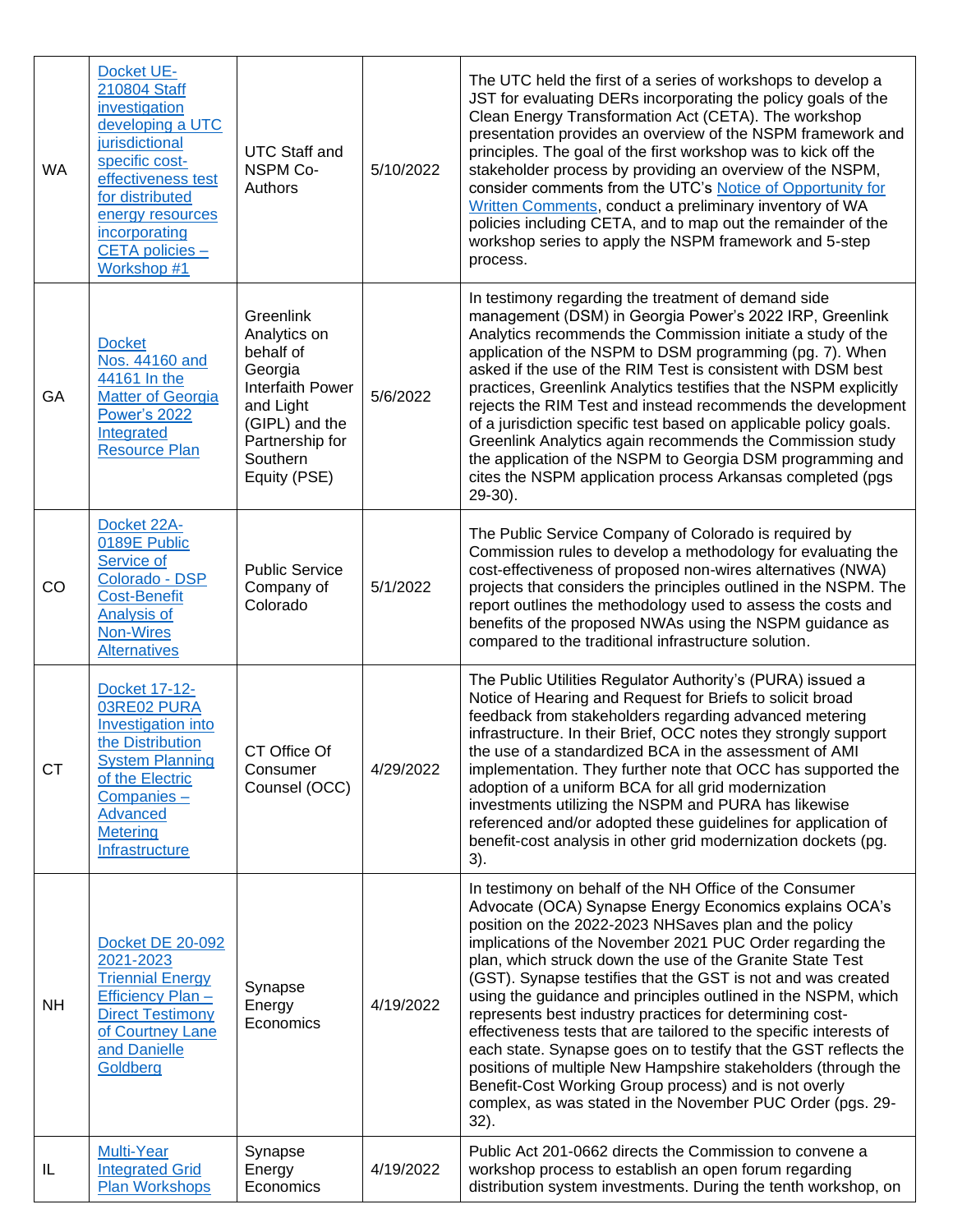| <b>WA</b> | Docket UE-<br>210804 Staff<br>investigation<br>developing a UTC<br>jurisdictional<br>specific cost-<br>effectiveness test<br>for distributed<br>energy resources<br>incorporating<br>CETA policies -<br>Workshop #1 | <b>UTC Staff and</b><br><b>NSPM Co-</b><br>Authors                                                                                                         | 5/10/2022 | The UTC held the first of a series of workshops to develop a<br>JST for evaluating DERs incorporating the policy goals of the<br>Clean Energy Transformation Act (CETA). The workshop<br>presentation provides an overview of the NSPM framework and<br>principles. The goal of the first workshop was to kick off the<br>stakeholder process by providing an overview of the NSPM,<br>consider comments from the UTC's Notice of Opportunity for<br>Written Comments, conduct a preliminary inventory of WA<br>policies including CETA, and to map out the remainder of the<br>workshop series to apply the NSPM framework and 5-step<br>process.                                                                                                                                                                                             |
|-----------|---------------------------------------------------------------------------------------------------------------------------------------------------------------------------------------------------------------------|------------------------------------------------------------------------------------------------------------------------------------------------------------|-----------|------------------------------------------------------------------------------------------------------------------------------------------------------------------------------------------------------------------------------------------------------------------------------------------------------------------------------------------------------------------------------------------------------------------------------------------------------------------------------------------------------------------------------------------------------------------------------------------------------------------------------------------------------------------------------------------------------------------------------------------------------------------------------------------------------------------------------------------------|
| GA        | <b>Docket</b><br>Nos. 44160 and<br>44161 In the<br><b>Matter of Georgia</b><br><b>Power's 2022</b><br>Integrated<br><b>Resource Plan</b>                                                                            | Greenlink<br>Analytics on<br>behalf of<br>Georgia<br><b>Interfaith Power</b><br>and Light<br>(GIPL) and the<br>Partnership for<br>Southern<br>Equity (PSE) | 5/6/2022  | In testimony regarding the treatment of demand side<br>management (DSM) in Georgia Power's 2022 IRP, Greenlink<br>Analytics recommends the Commission initiate a study of the<br>application of the NSPM to DSM programming (pg. 7). When<br>asked if the use of the RIM Test is consistent with DSM best<br>practices, Greenlink Analytics testifies that the NSPM explicitly<br>rejects the RIM Test and instead recommends the development<br>of a jurisdiction specific test based on applicable policy goals.<br>Greenlink Analytics again recommends the Commission study<br>the application of the NSPM to Georgia DSM programming and<br>cites the NSPM application process Arkansas completed (pgs)<br>$29-30$ ).                                                                                                                     |
| CO        | Docket 22A-<br>0189E Public<br>Service of<br>Colorado - DSP<br><b>Cost-Benefit</b><br>Analysis of<br><b>Non-Wires</b><br><b>Alternatives</b>                                                                        | <b>Public Service</b><br>Company of<br>Colorado                                                                                                            | 5/1/2022  | The Public Service Company of Colorado is required by<br>Commission rules to develop a methodology for evaluating the<br>cost-effectiveness of proposed non-wires alternatives (NWA)<br>projects that considers the principles outlined in the NSPM. The<br>report outlines the methodology used to assess the costs and<br>benefits of the proposed NWAs using the NSPM guidance as<br>compared to the traditional infrastructure solution.                                                                                                                                                                                                                                                                                                                                                                                                   |
| <b>CT</b> | Docket 17-12-<br>03RE02 PURA<br><b>Investigation into</b><br>the Distribution<br><b>System Planning</b><br>of the Electric<br>Companies-<br>Advanced<br><b>Metering</b><br>Infrastructure                           | CT Office Of<br>Consumer<br>Counsel (OCC)                                                                                                                  | 4/29/2022 | The Public Utilities Regulator Authority's (PURA) issued a<br>Notice of Hearing and Request for Briefs to solicit broad<br>feedback from stakeholders regarding advanced metering<br>infrastructure. In their Brief, OCC notes they strongly support<br>the use of a standardized BCA in the assessment of AMI<br>implementation. They further note that OCC has supported the<br>adoption of a uniform BCA for all grid modernization<br>investments utilizing the NSPM and PURA has likewise<br>referenced and/or adopted these guidelines for application of<br>benefit-cost analysis in other grid modernization dockets (pg.<br>3).                                                                                                                                                                                                       |
| <b>NH</b> | <b>Docket DE 20-092</b><br>2021-2023<br><b>Triennial Energy</b><br>Efficiency Plan -<br><b>Direct Testimony</b><br>of Courtney Lane<br>and Danielle<br>Goldberg                                                     | Synapse<br>Energy<br>Economics                                                                                                                             | 4/19/2022 | In testimony on behalf of the NH Office of the Consumer<br>Advocate (OCA) Synapse Energy Economics explains OCA's<br>position on the 2022-2023 NHSaves plan and the policy<br>implications of the November 2021 PUC Order regarding the<br>plan, which struck down the use of the Granite State Test<br>(GST). Synapse testifies that the GST is not and was created<br>using the guidance and principles outlined in the NSPM, which<br>represents best industry practices for determining cost-<br>effectiveness tests that are tailored to the specific interests of<br>each state. Synapse goes on to testify that the GST reflects the<br>positions of multiple New Hampshire stakeholders (through the<br>Benefit-Cost Working Group process) and is not overly<br>complex, as was stated in the November PUC Order (pgs. 29-<br>$32$ ). |
| IL        | <b>Multi-Year</b><br><b>Integrated Grid</b><br><b>Plan Workshops</b>                                                                                                                                                | Synapse<br>Energy<br>Economics                                                                                                                             | 4/19/2022 | Public Act 201-0662 directs the Commission to convene a<br>workshop process to establish an open forum regarding<br>distribution system investments. During the tenth workshop, on                                                                                                                                                                                                                                                                                                                                                                                                                                                                                                                                                                                                                                                             |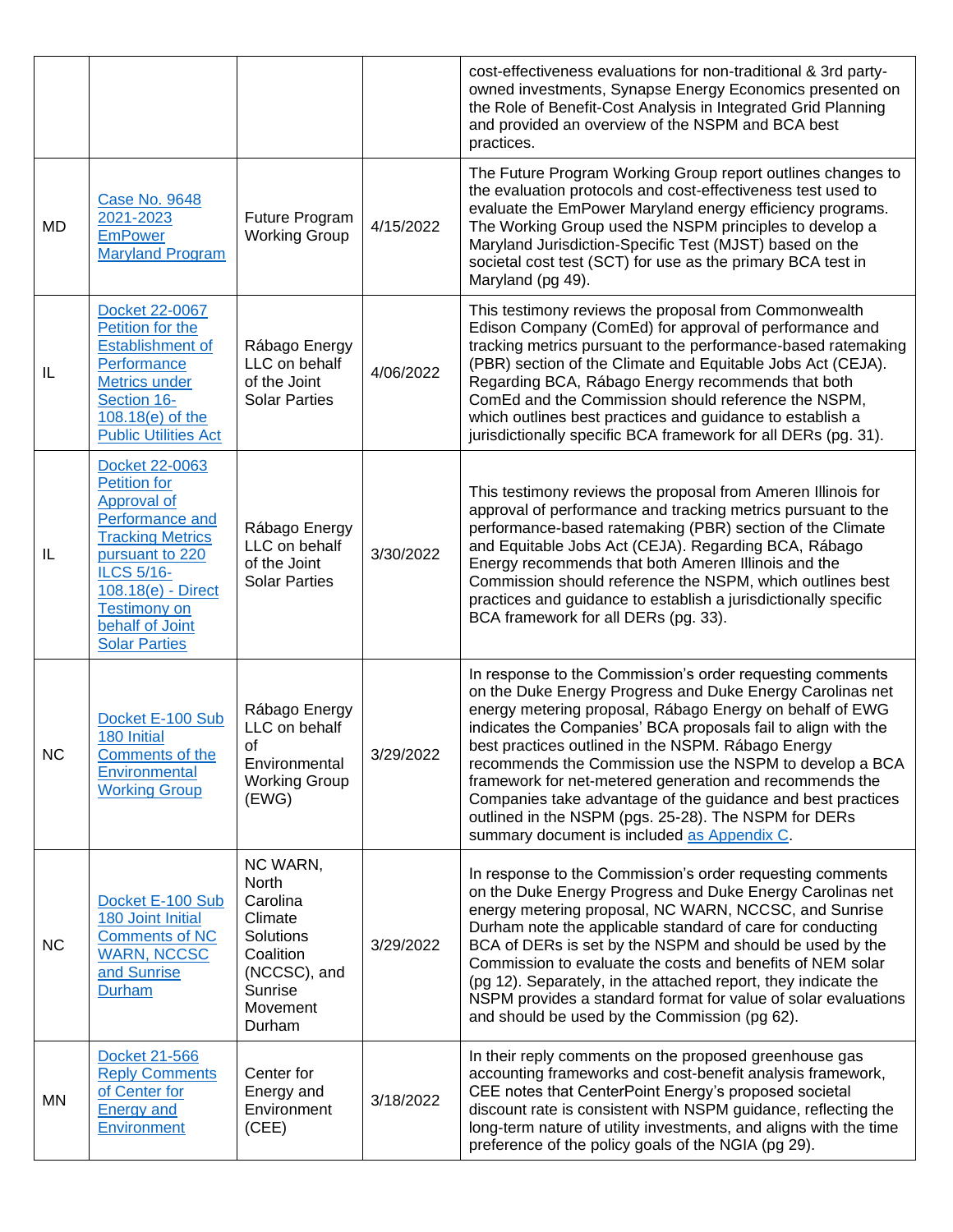|           |                                                                                                                                                                                                                                    |                                                                                                                     |           | cost-effectiveness evaluations for non-traditional & 3rd party-<br>owned investments, Synapse Energy Economics presented on<br>the Role of Benefit-Cost Analysis in Integrated Grid Planning<br>and provided an overview of the NSPM and BCA best<br>practices.                                                                                                                                                                                                                                                                                                                                       |
|-----------|------------------------------------------------------------------------------------------------------------------------------------------------------------------------------------------------------------------------------------|---------------------------------------------------------------------------------------------------------------------|-----------|-------------------------------------------------------------------------------------------------------------------------------------------------------------------------------------------------------------------------------------------------------------------------------------------------------------------------------------------------------------------------------------------------------------------------------------------------------------------------------------------------------------------------------------------------------------------------------------------------------|
| MD        | <b>Case No. 9648</b><br>2021-2023<br><b>EmPower</b><br><b>Maryland Program</b>                                                                                                                                                     | Future Program<br><b>Working Group</b>                                                                              | 4/15/2022 | The Future Program Working Group report outlines changes to<br>the evaluation protocols and cost-effectiveness test used to<br>evaluate the EmPower Maryland energy efficiency programs.<br>The Working Group used the NSPM principles to develop a<br>Maryland Jurisdiction-Specific Test (MJST) based on the<br>societal cost test (SCT) for use as the primary BCA test in<br>Maryland (pg 49).                                                                                                                                                                                                    |
| IL        | Docket 22-0067<br>Petition for the<br><b>Establishment of</b><br>Performance<br><b>Metrics under</b><br>Section 16-<br>108.18(e) of the<br><b>Public Utilities Act</b>                                                             | Rábago Energy<br>LLC on behalf<br>of the Joint<br><b>Solar Parties</b>                                              | 4/06/2022 | This testimony reviews the proposal from Commonwealth<br>Edison Company (ComEd) for approval of performance and<br>tracking metrics pursuant to the performance-based ratemaking<br>(PBR) section of the Climate and Equitable Jobs Act (CEJA).<br>Regarding BCA, Rábago Energy recommends that both<br>ComEd and the Commission should reference the NSPM,<br>which outlines best practices and guidance to establish a<br>jurisdictionally specific BCA framework for all DERs (pg. 31).                                                                                                            |
| IL        | Docket 22-0063<br><b>Petition for</b><br>Approval of<br>Performance and<br><b>Tracking Metrics</b><br>pursuant to 220<br><b>ILCS 5/16-</b><br>108.18(e) - Direct<br><b>Testimony on</b><br>behalf of Joint<br><b>Solar Parties</b> | Rábago Energy<br>LLC on behalf<br>of the Joint<br><b>Solar Parties</b>                                              | 3/30/2022 | This testimony reviews the proposal from Ameren Illinois for<br>approval of performance and tracking metrics pursuant to the<br>performance-based ratemaking (PBR) section of the Climate<br>and Equitable Jobs Act (CEJA). Regarding BCA, Rábago<br>Energy recommends that both Ameren Illinois and the<br>Commission should reference the NSPM, which outlines best<br>practices and guidance to establish a jurisdictionally specific<br>BCA framework for all DERs (pg. 33).                                                                                                                      |
| <b>NC</b> | Docket E-100 Sub<br>180 Initial<br>Comments of the<br>Environmental<br><b>Working Group</b>                                                                                                                                        | Rábago Energy<br>LLC on behalf<br>of<br>Environmental<br><b>Working Group</b><br>(EWG)                              | 3/29/2022 | In response to the Commission's order requesting comments<br>on the Duke Energy Progress and Duke Energy Carolinas net<br>energy metering proposal, Rábago Energy on behalf of EWG<br>indicates the Companies' BCA proposals fail to align with the<br>best practices outlined in the NSPM. Rábago Energy<br>recommends the Commission use the NSPM to develop a BCA<br>framework for net-metered generation and recommends the<br>Companies take advantage of the guidance and best practices<br>outlined in the NSPM (pgs. 25-28). The NSPM for DERs<br>summary document is included as Appendix C. |
| <b>NC</b> | Docket E-100 Sub<br>180 Joint Initial<br><b>Comments of NC</b><br><b>WARN, NCCSC</b><br>and Sunrise<br><b>Durham</b>                                                                                                               | NC WARN,<br>North<br>Carolina<br>Climate<br>Solutions<br>Coalition<br>(NCCSC), and<br>Sunrise<br>Movement<br>Durham | 3/29/2022 | In response to the Commission's order requesting comments<br>on the Duke Energy Progress and Duke Energy Carolinas net<br>energy metering proposal, NC WARN, NCCSC, and Sunrise<br>Durham note the applicable standard of care for conducting<br>BCA of DERs is set by the NSPM and should be used by the<br>Commission to evaluate the costs and benefits of NEM solar<br>(pg 12). Separately, in the attached report, they indicate the<br>NSPM provides a standard format for value of solar evaluations<br>and should be used by the Commission (pg 62).                                          |
| MN        | Docket 21-566<br><b>Reply Comments</b><br>of Center for<br><b>Energy and</b><br>Environment                                                                                                                                        | Center for<br>Energy and<br>Environment<br>(CEE)                                                                    | 3/18/2022 | In their reply comments on the proposed greenhouse gas<br>accounting frameworks and cost-benefit analysis framework,<br>CEE notes that CenterPoint Energy's proposed societal<br>discount rate is consistent with NSPM guidance, reflecting the<br>long-term nature of utility investments, and aligns with the time<br>preference of the policy goals of the NGIA (pg 29).                                                                                                                                                                                                                           |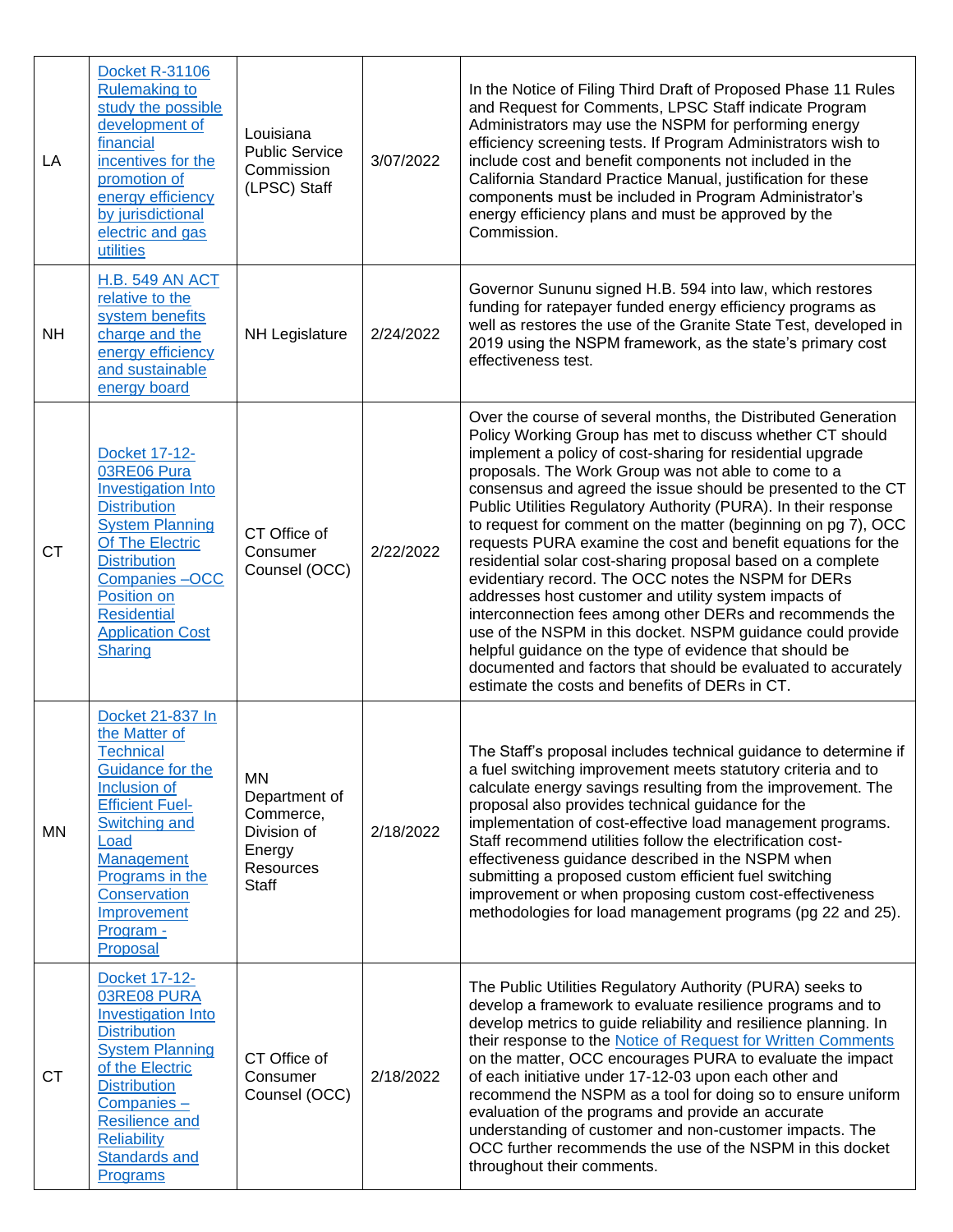| LA        | <b>Docket R-31106</b><br><b>Rulemaking to</b><br>study the possible<br>development of<br>financial<br>incentives for the<br>promotion of<br>energy efficiency<br>by jurisdictional<br>electric and gas<br>utilities                                            | Louisiana<br><b>Public Service</b><br>Commission<br>(LPSC) Staff                              | 3/07/2022 | In the Notice of Filing Third Draft of Proposed Phase 11 Rules<br>and Request for Comments, LPSC Staff indicate Program<br>Administrators may use the NSPM for performing energy<br>efficiency screening tests. If Program Administrators wish to<br>include cost and benefit components not included in the<br>California Standard Practice Manual, justification for these<br>components must be included in Program Administrator's<br>energy efficiency plans and must be approved by the<br>Commission.                                                                                                                                                                                                                                                                                                                                                                                                                                                                                                |
|-----------|----------------------------------------------------------------------------------------------------------------------------------------------------------------------------------------------------------------------------------------------------------------|-----------------------------------------------------------------------------------------------|-----------|-------------------------------------------------------------------------------------------------------------------------------------------------------------------------------------------------------------------------------------------------------------------------------------------------------------------------------------------------------------------------------------------------------------------------------------------------------------------------------------------------------------------------------------------------------------------------------------------------------------------------------------------------------------------------------------------------------------------------------------------------------------------------------------------------------------------------------------------------------------------------------------------------------------------------------------------------------------------------------------------------------------|
| <b>NH</b> | <b>H.B. 549 AN ACT</b><br>relative to the<br>system benefits<br>charge and the<br>energy efficiency<br>and sustainable<br>energy board                                                                                                                         | NH Legislature                                                                                | 2/24/2022 | Governor Sununu signed H.B. 594 into law, which restores<br>funding for ratepayer funded energy efficiency programs as<br>well as restores the use of the Granite State Test, developed in<br>2019 using the NSPM framework, as the state's primary cost<br>effectiveness test.                                                                                                                                                                                                                                                                                                                                                                                                                                                                                                                                                                                                                                                                                                                             |
| <b>CT</b> | <b>Docket 17-12-</b><br>03RE06 Pura<br><b>Investigation Into</b><br><b>Distribution</b><br><b>System Planning</b><br>Of The Electric<br><b>Distribution</b><br>Companies-OCC<br>Position on<br><b>Residential</b><br><b>Application Cost</b><br><b>Sharing</b> | CT Office of<br>Consumer<br>Counsel (OCC)                                                     | 2/22/2022 | Over the course of several months, the Distributed Generation<br>Policy Working Group has met to discuss whether CT should<br>implement a policy of cost-sharing for residential upgrade<br>proposals. The Work Group was not able to come to a<br>consensus and agreed the issue should be presented to the CT<br>Public Utilities Regulatory Authority (PURA). In their response<br>to request for comment on the matter (beginning on pg 7), OCC<br>requests PURA examine the cost and benefit equations for the<br>residential solar cost-sharing proposal based on a complete<br>evidentiary record. The OCC notes the NSPM for DERs<br>addresses host customer and utility system impacts of<br>interconnection fees among other DERs and recommends the<br>use of the NSPM in this docket. NSPM guidance could provide<br>helpful guidance on the type of evidence that should be<br>documented and factors that should be evaluated to accurately<br>estimate the costs and benefits of DERs in CT. |
| MN        | Docket 21-837 In<br>the Matter of<br><b>Technical</b><br>Guidance for the<br>Inclusion of<br><b>Efficient Fuel-</b><br>Switching and<br>Load<br>Management<br>Programs in the<br>Conservation<br>Improvement<br>Program -<br>Proposal                          | <b>MN</b><br>Department of<br>Commerce,<br>Division of<br>Energy<br>Resources<br><b>Staff</b> | 2/18/2022 | The Staff's proposal includes technical guidance to determine if<br>a fuel switching improvement meets statutory criteria and to<br>calculate energy savings resulting from the improvement. The<br>proposal also provides technical guidance for the<br>implementation of cost-effective load management programs.<br>Staff recommend utilities follow the electrification cost-<br>effectiveness guidance described in the NSPM when<br>submitting a proposed custom efficient fuel switching<br>improvement or when proposing custom cost-effectiveness<br>methodologies for load management programs (pg 22 and 25).                                                                                                                                                                                                                                                                                                                                                                                    |
| <b>CT</b> | Docket 17-12-<br>03RE08 PURA<br><b>Investigation Into</b><br><b>Distribution</b><br><b>System Planning</b><br>of the Electric<br><b>Distribution</b><br>$Companies -$<br><b>Resilience and</b><br><b>Reliability</b><br><b>Standards and</b><br>Programs       | CT Office of<br>Consumer<br>Counsel (OCC)                                                     | 2/18/2022 | The Public Utilities Regulatory Authority (PURA) seeks to<br>develop a framework to evaluate resilience programs and to<br>develop metrics to guide reliability and resilience planning. In<br>their response to the Notice of Request for Written Comments<br>on the matter, OCC encourages PURA to evaluate the impact<br>of each initiative under 17-12-03 upon each other and<br>recommend the NSPM as a tool for doing so to ensure uniform<br>evaluation of the programs and provide an accurate<br>understanding of customer and non-customer impacts. The<br>OCC further recommends the use of the NSPM in this docket<br>throughout their comments.                                                                                                                                                                                                                                                                                                                                                |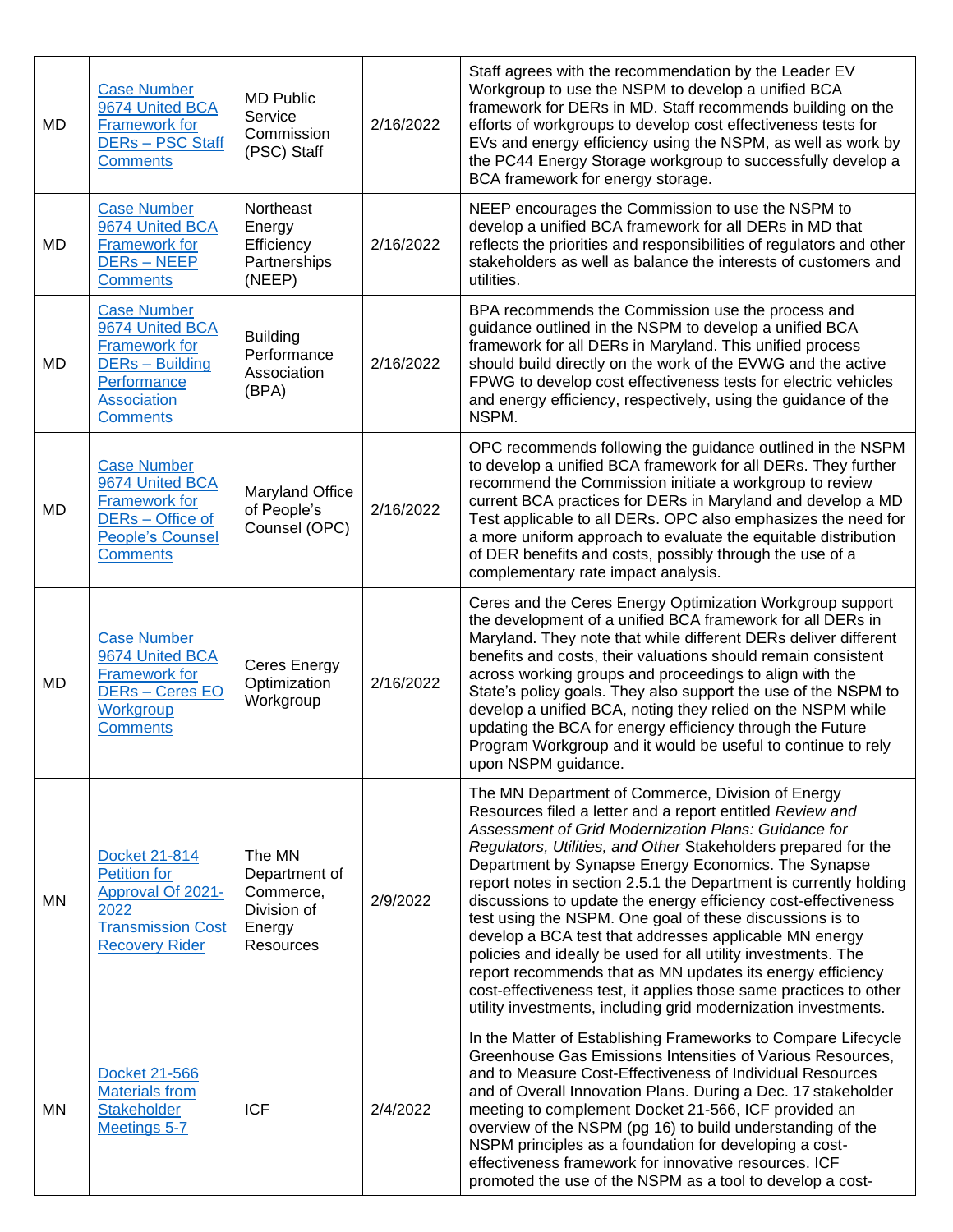| MD        | <b>Case Number</b><br>9674 United BCA<br><b>Framework for</b><br><b>DERs-PSC Staff</b><br><b>Comments</b>                                       | <b>MD Public</b><br>Service<br>Commission<br>(PSC) Staff                          | 2/16/2022 | Staff agrees with the recommendation by the Leader EV<br>Workgroup to use the NSPM to develop a unified BCA<br>framework for DERs in MD. Staff recommends building on the<br>efforts of workgroups to develop cost effectiveness tests for<br>EVs and energy efficiency using the NSPM, as well as work by<br>the PC44 Energy Storage workgroup to successfully develop a<br>BCA framework for energy storage.                                                                                                                                                                                                                                                                                                                                                                                                                     |
|-----------|-------------------------------------------------------------------------------------------------------------------------------------------------|-----------------------------------------------------------------------------------|-----------|------------------------------------------------------------------------------------------------------------------------------------------------------------------------------------------------------------------------------------------------------------------------------------------------------------------------------------------------------------------------------------------------------------------------------------------------------------------------------------------------------------------------------------------------------------------------------------------------------------------------------------------------------------------------------------------------------------------------------------------------------------------------------------------------------------------------------------|
| MD        | <b>Case Number</b><br>9674 United BCA<br><b>Framework for</b><br><b>DERs-NEEP</b><br><b>Comments</b>                                            | Northeast<br>Energy<br>Efficiency<br>Partnerships<br>(NEEP)                       | 2/16/2022 | NEEP encourages the Commission to use the NSPM to<br>develop a unified BCA framework for all DERs in MD that<br>reflects the priorities and responsibilities of regulators and other<br>stakeholders as well as balance the interests of customers and<br>utilities.                                                                                                                                                                                                                                                                                                                                                                                                                                                                                                                                                               |
| MD        | <b>Case Number</b><br>9674 United BCA<br><b>Framework for</b><br><b>DERs</b> - Building<br>Performance<br><b>Association</b><br><b>Comments</b> | <b>Building</b><br>Performance<br>Association<br>(BPA)                            | 2/16/2022 | BPA recommends the Commission use the process and<br>guidance outlined in the NSPM to develop a unified BCA<br>framework for all DERs in Maryland. This unified process<br>should build directly on the work of the EVWG and the active<br>FPWG to develop cost effectiveness tests for electric vehicles<br>and energy efficiency, respectively, using the guidance of the<br>NSPM.                                                                                                                                                                                                                                                                                                                                                                                                                                               |
| <b>MD</b> | <b>Case Number</b><br>9674 United BCA<br><b>Framework for</b><br>DERs - Office of<br><b>People's Counsel</b><br><b>Comments</b>                 | Maryland Office<br>of People's<br>Counsel (OPC)                                   | 2/16/2022 | OPC recommends following the guidance outlined in the NSPM<br>to develop a unified BCA framework for all DERs. They further<br>recommend the Commission initiate a workgroup to review<br>current BCA practices for DERs in Maryland and develop a MD<br>Test applicable to all DERs. OPC also emphasizes the need for<br>a more uniform approach to evaluate the equitable distribution<br>of DER benefits and costs, possibly through the use of a<br>complementary rate impact analysis.                                                                                                                                                                                                                                                                                                                                        |
| <b>MD</b> | <b>Case Number</b><br>9674 United BCA<br><b>Framework for</b><br>DER <sub>S</sub> - Ceres EO<br>Workgroup<br><b>Comments</b>                    | Ceres Energy<br>Optimization<br>Workgroup                                         | 2/16/2022 | Ceres and the Ceres Energy Optimization Workgroup support<br>the development of a unified BCA framework for all DERs in<br>Maryland. They note that while different DERs deliver different<br>benefits and costs, their valuations should remain consistent<br>across working groups and proceedings to align with the<br>State's policy goals. They also support the use of the NSPM to<br>develop a unified BCA, noting they relied on the NSPM while<br>updating the BCA for energy efficiency through the Future<br>Program Workgroup and it would be useful to continue to rely<br>upon NSPM guidance.                                                                                                                                                                                                                        |
| ΜN        | Docket 21-814<br><b>Petition for</b><br>Approval Of 2021-<br>2022<br><b>Transmission Cost</b><br><b>Recovery Rider</b>                          | The MN<br>Department of<br>Commerce,<br>Division of<br>Energy<br><b>Resources</b> | 2/9/2022  | The MN Department of Commerce, Division of Energy<br>Resources filed a letter and a report entitled Review and<br>Assessment of Grid Modernization Plans: Guidance for<br>Regulators, Utilities, and Other Stakeholders prepared for the<br>Department by Synapse Energy Economics. The Synapse<br>report notes in section 2.5.1 the Department is currently holding<br>discussions to update the energy efficiency cost-effectiveness<br>test using the NSPM. One goal of these discussions is to<br>develop a BCA test that addresses applicable MN energy<br>policies and ideally be used for all utility investments. The<br>report recommends that as MN updates its energy efficiency<br>cost-effectiveness test, it applies those same practices to other<br>utility investments, including grid modernization investments. |
| <b>MN</b> | Docket 21-566<br><b>Materials from</b><br><b>Stakeholder</b><br>Meetings 5-7                                                                    | <b>ICF</b>                                                                        | 2/4/2022  | In the Matter of Establishing Frameworks to Compare Lifecycle<br>Greenhouse Gas Emissions Intensities of Various Resources,<br>and to Measure Cost-Effectiveness of Individual Resources<br>and of Overall Innovation Plans. During a Dec. 17 stakeholder<br>meeting to complement Docket 21-566, ICF provided an<br>overview of the NSPM (pg 16) to build understanding of the<br>NSPM principles as a foundation for developing a cost-<br>effectiveness framework for innovative resources. ICF<br>promoted the use of the NSPM as a tool to develop a cost-                                                                                                                                                                                                                                                                    |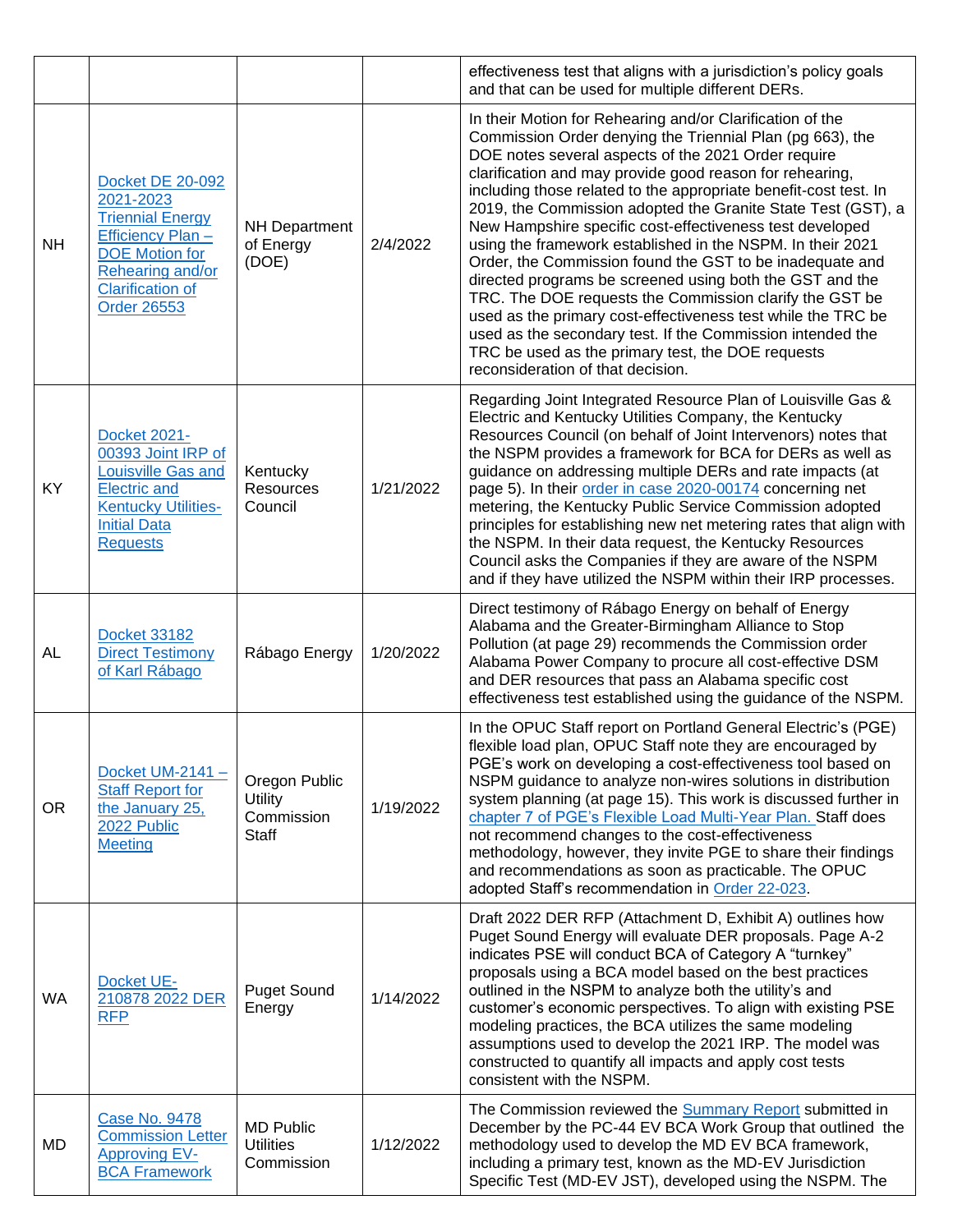|           |                                                                                                                                                                                    |                                                    |           | effectiveness test that aligns with a jurisdiction's policy goals<br>and that can be used for multiple different DERs.                                                                                                                                                                                                                                                                                                                                                                                                                                                                                                                                                                                                                                                                                                                                                                                             |
|-----------|------------------------------------------------------------------------------------------------------------------------------------------------------------------------------------|----------------------------------------------------|-----------|--------------------------------------------------------------------------------------------------------------------------------------------------------------------------------------------------------------------------------------------------------------------------------------------------------------------------------------------------------------------------------------------------------------------------------------------------------------------------------------------------------------------------------------------------------------------------------------------------------------------------------------------------------------------------------------------------------------------------------------------------------------------------------------------------------------------------------------------------------------------------------------------------------------------|
| <b>NH</b> | <b>Docket DE 20-092</b><br>2021-2023<br><b>Triennial Energy</b><br>Efficiency Plan -<br><b>DOE</b> Motion for<br>Rehearing and/or<br><b>Clarification of</b><br><b>Order 26553</b> | <b>NH Department</b><br>of Energy<br>(DOE)         | 2/4/2022  | In their Motion for Rehearing and/or Clarification of the<br>Commission Order denying the Triennial Plan (pg 663), the<br>DOE notes several aspects of the 2021 Order require<br>clarification and may provide good reason for rehearing,<br>including those related to the appropriate benefit-cost test. In<br>2019, the Commission adopted the Granite State Test (GST), a<br>New Hampshire specific cost-effectiveness test developed<br>using the framework established in the NSPM. In their 2021<br>Order, the Commission found the GST to be inadequate and<br>directed programs be screened using both the GST and the<br>TRC. The DOE requests the Commission clarify the GST be<br>used as the primary cost-effectiveness test while the TRC be<br>used as the secondary test. If the Commission intended the<br>TRC be used as the primary test, the DOE requests<br>reconsideration of that decision. |
| <b>KY</b> | <b>Docket 2021-</b><br>00393 Joint IRP of<br>Louisville Gas and<br><b>Electric and</b><br><b>Kentucky Utilities-</b><br><b>Initial Data</b><br><b>Requests</b>                     | Kentucky<br>Resources<br>Council                   | 1/21/2022 | Regarding Joint Integrated Resource Plan of Louisville Gas &<br>Electric and Kentucky Utilities Company, the Kentucky<br>Resources Council (on behalf of Joint Intervenors) notes that<br>the NSPM provides a framework for BCA for DERs as well as<br>guidance on addressing multiple DERs and rate impacts (at<br>page 5). In their order in case 2020-00174 concerning net<br>metering, the Kentucky Public Service Commission adopted<br>principles for establishing new net metering rates that align with<br>the NSPM. In their data request, the Kentucky Resources<br>Council asks the Companies if they are aware of the NSPM<br>and if they have utilized the NSPM within their IRP processes.                                                                                                                                                                                                           |
| <b>AL</b> | <b>Docket 33182</b><br><b>Direct Testimony</b><br>of Karl Rábago                                                                                                                   | Rábago Energy                                      | 1/20/2022 | Direct testimony of Rábago Energy on behalf of Energy<br>Alabama and the Greater-Birmingham Alliance to Stop<br>Pollution (at page 29) recommends the Commission order<br>Alabama Power Company to procure all cost-effective DSM<br>and DER resources that pass an Alabama specific cost<br>effectiveness test established using the guidance of the NSPM.                                                                                                                                                                                                                                                                                                                                                                                                                                                                                                                                                        |
| <b>OR</b> | Docket UM-2141-<br><b>Staff Report for</b><br>the January 25,<br>2022 Public<br><b>Meeting</b>                                                                                     | Oregon Public<br>Utility<br>Commission<br>Staff    | 1/19/2022 | In the OPUC Staff report on Portland General Electric's (PGE)<br>flexible load plan, OPUC Staff note they are encouraged by<br>PGE's work on developing a cost-effectiveness tool based on<br>NSPM guidance to analyze non-wires solutions in distribution<br>system planning (at page 15). This work is discussed further in<br>chapter 7 of PGE's Flexible Load Multi-Year Plan. Staff does<br>not recommend changes to the cost-effectiveness<br>methodology, however, they invite PGE to share their findings<br>and recommendations as soon as practicable. The OPUC<br>adopted Staff's recommendation in Order 22-023.                                                                                                                                                                                                                                                                                       |
| <b>WA</b> | Docket UE-<br>210878 2022 DER<br><b>RFP</b>                                                                                                                                        | <b>Puget Sound</b><br>Energy                       | 1/14/2022 | Draft 2022 DER RFP (Attachment D, Exhibit A) outlines how<br>Puget Sound Energy will evaluate DER proposals. Page A-2<br>indicates PSE will conduct BCA of Category A "turnkey"<br>proposals using a BCA model based on the best practices<br>outlined in the NSPM to analyze both the utility's and<br>customer's economic perspectives. To align with existing PSE<br>modeling practices, the BCA utilizes the same modeling<br>assumptions used to develop the 2021 IRP. The model was<br>constructed to quantify all impacts and apply cost tests<br>consistent with the NSPM.                                                                                                                                                                                                                                                                                                                                 |
| MD        | <b>Case No. 9478</b><br><b>Commission Letter</b><br><b>Approving EV-</b><br><b>BCA Framework</b>                                                                                   | <b>MD Public</b><br><b>Utilities</b><br>Commission | 1/12/2022 | The Commission reviewed the Summary Report submitted in<br>December by the PC-44 EV BCA Work Group that outlined the<br>methodology used to develop the MD EV BCA framework,<br>including a primary test, known as the MD-EV Jurisdiction<br>Specific Test (MD-EV JST), developed using the NSPM. The                                                                                                                                                                                                                                                                                                                                                                                                                                                                                                                                                                                                              |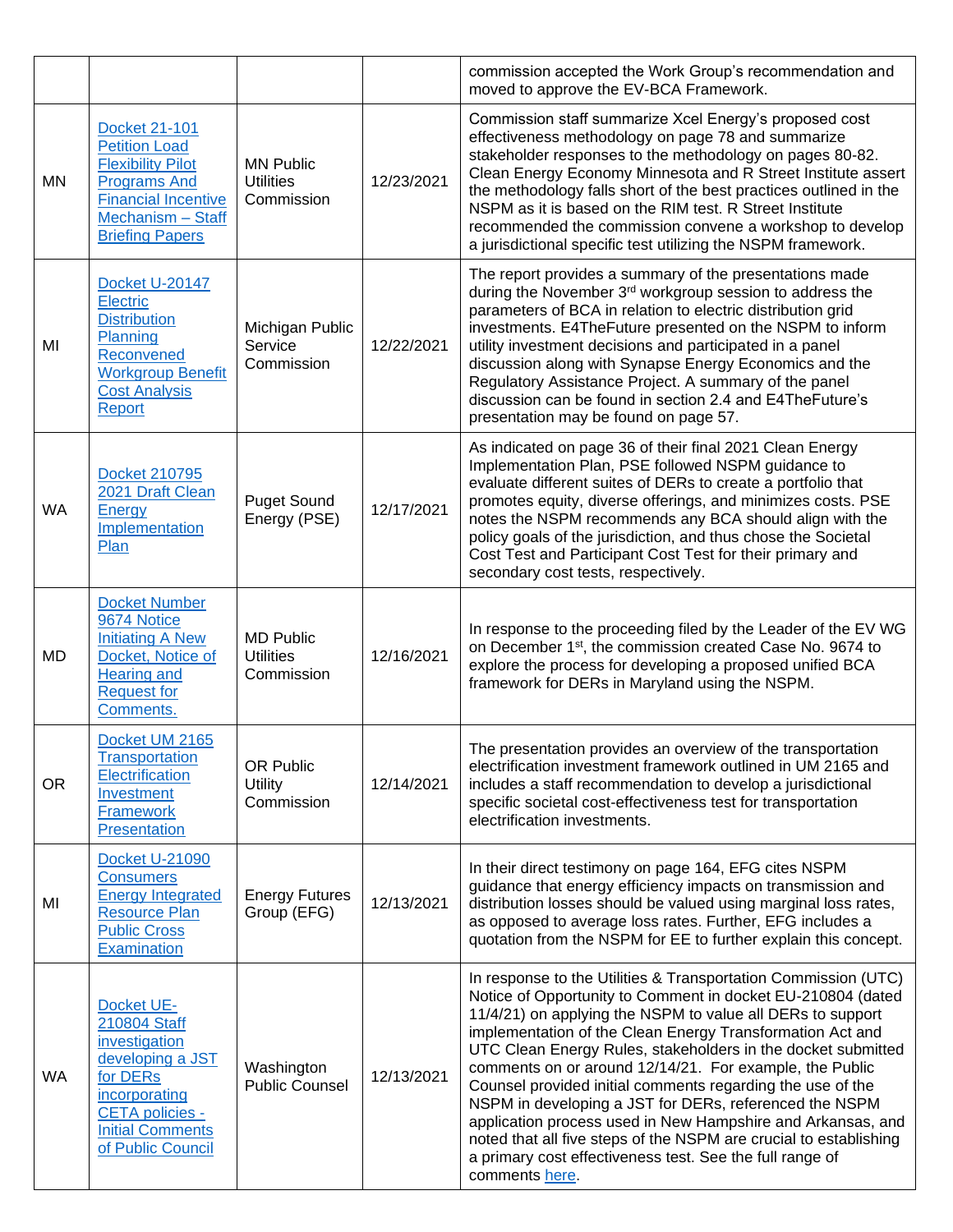|           |                                                                                                                                                                       |                                                    |            | commission accepted the Work Group's recommendation and<br>moved to approve the EV-BCA Framework.                                                                                                                                                                                                                                                                                                                                                                                                                                                                                                                                                                                                                             |
|-----------|-----------------------------------------------------------------------------------------------------------------------------------------------------------------------|----------------------------------------------------|------------|-------------------------------------------------------------------------------------------------------------------------------------------------------------------------------------------------------------------------------------------------------------------------------------------------------------------------------------------------------------------------------------------------------------------------------------------------------------------------------------------------------------------------------------------------------------------------------------------------------------------------------------------------------------------------------------------------------------------------------|
| ΜN        | Docket 21-101<br><b>Petition Load</b><br><b>Flexibility Pilot</b><br><b>Programs And</b><br><b>Financial Incentive</b><br>Mechanism - Staff<br><b>Briefing Papers</b> | <b>MN Public</b><br><b>Utilities</b><br>Commission | 12/23/2021 | Commission staff summarize Xcel Energy's proposed cost<br>effectiveness methodology on page 78 and summarize<br>stakeholder responses to the methodology on pages 80-82.<br>Clean Energy Economy Minnesota and R Street Institute assert<br>the methodology falls short of the best practices outlined in the<br>NSPM as it is based on the RIM test. R Street Institute<br>recommended the commission convene a workshop to develop<br>a jurisdictional specific test utilizing the NSPM framework.                                                                                                                                                                                                                          |
| MI        | Docket U-20147<br><b>Electric</b><br><b>Distribution</b><br>Planning<br>Reconvened<br><b>Workgroup Benefit</b><br><b>Cost Analysis</b><br>Report                      | Michigan Public<br>Service<br>Commission           | 12/22/2021 | The report provides a summary of the presentations made<br>during the November 3rd workgroup session to address the<br>parameters of BCA in relation to electric distribution grid<br>investments. E4TheFuture presented on the NSPM to inform<br>utility investment decisions and participated in a panel<br>discussion along with Synapse Energy Economics and the<br>Regulatory Assistance Project. A summary of the panel<br>discussion can be found in section 2.4 and E4TheFuture's<br>presentation may be found on page 57.                                                                                                                                                                                            |
| <b>WA</b> | Docket 210795<br>2021 Draft Clean<br>Energy<br>Implementation<br>Plan                                                                                                 | <b>Puget Sound</b><br>Energy (PSE)                 | 12/17/2021 | As indicated on page 36 of their final 2021 Clean Energy<br>Implementation Plan, PSE followed NSPM guidance to<br>evaluate different suites of DERs to create a portfolio that<br>promotes equity, diverse offerings, and minimizes costs. PSE<br>notes the NSPM recommends any BCA should align with the<br>policy goals of the jurisdiction, and thus chose the Societal<br>Cost Test and Participant Cost Test for their primary and<br>secondary cost tests, respectively.                                                                                                                                                                                                                                                |
| MD        | <b>Docket Number</b><br>9674 Notice<br><b>Initiating A New</b><br>Docket, Notice of<br><b>Hearing and</b><br><b>Request for</b><br>Comments.                          | <b>MD Public</b><br><b>Utilities</b><br>Commission | 12/16/2021 | In response to the proceeding filed by the Leader of the EV WG<br>on December 1 <sup>st</sup> , the commission created Case No. 9674 to<br>explore the process for developing a proposed unified BCA<br>framework for DERs in Maryland using the NSPM.                                                                                                                                                                                                                                                                                                                                                                                                                                                                        |
| <b>OR</b> | Docket UM 2165<br><b>Transportation</b><br>Electrification<br>Investment<br><b>Framework</b><br>Presentation                                                          | OR Public<br><b>Utility</b><br>Commission          | 12/14/2021 | The presentation provides an overview of the transportation<br>electrification investment framework outlined in UM 2165 and<br>includes a staff recommendation to develop a jurisdictional<br>specific societal cost-effectiveness test for transportation<br>electrification investments.                                                                                                                                                                                                                                                                                                                                                                                                                                    |
| MI        | <b>Docket U-21090</b><br><b>Consumers</b><br><b>Energy Integrated</b><br><b>Resource Plan</b><br><b>Public Cross</b><br>Examination                                   | <b>Energy Futures</b><br>Group (EFG)               | 12/13/2021 | In their direct testimony on page 164, EFG cites NSPM<br>guidance that energy efficiency impacts on transmission and<br>distribution losses should be valued using marginal loss rates,<br>as opposed to average loss rates. Further, EFG includes a<br>quotation from the NSPM for EE to further explain this concept.                                                                                                                                                                                                                                                                                                                                                                                                       |
| WA        | Docket UE-<br>210804 Staff<br>investigation<br>developing a JST<br>for DERs<br>incorporating<br>CETA policies -<br><b>Initial Comments</b><br>of Public Council       | Washington<br><b>Public Counsel</b>                | 12/13/2021 | In response to the Utilities & Transportation Commission (UTC)<br>Notice of Opportunity to Comment in docket EU-210804 (dated<br>11/4/21) on applying the NSPM to value all DERs to support<br>implementation of the Clean Energy Transformation Act and<br>UTC Clean Energy Rules, stakeholders in the docket submitted<br>comments on or around 12/14/21. For example, the Public<br>Counsel provided initial comments regarding the use of the<br>NSPM in developing a JST for DERs, referenced the NSPM<br>application process used in New Hampshire and Arkansas, and<br>noted that all five steps of the NSPM are crucial to establishing<br>a primary cost effectiveness test. See the full range of<br>comments here. |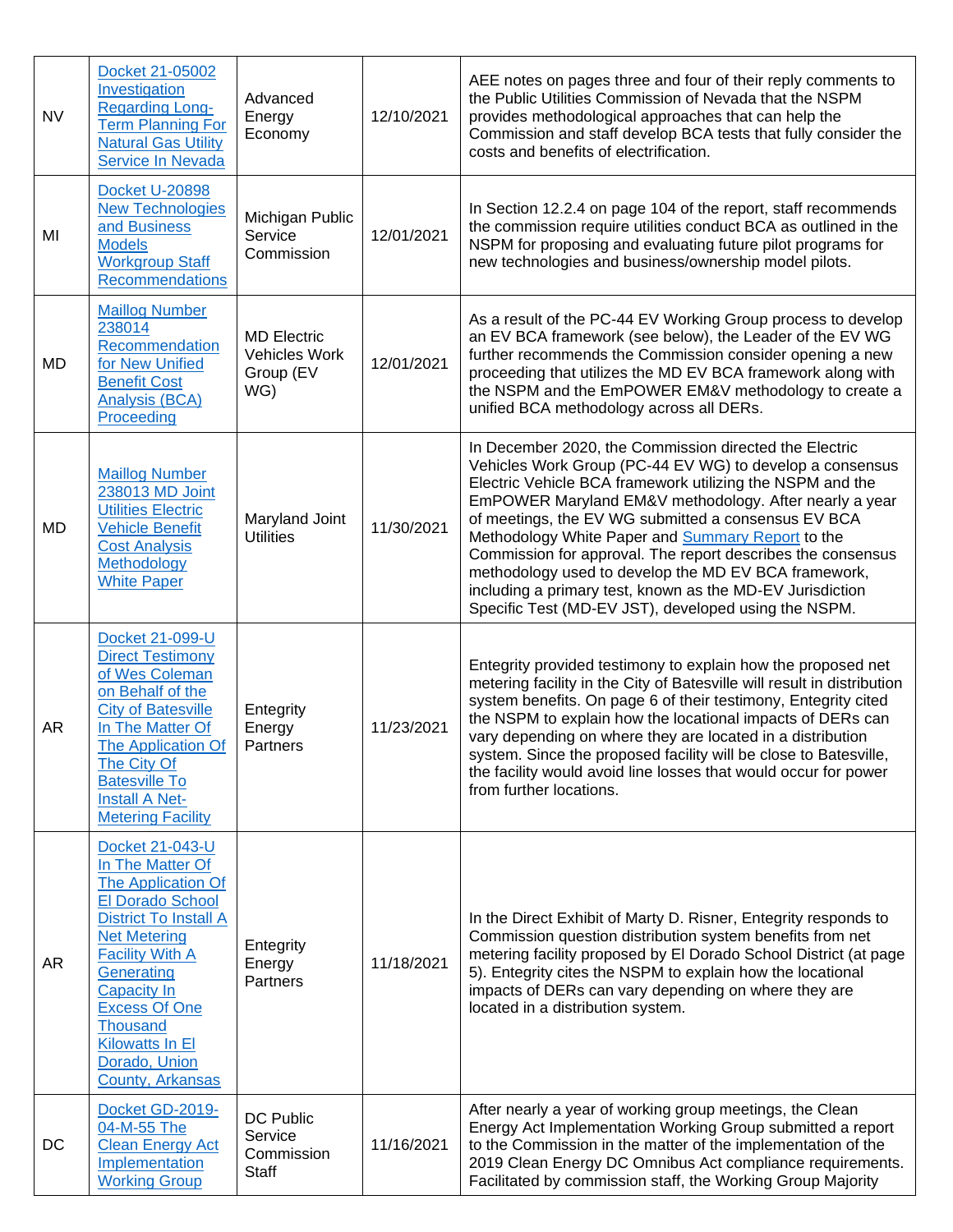| <b>NV</b> | Docket 21-05002<br>Investigation<br><b>Regarding Long-</b><br>Term Planning For<br><b>Natural Gas Utility</b><br>Service In Nevada                                                                                                                                                                    | Advanced<br>Energy<br>Economy                           | 12/10/2021 | AEE notes on pages three and four of their reply comments to<br>the Public Utilities Commission of Nevada that the NSPM<br>provides methodological approaches that can help the<br>Commission and staff develop BCA tests that fully consider the<br>costs and benefits of electrification.                                                                                                                                                                                                                                                                                                              |
|-----------|-------------------------------------------------------------------------------------------------------------------------------------------------------------------------------------------------------------------------------------------------------------------------------------------------------|---------------------------------------------------------|------------|----------------------------------------------------------------------------------------------------------------------------------------------------------------------------------------------------------------------------------------------------------------------------------------------------------------------------------------------------------------------------------------------------------------------------------------------------------------------------------------------------------------------------------------------------------------------------------------------------------|
| MI        | <b>Docket U-20898</b><br><b>New Technologies</b><br>and Business<br><b>Models</b><br><b>Workgroup Staff</b><br><b>Recommendations</b>                                                                                                                                                                 | Michigan Public<br>Service<br>Commission                | 12/01/2021 | In Section 12.2.4 on page 104 of the report, staff recommends<br>the commission require utilities conduct BCA as outlined in the<br>NSPM for proposing and evaluating future pilot programs for<br>new technologies and business/ownership model pilots.                                                                                                                                                                                                                                                                                                                                                 |
| MD        | <b>Maillog Number</b><br>238014<br>Recommendation<br>for New Unified<br><b>Benefit Cost</b><br><b>Analysis (BCA)</b><br>Proceeding                                                                                                                                                                    | <b>MD Electric</b><br>Vehicles Work<br>Group (EV<br>WG) | 12/01/2021 | As a result of the PC-44 EV Working Group process to develop<br>an EV BCA framework (see below), the Leader of the EV WG<br>further recommends the Commission consider opening a new<br>proceeding that utilizes the MD EV BCA framework along with<br>the NSPM and the EmPOWER EM&V methodology to create a<br>unified BCA methodology across all DERs.                                                                                                                                                                                                                                                 |
| MD        | <b>Maillog Number</b><br>238013 MD Joint<br><b>Utilities Electric</b><br><b>Vehicle Benefit</b><br><b>Cost Analysis</b><br>Methodology<br><b>White Paper</b>                                                                                                                                          | Maryland Joint<br><b>Utilities</b>                      | 11/30/2021 | In December 2020, the Commission directed the Electric<br>Vehicles Work Group (PC-44 EV WG) to develop a consensus<br>Electric Vehicle BCA framework utilizing the NSPM and the<br>EmPOWER Maryland EM&V methodology. After nearly a year<br>of meetings, the EV WG submitted a consensus EV BCA<br>Methodology White Paper and <b>Summary Report</b> to the<br>Commission for approval. The report describes the consensus<br>methodology used to develop the MD EV BCA framework,<br>including a primary test, known as the MD-EV Jurisdiction<br>Specific Test (MD-EV JST), developed using the NSPM. |
| AR        | Docket 21-099-U<br><b>Direct Testimony</b><br>of Wes Coleman<br>on Behalf of the<br><b>City of Batesville</b><br>In The Matter Of<br><b>The Application Of</b><br>The City Of<br><b>Batesville To</b><br>Install A Net-<br><b>Metering Facility</b>                                                   | Entegrity<br>Energy<br>Partners                         | 11/23/2021 | Entegrity provided testimony to explain how the proposed net<br>metering facility in the City of Batesville will result in distribution<br>system benefits. On page 6 of their testimony, Entegrity cited<br>the NSPM to explain how the locational impacts of DERs can<br>vary depending on where they are located in a distribution<br>system. Since the proposed facility will be close to Batesville,<br>the facility would avoid line losses that would occur for power<br>from further locations.                                                                                                  |
| AR        | Docket 21-043-U<br>In The Matter Of<br>The Application Of<br>El Dorado School<br><b>District To Install A</b><br><b>Net Metering</b><br><b>Facility With A</b><br>Generating<br><b>Capacity In</b><br><b>Excess Of One</b><br><b>Thousand</b><br>Kilowatts In El<br>Dorado, Union<br>County, Arkansas | Entegrity<br>Energy<br>Partners                         | 11/18/2021 | In the Direct Exhibit of Marty D. Risner, Entegrity responds to<br>Commission question distribution system benefits from net<br>metering facility proposed by El Dorado School District (at page<br>5). Entegrity cites the NSPM to explain how the locational<br>impacts of DERs can vary depending on where they are<br>located in a distribution system.                                                                                                                                                                                                                                              |
| DC        | Docket GD-2019-<br>04-M-55 The<br><b>Clean Energy Act</b><br>Implementation<br><b>Working Group</b>                                                                                                                                                                                                   | DC Public<br>Service<br>Commission<br><b>Staff</b>      | 11/16/2021 | After nearly a year of working group meetings, the Clean<br>Energy Act Implementation Working Group submitted a report<br>to the Commission in the matter of the implementation of the<br>2019 Clean Energy DC Omnibus Act compliance requirements.<br>Facilitated by commission staff, the Working Group Majority                                                                                                                                                                                                                                                                                       |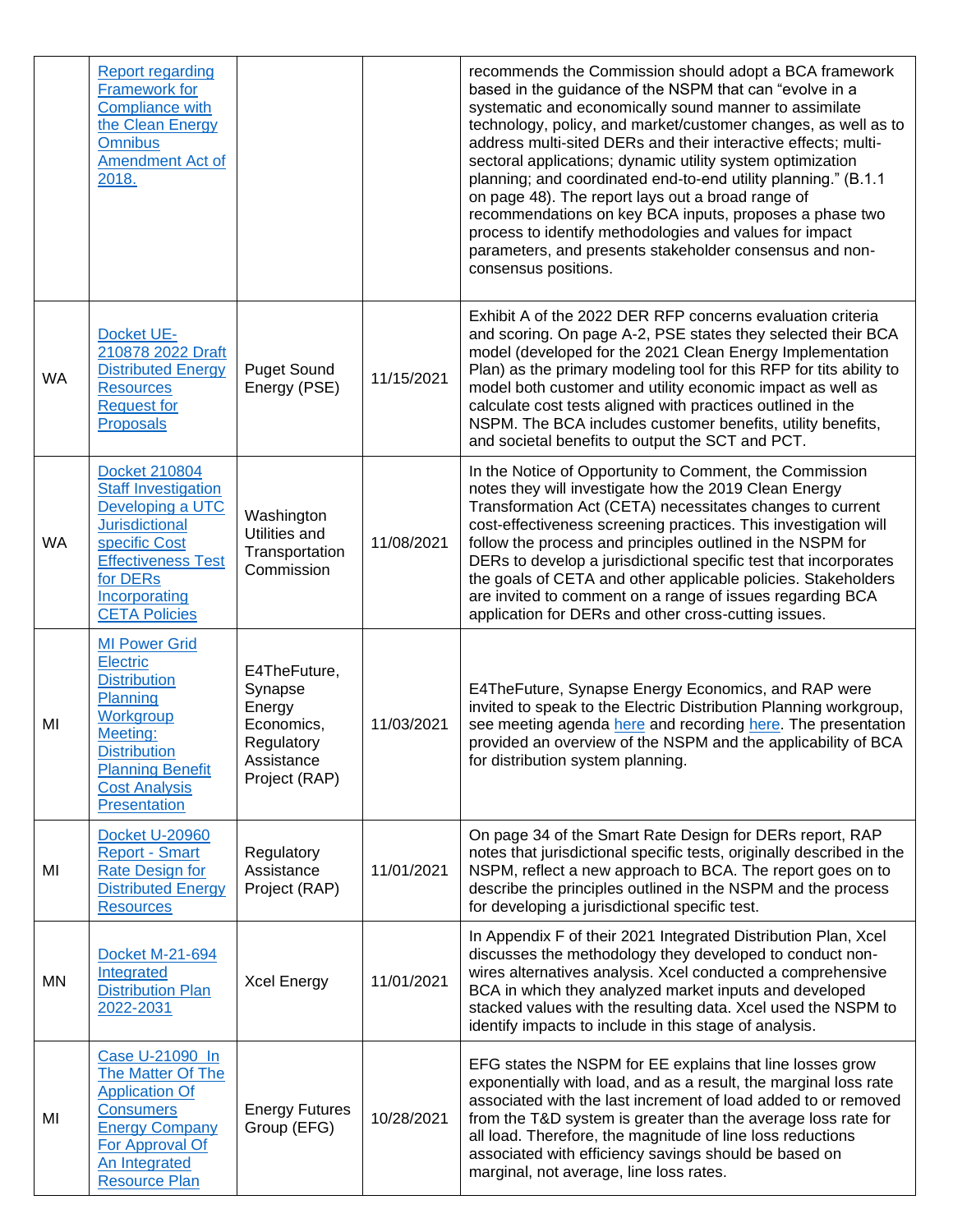|           | <b>Report regarding</b><br>Framework for<br><b>Compliance with</b><br>the Clean Energy<br><b>Omnibus</b><br><b>Amendment Act of</b><br>2018.                                                       |                                                                                              |            | recommends the Commission should adopt a BCA framework<br>based in the guidance of the NSPM that can "evolve in a<br>systematic and economically sound manner to assimilate<br>technology, policy, and market/customer changes, as well as to<br>address multi-sited DERs and their interactive effects; multi-<br>sectoral applications; dynamic utility system optimization<br>planning; and coordinated end-to-end utility planning." (B.1.1<br>on page 48). The report lays out a broad range of<br>recommendations on key BCA inputs, proposes a phase two<br>process to identify methodologies and values for impact<br>parameters, and presents stakeholder consensus and non-<br>consensus positions. |
|-----------|----------------------------------------------------------------------------------------------------------------------------------------------------------------------------------------------------|----------------------------------------------------------------------------------------------|------------|---------------------------------------------------------------------------------------------------------------------------------------------------------------------------------------------------------------------------------------------------------------------------------------------------------------------------------------------------------------------------------------------------------------------------------------------------------------------------------------------------------------------------------------------------------------------------------------------------------------------------------------------------------------------------------------------------------------|
| <b>WA</b> | Docket UE-<br>210878 2022 Draft<br><b>Distributed Energy</b><br><b>Resources</b><br><b>Request for</b><br><b>Proposals</b>                                                                         | <b>Puget Sound</b><br>Energy (PSE)                                                           | 11/15/2021 | Exhibit A of the 2022 DER RFP concerns evaluation criteria<br>and scoring. On page A-2, PSE states they selected their BCA<br>model (developed for the 2021 Clean Energy Implementation<br>Plan) as the primary modeling tool for this RFP for tits ability to<br>model both customer and utility economic impact as well as<br>calculate cost tests aligned with practices outlined in the<br>NSPM. The BCA includes customer benefits, utility benefits,<br>and societal benefits to output the SCT and PCT.                                                                                                                                                                                                |
| WA        | <b>Docket 210804</b><br><b>Staff Investigation</b><br>Developing a UTC<br><b>Jurisdictional</b><br>specific Cost<br><b>Effectiveness Test</b><br>for DERs<br>Incorporating<br><b>CETA Policies</b> | Washington<br>Utilities and<br>Transportation<br>Commission                                  | 11/08/2021 | In the Notice of Opportunity to Comment, the Commission<br>notes they will investigate how the 2019 Clean Energy<br>Transformation Act (CETA) necessitates changes to current<br>cost-effectiveness screening practices. This investigation will<br>follow the process and principles outlined in the NSPM for<br>DERs to develop a jurisdictional specific test that incorporates<br>the goals of CETA and other applicable policies. Stakeholders<br>are invited to comment on a range of issues regarding BCA<br>application for DERs and other cross-cutting issues.                                                                                                                                      |
| MI        | <b>MI Power Grid</b><br><b>Electric</b><br><b>Distribution</b><br>Planning<br>Workgroup<br>Meeting:<br><b>Distribution</b><br><b>Planning Benefit</b><br><b>Cost Analysis</b><br>Presentation      | E4TheFuture,<br>Synapse<br>Energy<br>Economics,<br>Regulatory<br>Assistance<br>Project (RAP) | 11/03/2021 | E4TheFuture, Synapse Energy Economics, and RAP were<br>invited to speak to the Electric Distribution Planning workgroup,<br>see meeting agenda here and recording here. The presentation<br>provided an overview of the NSPM and the applicability of BCA<br>for distribution system planning.                                                                                                                                                                                                                                                                                                                                                                                                                |
| MI        | <b>Docket U-20960</b><br><b>Report - Smart</b><br><b>Rate Design for</b><br><b>Distributed Energy</b><br><b>Resources</b>                                                                          | Regulatory<br>Assistance<br>Project (RAP)                                                    | 11/01/2021 | On page 34 of the Smart Rate Design for DERs report, RAP<br>notes that jurisdictional specific tests, originally described in the<br>NSPM, reflect a new approach to BCA. The report goes on to<br>describe the principles outlined in the NSPM and the process<br>for developing a jurisdictional specific test.                                                                                                                                                                                                                                                                                                                                                                                             |
| MN        | <b>Docket M-21-694</b><br>Integrated<br><b>Distribution Plan</b><br>2022-2031                                                                                                                      | <b>Xcel Energy</b>                                                                           | 11/01/2021 | In Appendix F of their 2021 Integrated Distribution Plan, Xcel<br>discusses the methodology they developed to conduct non-<br>wires alternatives analysis. Xcel conducted a comprehensive<br>BCA in which they analyzed market inputs and developed<br>stacked values with the resulting data. Xcel used the NSPM to<br>identify impacts to include in this stage of analysis.                                                                                                                                                                                                                                                                                                                                |
| MI        | Case U-21090 In<br>The Matter Of The<br><b>Application Of</b><br><b>Consumers</b><br><b>Energy Company</b><br>For Approval Of<br>An Integrated<br><b>Resource Plan</b>                             | <b>Energy Futures</b><br>Group (EFG)                                                         | 10/28/2021 | EFG states the NSPM for EE explains that line losses grow<br>exponentially with load, and as a result, the marginal loss rate<br>associated with the last increment of load added to or removed<br>from the T&D system is greater than the average loss rate for<br>all load. Therefore, the magnitude of line loss reductions<br>associated with efficiency savings should be based on<br>marginal, not average, line loss rates.                                                                                                                                                                                                                                                                            |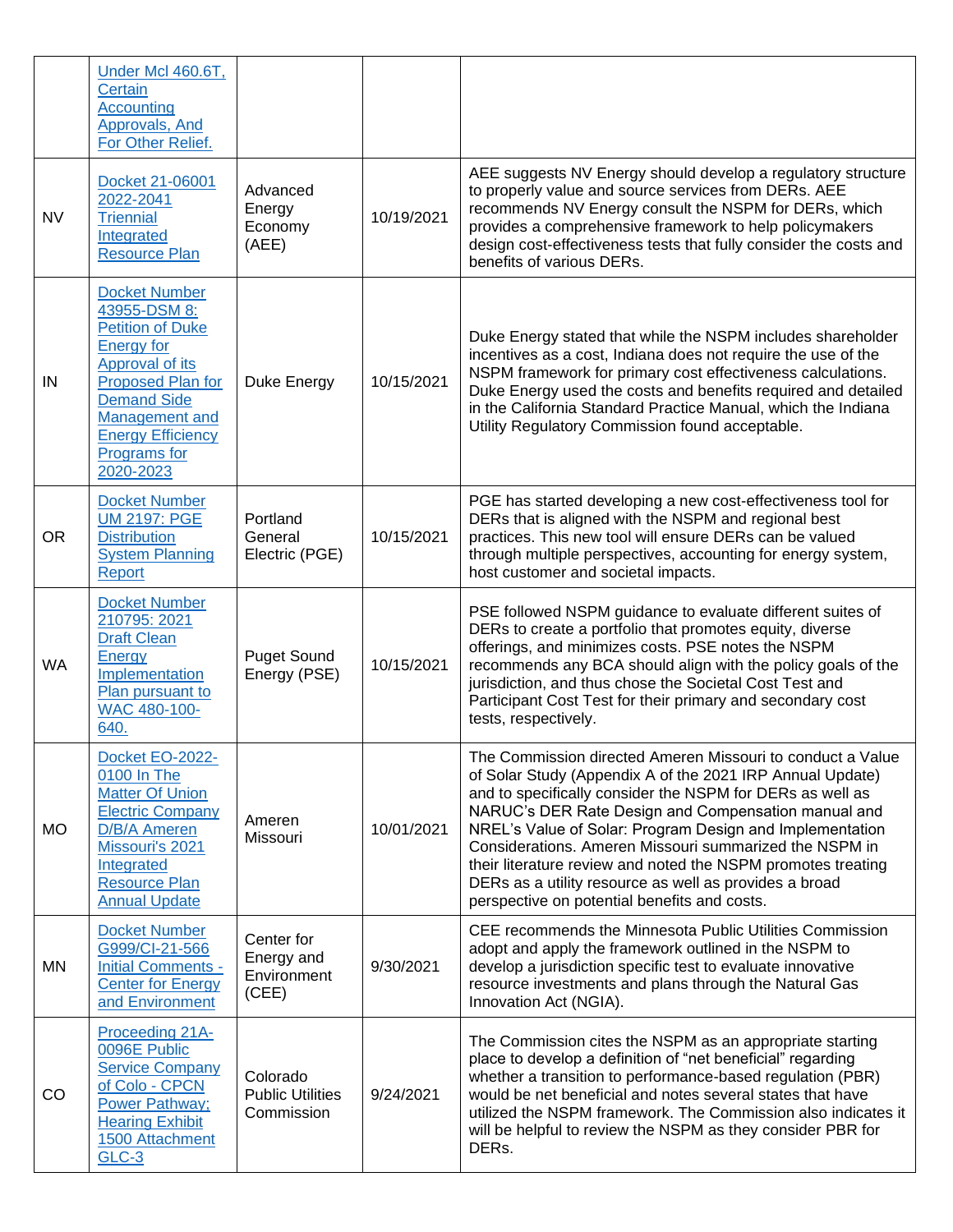|           | Under Mcl 460.6T,<br>Certain<br><b>Accounting</b><br>Approvals, And<br>For Other Relief.                                                                                                                                      |                                                   |            |                                                                                                                                                                                                                                                                                                                                                                                                                                                                                                                                             |
|-----------|-------------------------------------------------------------------------------------------------------------------------------------------------------------------------------------------------------------------------------|---------------------------------------------------|------------|---------------------------------------------------------------------------------------------------------------------------------------------------------------------------------------------------------------------------------------------------------------------------------------------------------------------------------------------------------------------------------------------------------------------------------------------------------------------------------------------------------------------------------------------|
| <b>NV</b> | Docket 21-06001<br>2022-2041<br><b>Triennial</b><br>Integrated<br><b>Resource Plan</b>                                                                                                                                        | Advanced<br>Energy<br>Economy<br>(AEE)            | 10/19/2021 | AEE suggests NV Energy should develop a regulatory structure<br>to properly value and source services from DERs. AEE<br>recommends NV Energy consult the NSPM for DERs, which<br>provides a comprehensive framework to help policymakers<br>design cost-effectiveness tests that fully consider the costs and<br>benefits of various DERs.                                                                                                                                                                                                  |
| IN        | <b>Docket Number</b><br>43955-DSM 8:<br><b>Petition of Duke</b><br><b>Energy for</b><br>Approval of its<br>Proposed Plan for<br><b>Demand Side</b><br>Management and<br><b>Energy Efficiency</b><br>Programs for<br>2020-2023 | Duke Energy                                       | 10/15/2021 | Duke Energy stated that while the NSPM includes shareholder<br>incentives as a cost, Indiana does not require the use of the<br>NSPM framework for primary cost effectiveness calculations.<br>Duke Energy used the costs and benefits required and detailed<br>in the California Standard Practice Manual, which the Indiana<br>Utility Regulatory Commission found acceptable.                                                                                                                                                            |
| <b>OR</b> | <b>Docket Number</b><br><b>UM 2197: PGE</b><br><b>Distribution</b><br><b>System Planning</b><br><b>Report</b>                                                                                                                 | Portland<br>General<br>Electric (PGE)             | 10/15/2021 | PGE has started developing a new cost-effectiveness tool for<br>DERs that is aligned with the NSPM and regional best<br>practices. This new tool will ensure DERs can be valued<br>through multiple perspectives, accounting for energy system,<br>host customer and societal impacts.                                                                                                                                                                                                                                                      |
| <b>WA</b> | <b>Docket Number</b><br>210795: 2021<br><b>Draft Clean</b><br>Energy<br>Implementation<br>Plan pursuant to<br>WAC 480-100-<br>640.                                                                                            | <b>Puget Sound</b><br>Energy (PSE)                | 10/15/2021 | PSE followed NSPM guidance to evaluate different suites of<br>DERs to create a portfolio that promotes equity, diverse<br>offerings, and minimizes costs. PSE notes the NSPM<br>recommends any BCA should align with the policy goals of the<br>jurisdiction, and thus chose the Societal Cost Test and<br>Participant Cost Test for their primary and secondary cost<br>tests, respectively.                                                                                                                                               |
| <b>MO</b> | Docket EO-2022-<br>0100 In The<br><b>Matter Of Union</b><br><b>Electric Company</b><br>D/B/A Ameren<br>Missouri's 2021<br>Integrated<br><b>Resource Plan</b><br><b>Annual Update</b>                                          | Ameren<br>Missouri                                | 10/01/2021 | The Commission directed Ameren Missouri to conduct a Value<br>of Solar Study (Appendix A of the 2021 IRP Annual Update)<br>and to specifically consider the NSPM for DERs as well as<br>NARUC's DER Rate Design and Compensation manual and<br>NREL's Value of Solar: Program Design and Implementation<br>Considerations. Ameren Missouri summarized the NSPM in<br>their literature review and noted the NSPM promotes treating<br>DERs as a utility resource as well as provides a broad<br>perspective on potential benefits and costs. |
| <b>MN</b> | <b>Docket Number</b><br>G999/CI-21-566<br><b>Initial Comments -</b><br><b>Center for Energy</b><br>and Environment                                                                                                            | Center for<br>Energy and<br>Environment<br>(CEE)  | 9/30/2021  | CEE recommends the Minnesota Public Utilities Commission<br>adopt and apply the framework outlined in the NSPM to<br>develop a jurisdiction specific test to evaluate innovative<br>resource investments and plans through the Natural Gas<br>Innovation Act (NGIA).                                                                                                                                                                                                                                                                        |
| CO        | Proceeding 21A-<br>0096E Public<br><b>Service Company</b><br>of Colo - CPCN<br><b>Power Pathway;</b><br><b>Hearing Exhibit</b><br>1500 Attachment<br>GLC-3                                                                    | Colorado<br><b>Public Utilities</b><br>Commission | 9/24/2021  | The Commission cites the NSPM as an appropriate starting<br>place to develop a definition of "net beneficial" regarding<br>whether a transition to performance-based regulation (PBR)<br>would be net beneficial and notes several states that have<br>utilized the NSPM framework. The Commission also indicates it<br>will be helpful to review the NSPM as they consider PBR for<br>DERs.                                                                                                                                                |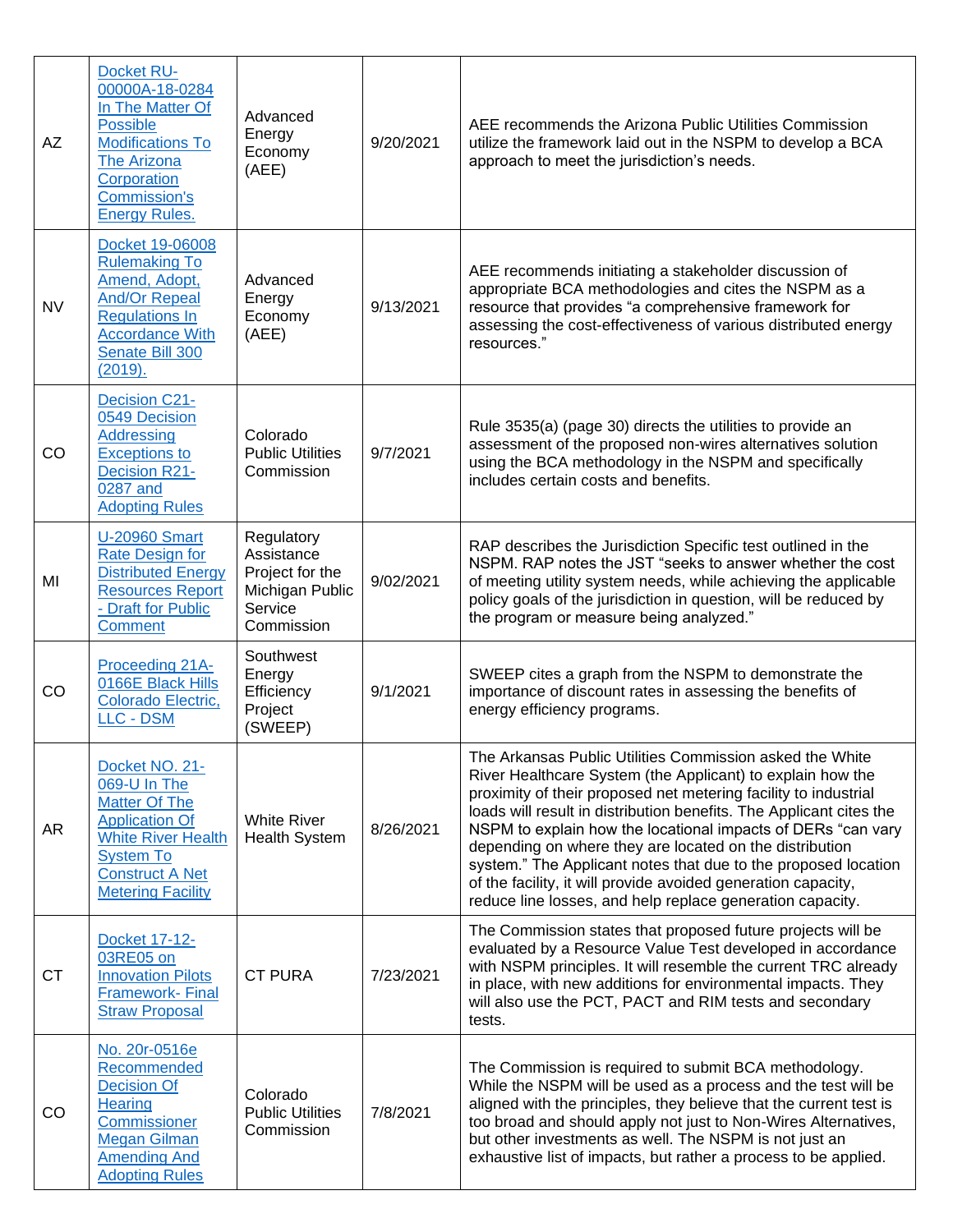| AZ        | <b>Docket RU-</b><br>00000A-18-0284<br>In The Matter Of<br><b>Possible</b><br><b>Modifications To</b><br>The Arizona<br>Corporation<br><b>Commission's</b><br><b>Energy Rules.</b>     | Advanced<br>Energy<br>Economy<br>(AEE)                                                  | 9/20/2021 | AEE recommends the Arizona Public Utilities Commission<br>utilize the framework laid out in the NSPM to develop a BCA<br>approach to meet the jurisdiction's needs.                                                                                                                                                                                                                                                                                                                                                                                                                         |
|-----------|----------------------------------------------------------------------------------------------------------------------------------------------------------------------------------------|-----------------------------------------------------------------------------------------|-----------|---------------------------------------------------------------------------------------------------------------------------------------------------------------------------------------------------------------------------------------------------------------------------------------------------------------------------------------------------------------------------------------------------------------------------------------------------------------------------------------------------------------------------------------------------------------------------------------------|
| <b>NV</b> | Docket 19-06008<br><b>Rulemaking To</b><br>Amend, Adopt,<br><b>And/Or Repeal</b><br><b>Regulations In</b><br><b>Accordance With</b><br>Senate Bill 300<br>(2019).                      | Advanced<br>Energy<br>Economy<br>(AEE)                                                  | 9/13/2021 | AEE recommends initiating a stakeholder discussion of<br>appropriate BCA methodologies and cites the NSPM as a<br>resource that provides "a comprehensive framework for<br>assessing the cost-effectiveness of various distributed energy<br>resources."                                                                                                                                                                                                                                                                                                                                    |
| <b>CO</b> | <b>Decision C21-</b><br>0549 Decision<br><b>Addressing</b><br><b>Exceptions to</b><br><b>Decision R21-</b><br>0287 and<br><b>Adopting Rules</b>                                        | Colorado<br><b>Public Utilities</b><br>Commission                                       | 9/7/2021  | Rule 3535(a) (page 30) directs the utilities to provide an<br>assessment of the proposed non-wires alternatives solution<br>using the BCA methodology in the NSPM and specifically<br>includes certain costs and benefits.                                                                                                                                                                                                                                                                                                                                                                  |
| MI        | <b>U-20960 Smart</b><br><b>Rate Design for</b><br><b>Distributed Energy</b><br><b>Resources Report</b><br>- Draft for Public<br><b>Comment</b>                                         | Regulatory<br>Assistance<br>Project for the<br>Michigan Public<br>Service<br>Commission | 9/02/2021 | RAP describes the Jurisdiction Specific test outlined in the<br>NSPM. RAP notes the JST "seeks to answer whether the cost<br>of meeting utility system needs, while achieving the applicable<br>policy goals of the jurisdiction in question, will be reduced by<br>the program or measure being analyzed."                                                                                                                                                                                                                                                                                 |
| <b>CO</b> | Proceeding 21A-<br>0166E Black Hills<br>Colorado Electric,<br><b>LLC - DSM</b>                                                                                                         | Southwest<br>Energy<br>Efficiency<br>Project<br>(SWEEP)                                 | 9/1/2021  | SWEEP cites a graph from the NSPM to demonstrate the<br>importance of discount rates in assessing the benefits of<br>energy efficiency programs.                                                                                                                                                                                                                                                                                                                                                                                                                                            |
| AR        | Docket NO. 21-<br>069-U In The<br><b>Matter Of The</b><br><b>Application Of</b><br><b>White River Health</b><br><b>System To</b><br><b>Construct A Net</b><br><b>Metering Facility</b> | <b>White River</b><br><b>Health System</b>                                              | 8/26/2021 | The Arkansas Public Utilities Commission asked the White<br>River Healthcare System (the Applicant) to explain how the<br>proximity of their proposed net metering facility to industrial<br>loads will result in distribution benefits. The Applicant cites the<br>NSPM to explain how the locational impacts of DERs "can vary<br>depending on where they are located on the distribution<br>system." The Applicant notes that due to the proposed location<br>of the facility, it will provide avoided generation capacity,<br>reduce line losses, and help replace generation capacity. |
| <b>CT</b> | Docket 17-12-<br>03RE05 on<br><b>Innovation Pilots</b><br><b>Framework-Final</b><br><b>Straw Proposal</b>                                                                              | <b>CT PURA</b>                                                                          | 7/23/2021 | The Commission states that proposed future projects will be<br>evaluated by a Resource Value Test developed in accordance<br>with NSPM principles. It will resemble the current TRC already<br>in place, with new additions for environmental impacts. They<br>will also use the PCT, PACT and RIM tests and secondary<br>tests.                                                                                                                                                                                                                                                            |
| CO        | No. 20r-0516e<br>Recommended<br><b>Decision Of</b><br>Hearing<br>Commissioner<br><b>Megan Gilman</b><br><b>Amending And</b><br><b>Adopting Rules</b>                                   | Colorado<br><b>Public Utilities</b><br>Commission                                       | 7/8/2021  | The Commission is required to submit BCA methodology.<br>While the NSPM will be used as a process and the test will be<br>aligned with the principles, they believe that the current test is<br>too broad and should apply not just to Non-Wires Alternatives,<br>but other investments as well. The NSPM is not just an<br>exhaustive list of impacts, but rather a process to be applied.                                                                                                                                                                                                 |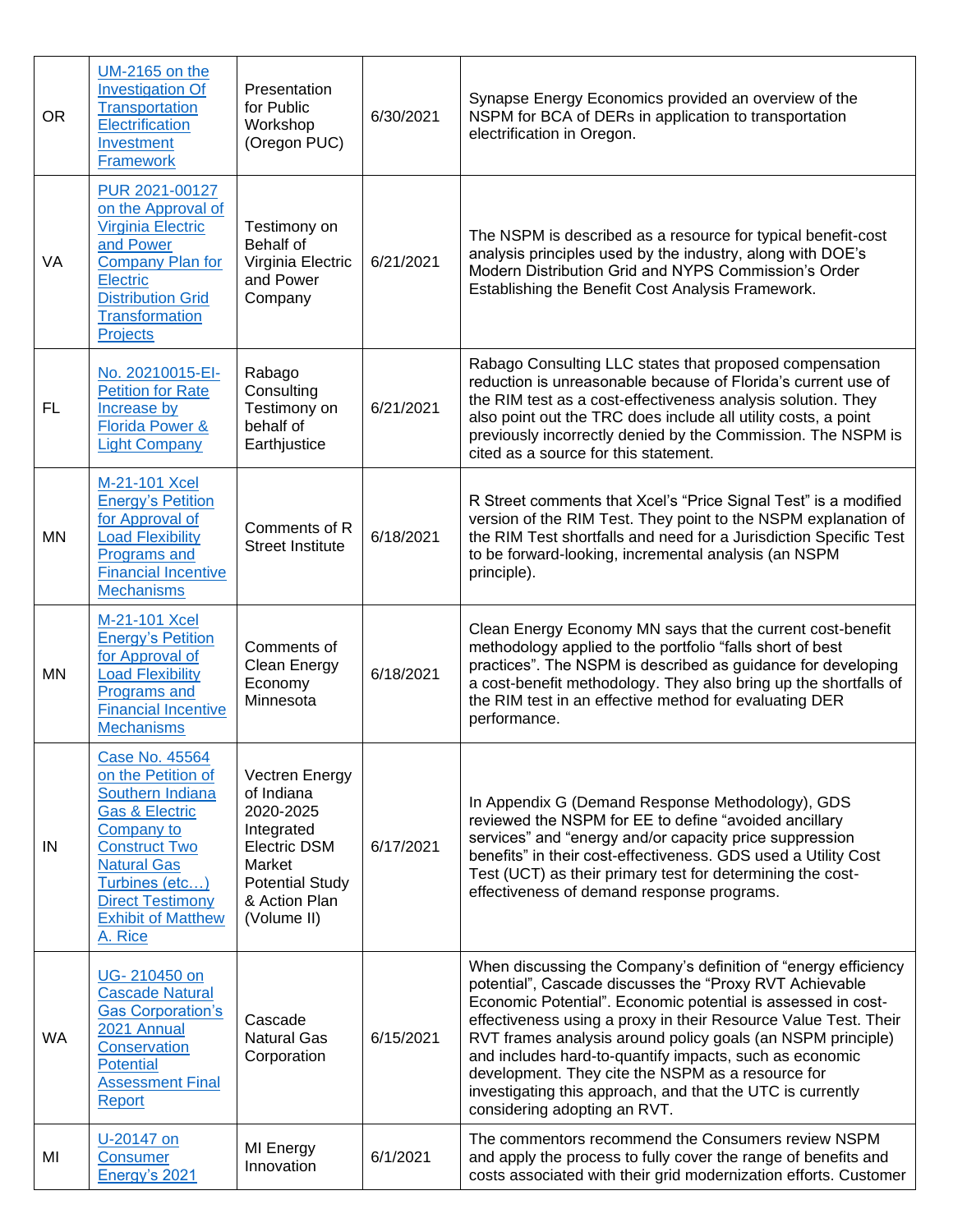| <b>OR</b> | <b>UM-2165 on the</b><br><b>Investigation Of</b><br>Transportation<br>Electrification<br>Investment<br><b>Framework</b>                                                                                                                       | Presentation<br>for Public<br>Workshop<br>(Oregon PUC)                                                                                             | 6/30/2021 | Synapse Energy Economics provided an overview of the<br>NSPM for BCA of DERs in application to transportation<br>electrification in Oregon.                                                                                                                                                                                                                                                                                                                                                                                               |
|-----------|-----------------------------------------------------------------------------------------------------------------------------------------------------------------------------------------------------------------------------------------------|----------------------------------------------------------------------------------------------------------------------------------------------------|-----------|-------------------------------------------------------------------------------------------------------------------------------------------------------------------------------------------------------------------------------------------------------------------------------------------------------------------------------------------------------------------------------------------------------------------------------------------------------------------------------------------------------------------------------------------|
| VA        | PUR 2021-00127<br>on the Approval of<br><b>Virginia Electric</b><br>and Power<br><b>Company Plan for</b><br>Electric<br><b>Distribution Grid</b><br><b>Transformation</b><br>Projects                                                         | Testimony on<br>Behalf of<br>Virginia Electric<br>and Power<br>Company                                                                             | 6/21/2021 | The NSPM is described as a resource for typical benefit-cost<br>analysis principles used by the industry, along with DOE's<br>Modern Distribution Grid and NYPS Commission's Order<br>Establishing the Benefit Cost Analysis Framework.                                                                                                                                                                                                                                                                                                   |
| FL.       | No. 20210015-EI-<br><b>Petition for Rate</b><br>Increase by<br><b>Florida Power &amp;</b><br><b>Light Company</b>                                                                                                                             | Rabago<br>Consulting<br>Testimony on<br>behalf of<br>Earthjustice                                                                                  | 6/21/2021 | Rabago Consulting LLC states that proposed compensation<br>reduction is unreasonable because of Florida's current use of<br>the RIM test as a cost-effectiveness analysis solution. They<br>also point out the TRC does include all utility costs, a point<br>previously incorrectly denied by the Commission. The NSPM is<br>cited as a source for this statement.                                                                                                                                                                       |
| <b>MN</b> | M-21-101 Xcel<br><b>Energy's Petition</b><br>for Approval of<br><b>Load Flexibility</b><br>Programs and<br><b>Financial Incentive</b><br><b>Mechanisms</b>                                                                                    | Comments of R<br><b>Street Institute</b>                                                                                                           | 6/18/2021 | R Street comments that Xcel's "Price Signal Test" is a modified<br>version of the RIM Test. They point to the NSPM explanation of<br>the RIM Test shortfalls and need for a Jurisdiction Specific Test<br>to be forward-looking, incremental analysis (an NSPM<br>principle).                                                                                                                                                                                                                                                             |
| <b>MN</b> | M-21-101 Xcel<br><b>Energy's Petition</b><br>for Approval of<br><b>Load Flexibility</b><br>Programs and<br><b>Financial Incentive</b><br><b>Mechanisms</b>                                                                                    | Comments of<br>Clean Energy<br>Economy<br>Minnesota                                                                                                | 6/18/2021 | Clean Energy Economy MN says that the current cost-benefit<br>methodology applied to the portfolio "falls short of best<br>practices". The NSPM is described as guidance for developing<br>a cost-benefit methodology. They also bring up the shortfalls of<br>the RIM test in an effective method for evaluating DER<br>performance.                                                                                                                                                                                                     |
| IN        | Case No. 45564<br>on the Petition of<br>Southern Indiana<br><b>Gas &amp; Electric</b><br><b>Company to</b><br><b>Construct Two</b><br><b>Natural Gas</b><br>Turbines (etc)<br><b>Direct Testimony</b><br><b>Exhibit of Matthew</b><br>A. Rice | Vectren Energy<br>of Indiana<br>2020-2025<br>Integrated<br><b>Electric DSM</b><br>Market<br><b>Potential Study</b><br>& Action Plan<br>(Volume II) | 6/17/2021 | In Appendix G (Demand Response Methodology), GDS<br>reviewed the NSPM for EE to define "avoided ancillary<br>services" and "energy and/or capacity price suppression<br>benefits" in their cost-effectiveness. GDS used a Utility Cost<br>Test (UCT) as their primary test for determining the cost-<br>effectiveness of demand response programs.                                                                                                                                                                                        |
| <b>WA</b> | UG-210450 on<br><b>Cascade Natural</b><br><b>Gas Corporation's</b><br>2021 Annual<br>Conservation<br><b>Potential</b><br><b>Assessment Final</b><br>Report                                                                                    | Cascade<br><b>Natural Gas</b><br>Corporation                                                                                                       | 6/15/2021 | When discussing the Company's definition of "energy efficiency<br>potential", Cascade discusses the "Proxy RVT Achievable<br>Economic Potential". Economic potential is assessed in cost-<br>effectiveness using a proxy in their Resource Value Test. Their<br>RVT frames analysis around policy goals (an NSPM principle)<br>and includes hard-to-quantify impacts, such as economic<br>development. They cite the NSPM as a resource for<br>investigating this approach, and that the UTC is currently<br>considering adopting an RVT. |
| MI        | U-20147 on<br><b>Consumer</b><br>Energy's 2021                                                                                                                                                                                                | MI Energy<br>Innovation                                                                                                                            | 6/1/2021  | The commentors recommend the Consumers review NSPM<br>and apply the process to fully cover the range of benefits and<br>costs associated with their grid modernization efforts. Customer                                                                                                                                                                                                                                                                                                                                                  |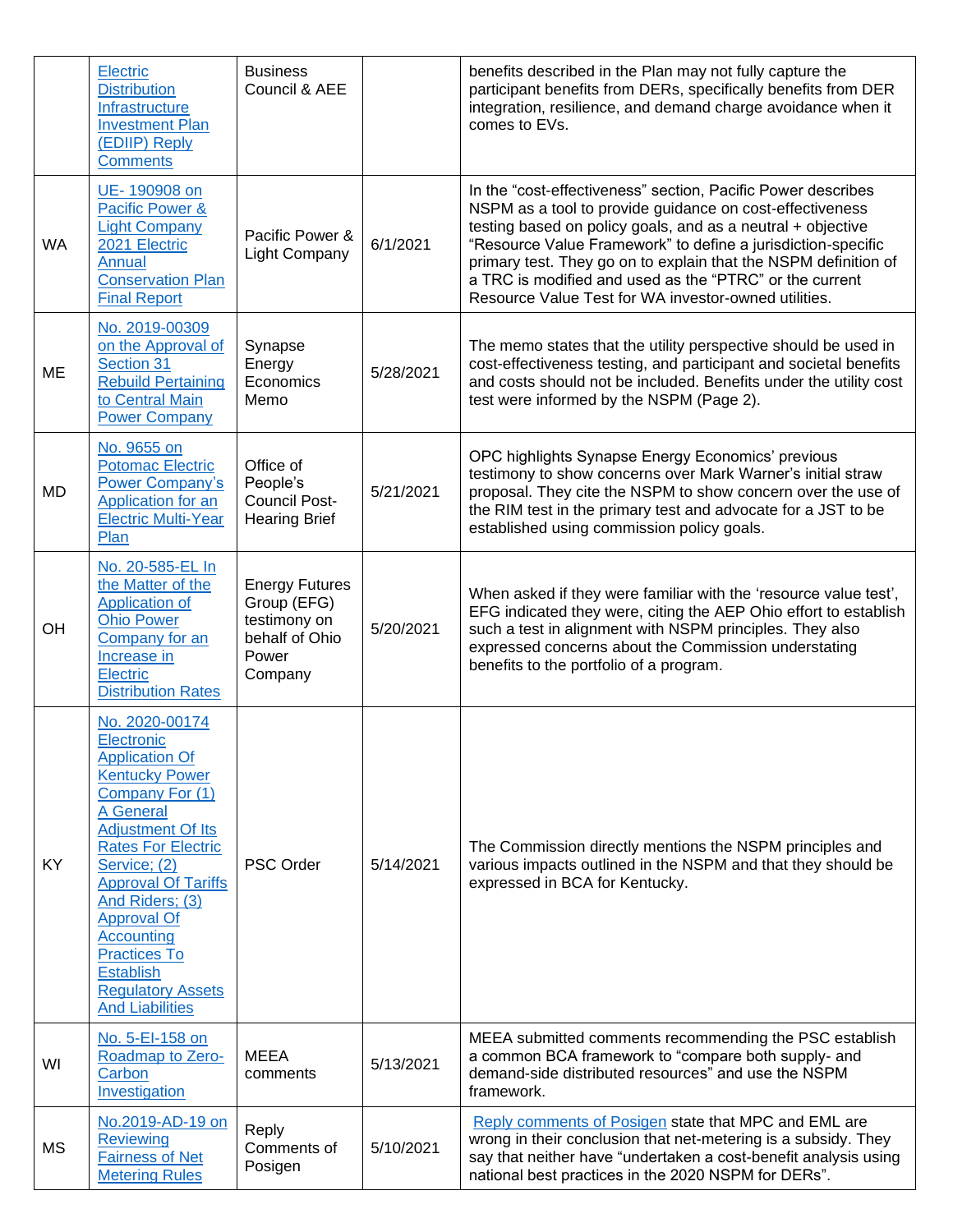|           | Electric<br><b>Distribution</b><br>Infrastructure<br><b>Investment Plan</b><br>(EDIIP) Reply<br><b>Comments</b>                                                                                                                                                                                                                                                                      | <b>Business</b><br>Council & AEE                                                           |           | benefits described in the Plan may not fully capture the<br>participant benefits from DERs, specifically benefits from DER<br>integration, resilience, and demand charge avoidance when it<br>comes to EVs.                                                                                                                                                                                                                                   |
|-----------|--------------------------------------------------------------------------------------------------------------------------------------------------------------------------------------------------------------------------------------------------------------------------------------------------------------------------------------------------------------------------------------|--------------------------------------------------------------------------------------------|-----------|-----------------------------------------------------------------------------------------------------------------------------------------------------------------------------------------------------------------------------------------------------------------------------------------------------------------------------------------------------------------------------------------------------------------------------------------------|
| WA        | UE-190908 on<br>Pacific Power &<br><b>Light Company</b><br>2021 Electric<br>Annual<br><b>Conservation Plan</b><br><b>Final Report</b>                                                                                                                                                                                                                                                | Pacific Power &<br><b>Light Company</b>                                                    | 6/1/2021  | In the "cost-effectiveness" section, Pacific Power describes<br>NSPM as a tool to provide guidance on cost-effectiveness<br>testing based on policy goals, and as a neutral + objective<br>"Resource Value Framework" to define a jurisdiction-specific<br>primary test. They go on to explain that the NSPM definition of<br>a TRC is modified and used as the "PTRC" or the current<br>Resource Value Test for WA investor-owned utilities. |
| ME        | No. 2019-00309<br>on the Approval of<br>Section 31<br><b>Rebuild Pertaining</b><br>to Central Main<br><b>Power Company</b>                                                                                                                                                                                                                                                           | Synapse<br>Energy<br>Economics<br>Memo                                                     | 5/28/2021 | The memo states that the utility perspective should be used in<br>cost-effectiveness testing, and participant and societal benefits<br>and costs should not be included. Benefits under the utility cost<br>test were informed by the NSPM (Page 2).                                                                                                                                                                                          |
| <b>MD</b> | No. 9655 on<br><b>Potomac Electric</b><br><b>Power Company's</b><br>Application for an<br><b>Electric Multi-Year</b><br>Plan                                                                                                                                                                                                                                                         | Office of<br>People's<br><b>Council Post-</b><br><b>Hearing Brief</b>                      | 5/21/2021 | OPC highlights Synapse Energy Economics' previous<br>testimony to show concerns over Mark Warner's initial straw<br>proposal. They cite the NSPM to show concern over the use of<br>the RIM test in the primary test and advocate for a JST to be<br>established using commission policy goals.                                                                                                                                               |
| OH        | No. 20-585-EL In<br>the Matter of the<br>Application of<br><b>Ohio Power</b><br>Company for an<br>Increase in<br>Electric<br><b>Distribution Rates</b>                                                                                                                                                                                                                               | <b>Energy Futures</b><br>Group (EFG)<br>testimony on<br>behalf of Ohio<br>Power<br>Company | 5/20/2021 | When asked if they were familiar with the 'resource value test',<br>EFG indicated they were, citing the AEP Ohio effort to establish<br>such a test in alignment with NSPM principles. They also<br>expressed concerns about the Commission understating<br>benefits to the portfolio of a program.                                                                                                                                           |
| KY        | No. 2020-00174<br>Electronic<br><b>Application Of</b><br><b>Kentucky Power</b><br>Company For (1)<br>A General<br><b>Adjustment Of Its</b><br><b>Rates For Electric</b><br>Service; (2)<br><b>Approval Of Tariffs</b><br>And Riders; (3)<br><b>Approval Of</b><br><b>Accounting</b><br><b>Practices To</b><br><b>Establish</b><br><b>Regulatory Assets</b><br><b>And Liabilities</b> | <b>PSC Order</b>                                                                           | 5/14/2021 | The Commission directly mentions the NSPM principles and<br>various impacts outlined in the NSPM and that they should be<br>expressed in BCA for Kentucky.                                                                                                                                                                                                                                                                                    |
| WI        | No. 5-EI-158 on<br>Roadmap to Zero-<br>Carbon<br>Investigation                                                                                                                                                                                                                                                                                                                       | <b>MEEA</b><br>comments                                                                    | 5/13/2021 | MEEA submitted comments recommending the PSC establish<br>a common BCA framework to "compare both supply- and<br>demand-side distributed resources" and use the NSPM<br>framework.                                                                                                                                                                                                                                                            |
| МS        | No.2019-AD-19 on<br><b>Reviewing</b><br><b>Fairness of Net</b><br><b>Metering Rules</b>                                                                                                                                                                                                                                                                                              | Reply<br>Comments of<br>Posigen                                                            | 5/10/2021 | Reply comments of Posigen state that MPC and EML are<br>wrong in their conclusion that net-metering is a subsidy. They<br>say that neither have "undertaken a cost-benefit analysis using<br>national best practices in the 2020 NSPM for DERs".                                                                                                                                                                                              |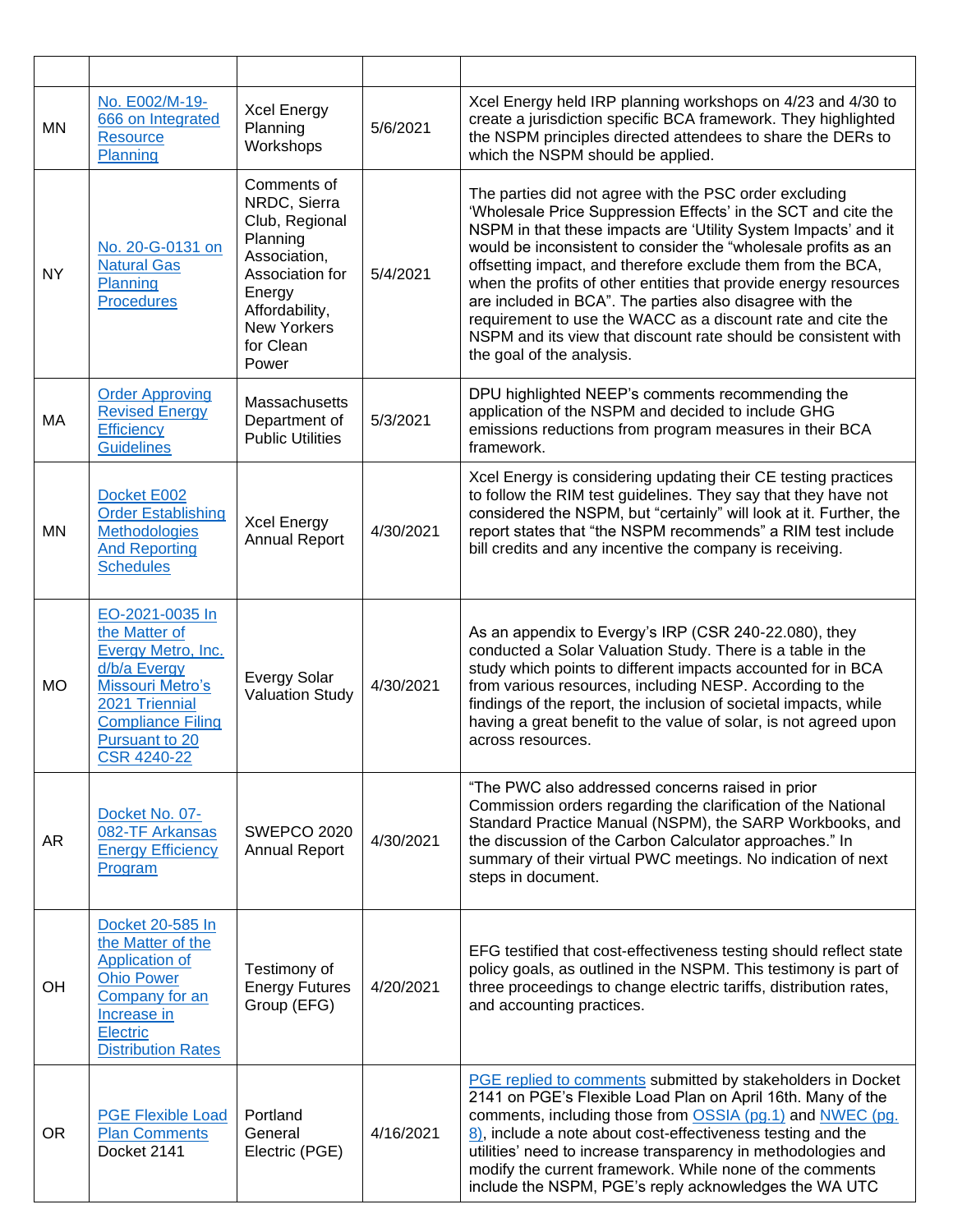| <b>MN</b> | No. E002/M-19-<br>666 on Integrated<br>Resource<br>Planning                                                                                                                                    | <b>Xcel Energy</b><br>Planning<br>Workshops                                                                                                                          | 5/6/2021  | Xcel Energy held IRP planning workshops on 4/23 and 4/30 to<br>create a jurisdiction specific BCA framework. They highlighted<br>the NSPM principles directed attendees to share the DERs to<br>which the NSPM should be applied.                                                                                                                                                                                                                                                                                                                                                                                        |
|-----------|------------------------------------------------------------------------------------------------------------------------------------------------------------------------------------------------|----------------------------------------------------------------------------------------------------------------------------------------------------------------------|-----------|--------------------------------------------------------------------------------------------------------------------------------------------------------------------------------------------------------------------------------------------------------------------------------------------------------------------------------------------------------------------------------------------------------------------------------------------------------------------------------------------------------------------------------------------------------------------------------------------------------------------------|
| <b>NY</b> | No. 20-G-0131 on<br><b>Natural Gas</b><br>Planning<br><b>Procedures</b>                                                                                                                        | Comments of<br>NRDC, Sierra<br>Club, Regional<br>Planning<br>Association,<br>Association for<br>Energy<br>Affordability,<br><b>New Yorkers</b><br>for Clean<br>Power | 5/4/2021  | The parties did not agree with the PSC order excluding<br>'Wholesale Price Suppression Effects' in the SCT and cite the<br>NSPM in that these impacts are 'Utility System Impacts' and it<br>would be inconsistent to consider the "wholesale profits as an<br>offsetting impact, and therefore exclude them from the BCA,<br>when the profits of other entities that provide energy resources<br>are included in BCA". The parties also disagree with the<br>requirement to use the WACC as a discount rate and cite the<br>NSPM and its view that discount rate should be consistent with<br>the goal of the analysis. |
| MA        | <b>Order Approving</b><br><b>Revised Energy</b><br>Efficiency<br><b>Guidelines</b>                                                                                                             | Massachusetts<br>Department of<br><b>Public Utilities</b>                                                                                                            | 5/3/2021  | DPU highlighted NEEP's comments recommending the<br>application of the NSPM and decided to include GHG<br>emissions reductions from program measures in their BCA<br>framework.                                                                                                                                                                                                                                                                                                                                                                                                                                          |
| <b>MN</b> | Docket E002<br><b>Order Establishing</b><br><b>Methodologies</b><br><b>And Reporting</b><br><b>Schedules</b>                                                                                   | <b>Xcel Energy</b><br><b>Annual Report</b>                                                                                                                           | 4/30/2021 | Xcel Energy is considering updating their CE testing practices<br>to follow the RIM test guidelines. They say that they have not<br>considered the NSPM, but "certainly" will look at it. Further, the<br>report states that "the NSPM recommends" a RIM test include<br>bill credits and any incentive the company is receiving.                                                                                                                                                                                                                                                                                        |
| <b>MO</b> | EO-2021-0035 In<br>the Matter of<br>Evergy Metro, Inc.<br>d/b/a Evergy<br><b>Missouri Metro's</b><br>2021 Triennial<br><b>Compliance Filing</b><br><b>Pursuant to 20</b><br><b>CSR 4240-22</b> | <b>Evergy Solar</b><br><b>Valuation Study</b>                                                                                                                        | 4/30/2021 | As an appendix to Evergy's IRP (CSR 240-22.080), they<br>conducted a Solar Valuation Study. There is a table in the<br>study which points to different impacts accounted for in BCA<br>from various resources, including NESP. According to the<br>findings of the report, the inclusion of societal impacts, while<br>having a great benefit to the value of solar, is not agreed upon<br>across resources.                                                                                                                                                                                                             |
| AR        | Docket No. 07-<br>082-TF Arkansas<br><b>Energy Efficiency</b><br>Program                                                                                                                       | <b>SWEPCO 2020</b><br>Annual Report                                                                                                                                  | 4/30/2021 | "The PWC also addressed concerns raised in prior<br>Commission orders regarding the clarification of the National<br>Standard Practice Manual (NSPM), the SARP Workbooks, and<br>the discussion of the Carbon Calculator approaches." In<br>summary of their virtual PWC meetings. No indication of next<br>steps in document.                                                                                                                                                                                                                                                                                           |
| OH        | Docket 20-585 In<br>the Matter of the<br><b>Application of</b><br><b>Ohio Power</b><br>Company for an<br>Increase in<br>Electric<br><b>Distribution Rates</b>                                  | Testimony of<br><b>Energy Futures</b><br>Group (EFG)                                                                                                                 | 4/20/2021 | EFG testified that cost-effectiveness testing should reflect state<br>policy goals, as outlined in the NSPM. This testimony is part of<br>three proceedings to change electric tariffs, distribution rates,<br>and accounting practices.                                                                                                                                                                                                                                                                                                                                                                                 |
| <b>OR</b> | <b>PGE Flexible Load</b><br><b>Plan Comments</b><br>Docket 2141                                                                                                                                | Portland<br>General<br>Electric (PGE)                                                                                                                                | 4/16/2021 | PGE replied to comments submitted by stakeholders in Docket<br>2141 on PGE's Flexible Load Plan on April 16th. Many of the<br>comments, including those from OSSIA (pg.1) and NWEC (pg.<br>8), include a note about cost-effectiveness testing and the<br>utilities' need to increase transparency in methodologies and<br>modify the current framework. While none of the comments<br>include the NSPM, PGE's reply acknowledges the WA UTC                                                                                                                                                                             |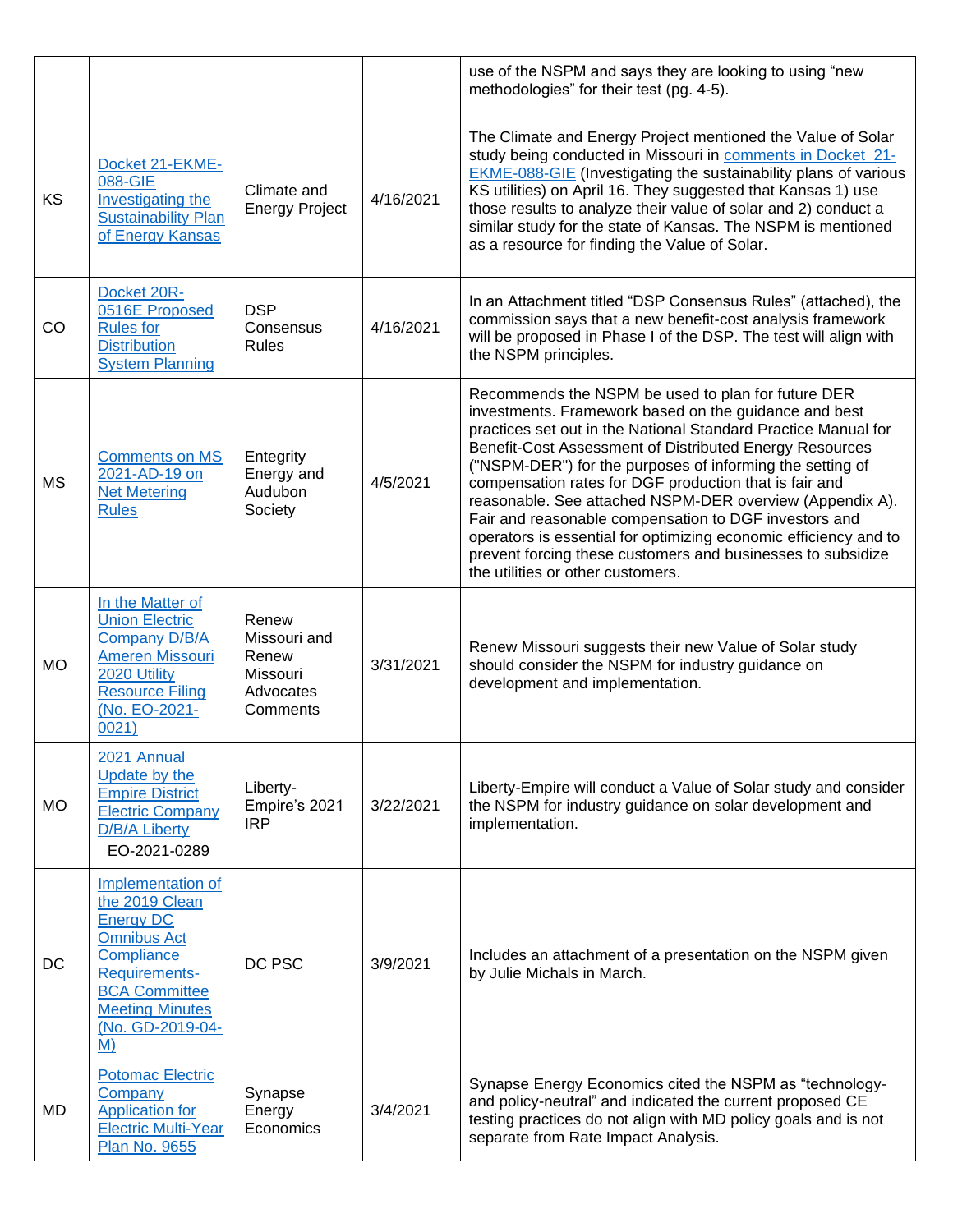|           |                                                                                                                                                                                          |                                                                     |           | use of the NSPM and says they are looking to using "new<br>methodologies" for their test (pg. 4-5).                                                                                                                                                                                                                                                                                                                                                                                                                                                                                                                                                          |
|-----------|------------------------------------------------------------------------------------------------------------------------------------------------------------------------------------------|---------------------------------------------------------------------|-----------|--------------------------------------------------------------------------------------------------------------------------------------------------------------------------------------------------------------------------------------------------------------------------------------------------------------------------------------------------------------------------------------------------------------------------------------------------------------------------------------------------------------------------------------------------------------------------------------------------------------------------------------------------------------|
| KS        | Docket 21-EKME-<br>088-GIE<br>Investigating the<br><b>Sustainability Plan</b><br>of Energy Kansas                                                                                        | Climate and<br><b>Energy Project</b>                                | 4/16/2021 | The Climate and Energy Project mentioned the Value of Solar<br>study being conducted in Missouri in comments in Docket 21-<br><b>EKME-088-GIE</b> (Investigating the sustainability plans of various<br>KS utilities) on April 16. They suggested that Kansas 1) use<br>those results to analyze their value of solar and 2) conduct a<br>similar study for the state of Kansas. The NSPM is mentioned<br>as a resource for finding the Value of Solar.                                                                                                                                                                                                      |
| CO        | Docket 20R-<br>0516E Proposed<br><b>Rules for</b><br><b>Distribution</b><br><b>System Planning</b>                                                                                       | <b>DSP</b><br>Consensus<br>Rules                                    | 4/16/2021 | In an Attachment titled "DSP Consensus Rules" (attached), the<br>commission says that a new benefit-cost analysis framework<br>will be proposed in Phase I of the DSP. The test will align with<br>the NSPM principles.                                                                                                                                                                                                                                                                                                                                                                                                                                      |
| <b>MS</b> | <b>Comments on MS</b><br>2021-AD-19 on<br><b>Net Metering</b><br><b>Rules</b>                                                                                                            | Entegrity<br>Energy and<br>Audubon<br>Society                       | 4/5/2021  | Recommends the NSPM be used to plan for future DER<br>investments. Framework based on the guidance and best<br>practices set out in the National Standard Practice Manual for<br>Benefit-Cost Assessment of Distributed Energy Resources<br>("NSPM-DER") for the purposes of informing the setting of<br>compensation rates for DGF production that is fair and<br>reasonable. See attached NSPM-DER overview (Appendix A).<br>Fair and reasonable compensation to DGF investors and<br>operators is essential for optimizing economic efficiency and to<br>prevent forcing these customers and businesses to subsidize<br>the utilities or other customers. |
| <b>MO</b> | In the Matter of<br><b>Union Electric</b><br><b>Company D/B/A</b><br><b>Ameren Missouri</b><br>2020 Utility<br><b>Resource Filing</b><br>(No. EO-2021-<br>0021)                          | Renew<br>Missouri and<br>Renew<br>Missouri<br>Advocates<br>Comments | 3/31/2021 | Renew Missouri suggests their new Value of Solar study<br>should consider the NSPM for industry guidance on<br>development and implementation.                                                                                                                                                                                                                                                                                                                                                                                                                                                                                                               |
| <b>MO</b> | 2021 Annual<br><b>Update by the</b><br><b>Empire District</b><br><b>Electric Company</b><br>D/B/A Liberty<br>EO-2021-0289                                                                | Liberty-<br>Empire's 2021<br><b>IRP</b>                             | 3/22/2021 | Liberty-Empire will conduct a Value of Solar study and consider<br>the NSPM for industry guidance on solar development and<br>implementation.                                                                                                                                                                                                                                                                                                                                                                                                                                                                                                                |
| DC        | Implementation of<br>the 2019 Clean<br><b>Energy DC</b><br><b>Omnibus Act</b><br>Compliance<br>Requirements-<br><b>BCA Committee</b><br><b>Meeting Minutes</b><br>(No. GD-2019-04-<br>M) | DC PSC                                                              | 3/9/2021  | Includes an attachment of a presentation on the NSPM given<br>by Julie Michals in March.                                                                                                                                                                                                                                                                                                                                                                                                                                                                                                                                                                     |
| MD        | <b>Potomac Electric</b><br>Company<br><b>Application for</b><br><b>Electric Multi-Year</b><br><b>Plan No. 9655</b>                                                                       | Synapse<br>Energy<br>Economics                                      | 3/4/2021  | Synapse Energy Economics cited the NSPM as "technology-<br>and policy-neutral" and indicated the current proposed CE<br>testing practices do not align with MD policy goals and is not<br>separate from Rate Impact Analysis.                                                                                                                                                                                                                                                                                                                                                                                                                                |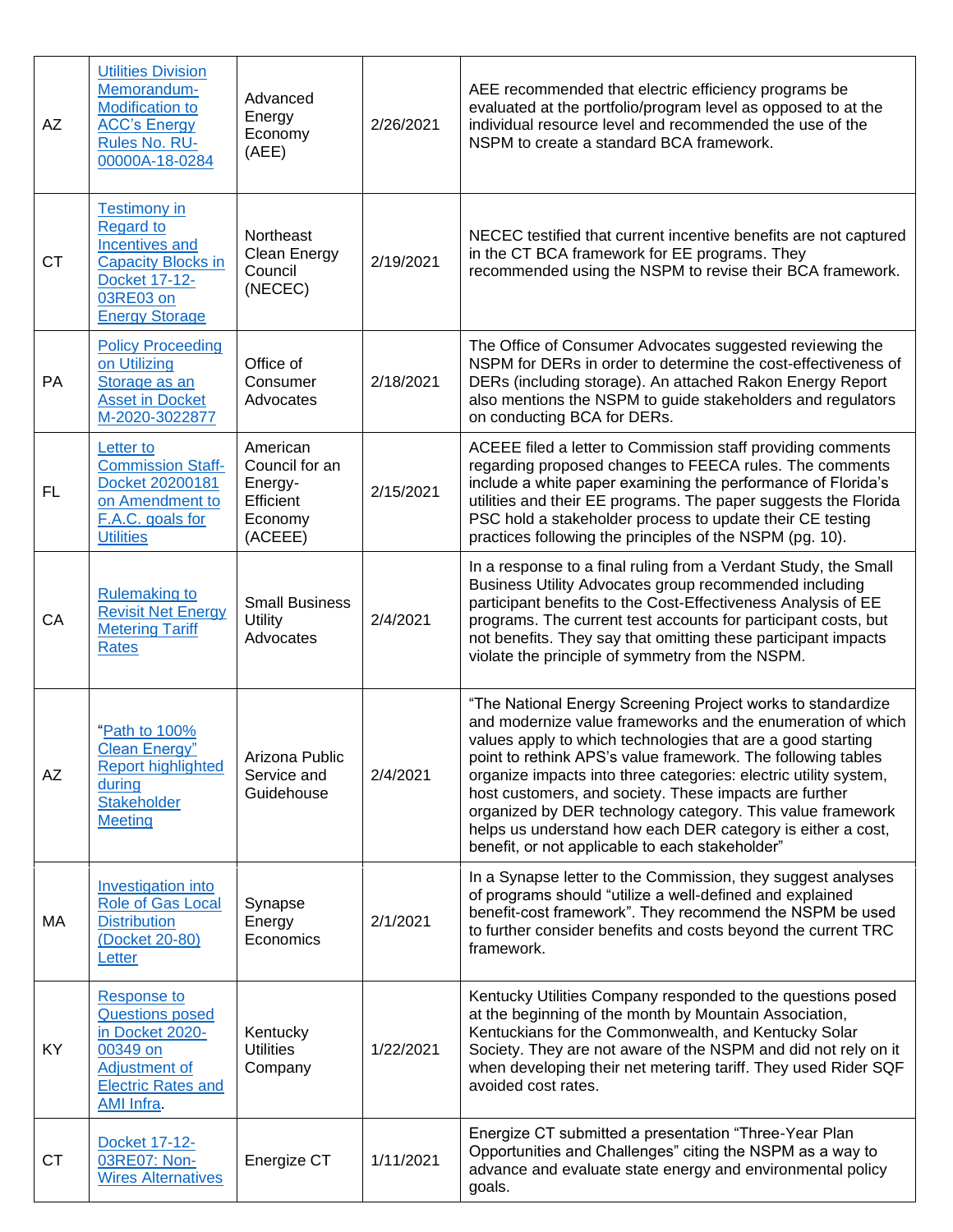| AZ        | <b>Utilities Division</b><br>Memorandum-<br><b>Modification to</b><br><b>ACC's Energy</b><br>Rules No. RU-<br>00000A-18-0284                                | Advanced<br>Energy<br>Economy<br>(AEE)                                   | 2/26/2021 | AEE recommended that electric efficiency programs be<br>evaluated at the portfolio/program level as opposed to at the<br>individual resource level and recommended the use of the<br>NSPM to create a standard BCA framework.                                                                                                                                                                                                                                                                                                                                           |
|-----------|-------------------------------------------------------------------------------------------------------------------------------------------------------------|--------------------------------------------------------------------------|-----------|-------------------------------------------------------------------------------------------------------------------------------------------------------------------------------------------------------------------------------------------------------------------------------------------------------------------------------------------------------------------------------------------------------------------------------------------------------------------------------------------------------------------------------------------------------------------------|
| <b>CT</b> | <b>Testimony in</b><br><b>Regard to</b><br><b>Incentives and</b><br><b>Capacity Blocks in</b><br><b>Docket 17-12-</b><br>03RE03 on<br><b>Energy Storage</b> | Northeast<br>Clean Energy<br>Council<br>(NECEC)                          | 2/19/2021 | NECEC testified that current incentive benefits are not captured<br>in the CT BCA framework for EE programs. They<br>recommended using the NSPM to revise their BCA framework.                                                                                                                                                                                                                                                                                                                                                                                          |
| PA        | <b>Policy Proceeding</b><br>on Utilizing<br>Storage as an<br><b>Asset in Docket</b><br>M-2020-3022877                                                       | Office of<br>Consumer<br>Advocates                                       | 2/18/2021 | The Office of Consumer Advocates suggested reviewing the<br>NSPM for DERs in order to determine the cost-effectiveness of<br>DERs (including storage). An attached Rakon Energy Report<br>also mentions the NSPM to guide stakeholders and regulators<br>on conducting BCA for DERs.                                                                                                                                                                                                                                                                                    |
| FL.       | Letter to<br><b>Commission Staff-</b><br>Docket 20200181<br>on Amendment to<br>F.A.C. goals for<br><b>Utilities</b>                                         | American<br>Council for an<br>Energy-<br>Efficient<br>Economy<br>(ACEEE) | 2/15/2021 | ACEEE filed a letter to Commission staff providing comments<br>regarding proposed changes to FEECA rules. The comments<br>include a white paper examining the performance of Florida's<br>utilities and their EE programs. The paper suggests the Florida<br>PSC hold a stakeholder process to update their CE testing<br>practices following the principles of the NSPM (pg. 10).                                                                                                                                                                                      |
| CA        | <b>Rulemaking to</b><br><b>Revisit Net Energy</b><br><b>Metering Tariff</b><br><b>Rates</b>                                                                 | <b>Small Business</b><br>Utility<br>Advocates                            | 2/4/2021  | In a response to a final ruling from a Verdant Study, the Small<br>Business Utility Advocates group recommended including<br>participant benefits to the Cost-Effectiveness Analysis of EE<br>programs. The current test accounts for participant costs, but<br>not benefits. They say that omitting these participant impacts<br>violate the principle of symmetry from the NSPM.                                                                                                                                                                                      |
| AZ        | "Path to 100%<br>Clean Energy"<br><b>Report highlighted</b><br>during<br>Stakeholder<br><b>Meeting</b>                                                      | Arizona Public<br>Service and<br>Guidehouse                              | 2/4/2021  | "The National Energy Screening Project works to standardize<br>and modernize value frameworks and the enumeration of which<br>values apply to which technologies that are a good starting<br>point to rethink APS's value framework. The following tables<br>organize impacts into three categories: electric utility system,<br>host customers, and society. These impacts are further<br>organized by DER technology category. This value framework<br>helps us understand how each DER category is either a cost,<br>benefit, or not applicable to each stakeholder" |
| МA        | <b>Investigation into</b><br><b>Role of Gas Local</b><br><b>Distribution</b><br>(Docket 20-80)<br>Letter                                                    | Synapse<br>Energy<br>Economics                                           | 2/1/2021  | In a Synapse letter to the Commission, they suggest analyses<br>of programs should "utilize a well-defined and explained<br>benefit-cost framework". They recommend the NSPM be used<br>to further consider benefits and costs beyond the current TRC<br>framework.                                                                                                                                                                                                                                                                                                     |
| KY        | <b>Response to</b><br><b>Questions posed</b><br>in Docket 2020-<br>00349 on<br><b>Adjustment of</b><br><b>Electric Rates and</b><br>AMI Infra.              | Kentucky<br><b>Utilities</b><br>Company                                  | 1/22/2021 | Kentucky Utilities Company responded to the questions posed<br>at the beginning of the month by Mountain Association,<br>Kentuckians for the Commonwealth, and Kentucky Solar<br>Society. They are not aware of the NSPM and did not rely on it<br>when developing their net metering tariff. They used Rider SQF<br>avoided cost rates.                                                                                                                                                                                                                                |
| <b>CT</b> | Docket 17-12-<br>03RE07: Non-<br><b>Wires Alternatives</b>                                                                                                  | Energize CT                                                              | 1/11/2021 | Energize CT submitted a presentation "Three-Year Plan<br>Opportunities and Challenges" citing the NSPM as a way to<br>advance and evaluate state energy and environmental policy<br>goals.                                                                                                                                                                                                                                                                                                                                                                              |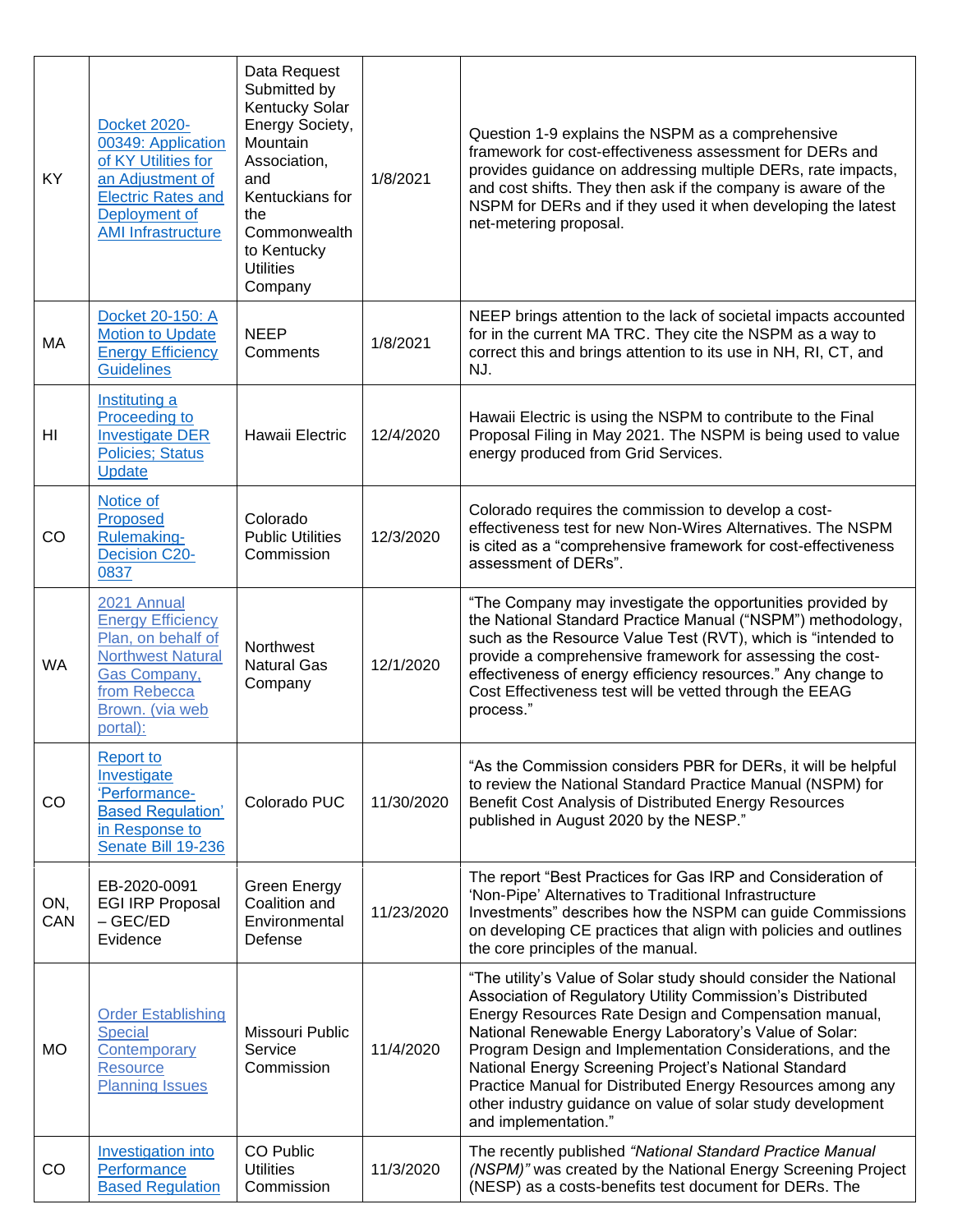| <b>KY</b>  | <b>Docket 2020-</b><br>00349: Application<br>of KY Utilities for<br>an Adjustment of<br><b>Electric Rates and</b><br>Deployment of<br><b>AMI Infrastructure</b> | Data Request<br>Submitted by<br>Kentucky Solar<br>Energy Society,<br>Mountain<br>Association,<br>and<br>Kentuckians for<br>the<br>Commonwealth<br>to Kentucky<br><b>Utilities</b><br>Company | 1/8/2021   | Question 1-9 explains the NSPM as a comprehensive<br>framework for cost-effectiveness assessment for DERs and<br>provides guidance on addressing multiple DERs, rate impacts,<br>and cost shifts. They then ask if the company is aware of the<br>NSPM for DERs and if they used it when developing the latest<br>net-metering proposal.                                                                                                                                                                                     |
|------------|-----------------------------------------------------------------------------------------------------------------------------------------------------------------|----------------------------------------------------------------------------------------------------------------------------------------------------------------------------------------------|------------|------------------------------------------------------------------------------------------------------------------------------------------------------------------------------------------------------------------------------------------------------------------------------------------------------------------------------------------------------------------------------------------------------------------------------------------------------------------------------------------------------------------------------|
| МA         | Docket 20-150: A<br><b>Motion to Update</b><br><b>Energy Efficiency</b><br><b>Guidelines</b>                                                                    | <b>NEEP</b><br>Comments                                                                                                                                                                      | 1/8/2021   | NEEP brings attention to the lack of societal impacts accounted<br>for in the current MA TRC. They cite the NSPM as a way to<br>correct this and brings attention to its use in NH, RI, CT, and<br>NJ.                                                                                                                                                                                                                                                                                                                       |
| HI         | Instituting a<br>Proceeding to<br><b>Investigate DER</b><br><b>Policies; Status</b><br><b>Update</b>                                                            | Hawaii Electric                                                                                                                                                                              | 12/4/2020  | Hawaii Electric is using the NSPM to contribute to the Final<br>Proposal Filing in May 2021. The NSPM is being used to value<br>energy produced from Grid Services.                                                                                                                                                                                                                                                                                                                                                          |
| <b>CO</b>  | Notice of<br>Proposed<br>Rulemaking-<br><b>Decision C20-</b><br>0837                                                                                            | Colorado<br><b>Public Utilities</b><br>Commission                                                                                                                                            | 12/3/2020  | Colorado requires the commission to develop a cost-<br>effectiveness test for new Non-Wires Alternatives. The NSPM<br>is cited as a "comprehensive framework for cost-effectiveness<br>assessment of DERs".                                                                                                                                                                                                                                                                                                                  |
| <b>WA</b>  | 2021 Annual<br><b>Energy Efficiency</b><br>Plan, on behalf of<br><b>Northwest Natural</b><br>Gas Company,<br>from Rebecca<br>Brown. (via web<br>portal):        | <b>Northwest</b><br><b>Natural Gas</b><br>Company                                                                                                                                            | 12/1/2020  | "The Company may investigate the opportunities provided by<br>the National Standard Practice Manual ("NSPM") methodology,<br>such as the Resource Value Test (RVT), which is "intended to<br>provide a comprehensive framework for assessing the cost-<br>effectiveness of energy efficiency resources." Any change to<br>Cost Effectiveness test will be vetted through the EEAG<br>process."                                                                                                                               |
| CO         | Report to<br>Investigate<br>'Performance-<br><b>Based Regulation'</b><br>in Response to<br>Senate Bill 19-236                                                   | Colorado PUC                                                                                                                                                                                 | 11/30/2020 | "As the Commission considers PBR for DERs, it will be helpful<br>to review the National Standard Practice Manual (NSPM) for<br>Benefit Cost Analysis of Distributed Energy Resources<br>published in August 2020 by the NESP."                                                                                                                                                                                                                                                                                               |
| ON,<br>CAN | EB-2020-0091<br><b>EGI IRP Proposal</b><br>$-$ GEC/ED<br>Evidence                                                                                               | Green Energy<br>Coalition and<br>Environmental<br>Defense                                                                                                                                    | 11/23/2020 | The report "Best Practices for Gas IRP and Consideration of<br>'Non-Pipe' Alternatives to Traditional Infrastructure<br>Investments" describes how the NSPM can guide Commissions<br>on developing CE practices that align with policies and outlines<br>the core principles of the manual.                                                                                                                                                                                                                                  |
| <b>MO</b>  | <b>Order Establishing</b><br>Special<br>Contemporary<br><b>Resource</b><br><b>Planning Issues</b>                                                               | Missouri Public<br>Service<br>Commission                                                                                                                                                     | 11/4/2020  | "The utility's Value of Solar study should consider the National<br>Association of Regulatory Utility Commission's Distributed<br>Energy Resources Rate Design and Compensation manual,<br>National Renewable Energy Laboratory's Value of Solar:<br>Program Design and Implementation Considerations, and the<br>National Energy Screening Project's National Standard<br>Practice Manual for Distributed Energy Resources among any<br>other industry guidance on value of solar study development<br>and implementation." |
| CO         | Investigation into<br>Performance<br><b>Based Regulation</b>                                                                                                    | CO Public<br><b>Utilities</b><br>Commission                                                                                                                                                  | 11/3/2020  | The recently published "National Standard Practice Manual<br>(NSPM)" was created by the National Energy Screening Project<br>(NESP) as a costs-benefits test document for DERs. The                                                                                                                                                                                                                                                                                                                                          |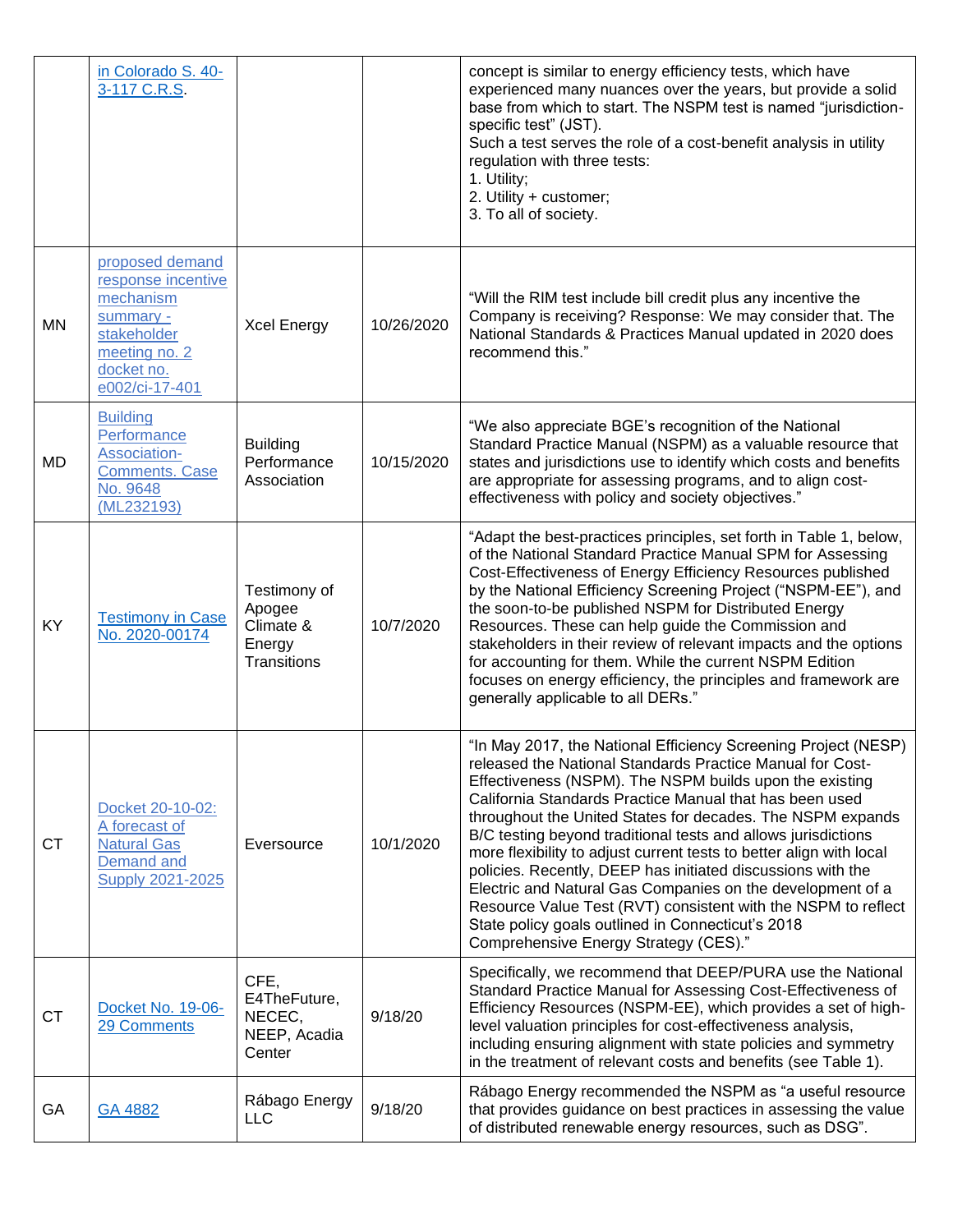|           | in Colorado S. 40-<br>3-117 C.R.S.                                                                                              |                                                              |            | concept is similar to energy efficiency tests, which have<br>experienced many nuances over the years, but provide a solid<br>base from which to start. The NSPM test is named "jurisdiction-<br>specific test" (JST).<br>Such a test serves the role of a cost-benefit analysis in utility<br>regulation with three tests:<br>1. Utility;<br>2. Utility + customer;<br>3. To all of society.                                                                                                                                                                                                                                                                                                                                                        |
|-----------|---------------------------------------------------------------------------------------------------------------------------------|--------------------------------------------------------------|------------|-----------------------------------------------------------------------------------------------------------------------------------------------------------------------------------------------------------------------------------------------------------------------------------------------------------------------------------------------------------------------------------------------------------------------------------------------------------------------------------------------------------------------------------------------------------------------------------------------------------------------------------------------------------------------------------------------------------------------------------------------------|
| <b>MN</b> | proposed demand<br>response incentive<br>mechanism<br>summary -<br>stakeholder<br>meeting no. 2<br>docket no.<br>e002/ci-17-401 | <b>Xcel Energy</b>                                           | 10/26/2020 | "Will the RIM test include bill credit plus any incentive the<br>Company is receiving? Response: We may consider that. The<br>National Standards & Practices Manual updated in 2020 does<br>recommend this."                                                                                                                                                                                                                                                                                                                                                                                                                                                                                                                                        |
| MD        | <b>Building</b><br>Performance<br>Association-<br><b>Comments. Case</b><br>No. 9648<br>(ML232193)                               | <b>Building</b><br>Performance<br>Association                | 10/15/2020 | "We also appreciate BGE's recognition of the National<br>Standard Practice Manual (NSPM) as a valuable resource that<br>states and jurisdictions use to identify which costs and benefits<br>are appropriate for assessing programs, and to align cost-<br>effectiveness with policy and society objectives."                                                                                                                                                                                                                                                                                                                                                                                                                                       |
| <b>KY</b> | <b>Testimony in Case</b><br>No. 2020-00174                                                                                      | Testimony of<br>Apogee<br>Climate &<br>Energy<br>Transitions | 10/7/2020  | "Adapt the best-practices principles, set forth in Table 1, below,<br>of the National Standard Practice Manual SPM for Assessing<br>Cost-Effectiveness of Energy Efficiency Resources published<br>by the National Efficiency Screening Project ("NSPM-EE"), and<br>the soon-to-be published NSPM for Distributed Energy<br>Resources. These can help guide the Commission and<br>stakeholders in their review of relevant impacts and the options<br>for accounting for them. While the current NSPM Edition<br>focuses on energy efficiency, the principles and framework are<br>generally applicable to all DERs."                                                                                                                               |
| <b>CT</b> | Docket 20-10-02:<br>A forecast of<br><b>Natural Gas</b><br>Demand and<br><b>Supply 2021-2025</b>                                | Eversource                                                   | 10/1/2020  | "In May 2017, the National Efficiency Screening Project (NESP)<br>released the National Standards Practice Manual for Cost-<br>Effectiveness (NSPM). The NSPM builds upon the existing<br>California Standards Practice Manual that has been used<br>throughout the United States for decades. The NSPM expands<br>B/C testing beyond traditional tests and allows jurisdictions<br>more flexibility to adjust current tests to better align with local<br>policies. Recently, DEEP has initiated discussions with the<br>Electric and Natural Gas Companies on the development of a<br>Resource Value Test (RVT) consistent with the NSPM to reflect<br>State policy goals outlined in Connecticut's 2018<br>Comprehensive Energy Strategy (CES)." |
| <b>CT</b> | Docket No. 19-06-<br>29 Comments                                                                                                | CFE,<br>E4TheFuture,<br>NECEC,<br>NEEP, Acadia<br>Center     | 9/18/20    | Specifically, we recommend that DEEP/PURA use the National<br>Standard Practice Manual for Assessing Cost-Effectiveness of<br>Efficiency Resources (NSPM-EE), which provides a set of high-<br>level valuation principles for cost-effectiveness analysis,<br>including ensuring alignment with state policies and symmetry<br>in the treatment of relevant costs and benefits (see Table 1).                                                                                                                                                                                                                                                                                                                                                       |
| GA        | GA 4882                                                                                                                         | Rábago Energy<br><b>LLC</b>                                  | 9/18/20    | Rábago Energy recommended the NSPM as "a useful resource<br>that provides guidance on best practices in assessing the value<br>of distributed renewable energy resources, such as DSG".                                                                                                                                                                                                                                                                                                                                                                                                                                                                                                                                                             |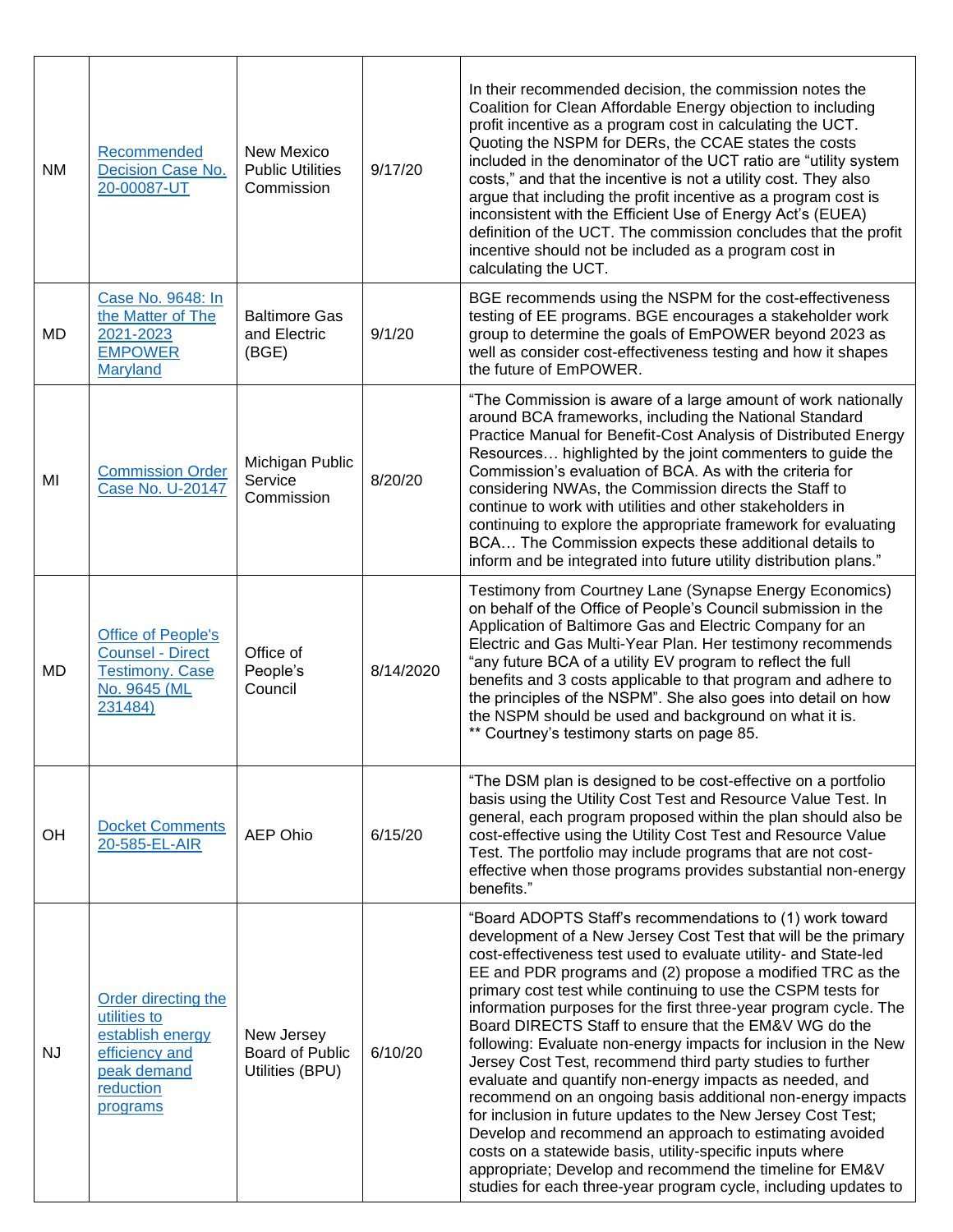| <b>NM</b> | Recommended<br>Decision Case No.<br>20-00087-UT                                                                   | New Mexico<br><b>Public Utilities</b><br>Commission | 9/17/20   | In their recommended decision, the commission notes the<br>Coalition for Clean Affordable Energy objection to including<br>profit incentive as a program cost in calculating the UCT.<br>Quoting the NSPM for DERs, the CCAE states the costs<br>included in the denominator of the UCT ratio are "utility system<br>costs," and that the incentive is not a utility cost. They also<br>argue that including the profit incentive as a program cost is<br>inconsistent with the Efficient Use of Energy Act's (EUEA)<br>definition of the UCT. The commission concludes that the profit<br>incentive should not be included as a program cost in<br>calculating the UCT.                                                                                                                                                                                                                                                                                                                                                                  |
|-----------|-------------------------------------------------------------------------------------------------------------------|-----------------------------------------------------|-----------|-------------------------------------------------------------------------------------------------------------------------------------------------------------------------------------------------------------------------------------------------------------------------------------------------------------------------------------------------------------------------------------------------------------------------------------------------------------------------------------------------------------------------------------------------------------------------------------------------------------------------------------------------------------------------------------------------------------------------------------------------------------------------------------------------------------------------------------------------------------------------------------------------------------------------------------------------------------------------------------------------------------------------------------------|
| MD        | Case No. 9648: In<br>the Matter of The<br>2021-2023<br><b>EMPOWER</b><br><b>Maryland</b>                          | <b>Baltimore Gas</b><br>and Electric<br>(BGE)       | 9/1/20    | BGE recommends using the NSPM for the cost-effectiveness<br>testing of EE programs. BGE encourages a stakeholder work<br>group to determine the goals of EmPOWER beyond 2023 as<br>well as consider cost-effectiveness testing and how it shapes<br>the future of EmPOWER.                                                                                                                                                                                                                                                                                                                                                                                                                                                                                                                                                                                                                                                                                                                                                                |
| MI        | <b>Commission Order</b><br>Case No. U-20147                                                                       | Michigan Public<br>Service<br>Commission            | 8/20/20   | "The Commission is aware of a large amount of work nationally<br>around BCA frameworks, including the National Standard<br>Practice Manual for Benefit-Cost Analysis of Distributed Energy<br>Resources highlighted by the joint commenters to guide the<br>Commission's evaluation of BCA. As with the criteria for<br>considering NWAs, the Commission directs the Staff to<br>continue to work with utilities and other stakeholders in<br>continuing to explore the appropriate framework for evaluating<br>BCA The Commission expects these additional details to<br>inform and be integrated into future utility distribution plans."                                                                                                                                                                                                                                                                                                                                                                                               |
| <b>MD</b> | <b>Office of People's</b><br><b>Counsel - Direct</b><br><b>Testimony. Case</b><br>No. 9645 (ML<br>231484)         | Office of<br>People's<br>Council                    | 8/14/2020 | Testimony from Courtney Lane (Synapse Energy Economics)<br>on behalf of the Office of People's Council submission in the<br>Application of Baltimore Gas and Electric Company for an<br>Electric and Gas Multi-Year Plan. Her testimony recommends<br>"any future BCA of a utility EV program to reflect the full<br>benefits and 3 costs applicable to that program and adhere to<br>the principles of the NSPM". She also goes into detail on how<br>the NSPM should be used and background on what it is.<br>** Courtney's testimony starts on page 85.                                                                                                                                                                                                                                                                                                                                                                                                                                                                                |
| <b>OH</b> | <b>Docket Comments</b><br>20-585-EL-AIR                                                                           | <b>AEP Ohio</b>                                     | 6/15/20   | "The DSM plan is designed to be cost-effective on a portfolio<br>basis using the Utility Cost Test and Resource Value Test. In<br>general, each program proposed within the plan should also be<br>cost-effective using the Utility Cost Test and Resource Value<br>Test. The portfolio may include programs that are not cost-<br>effective when those programs provides substantial non-energy<br>benefits."                                                                                                                                                                                                                                                                                                                                                                                                                                                                                                                                                                                                                            |
| <b>NJ</b> | Order directing the<br>utilities to<br>establish energy<br>efficiency and<br>peak demand<br>reduction<br>programs | New Jersey<br>Board of Public<br>Utilities (BPU)    | 6/10/20   | "Board ADOPTS Staff's recommendations to (1) work toward<br>development of a New Jersey Cost Test that will be the primary<br>cost-effectiveness test used to evaluate utility- and State-led<br>EE and PDR programs and (2) propose a modified TRC as the<br>primary cost test while continuing to use the CSPM tests for<br>information purposes for the first three-year program cycle. The<br>Board DIRECTS Staff to ensure that the EM&V WG do the<br>following: Evaluate non-energy impacts for inclusion in the New<br>Jersey Cost Test, recommend third party studies to further<br>evaluate and quantify non-energy impacts as needed, and<br>recommend on an ongoing basis additional non-energy impacts<br>for inclusion in future updates to the New Jersey Cost Test;<br>Develop and recommend an approach to estimating avoided<br>costs on a statewide basis, utility-specific inputs where<br>appropriate; Develop and recommend the timeline for EM&V<br>studies for each three-year program cycle, including updates to |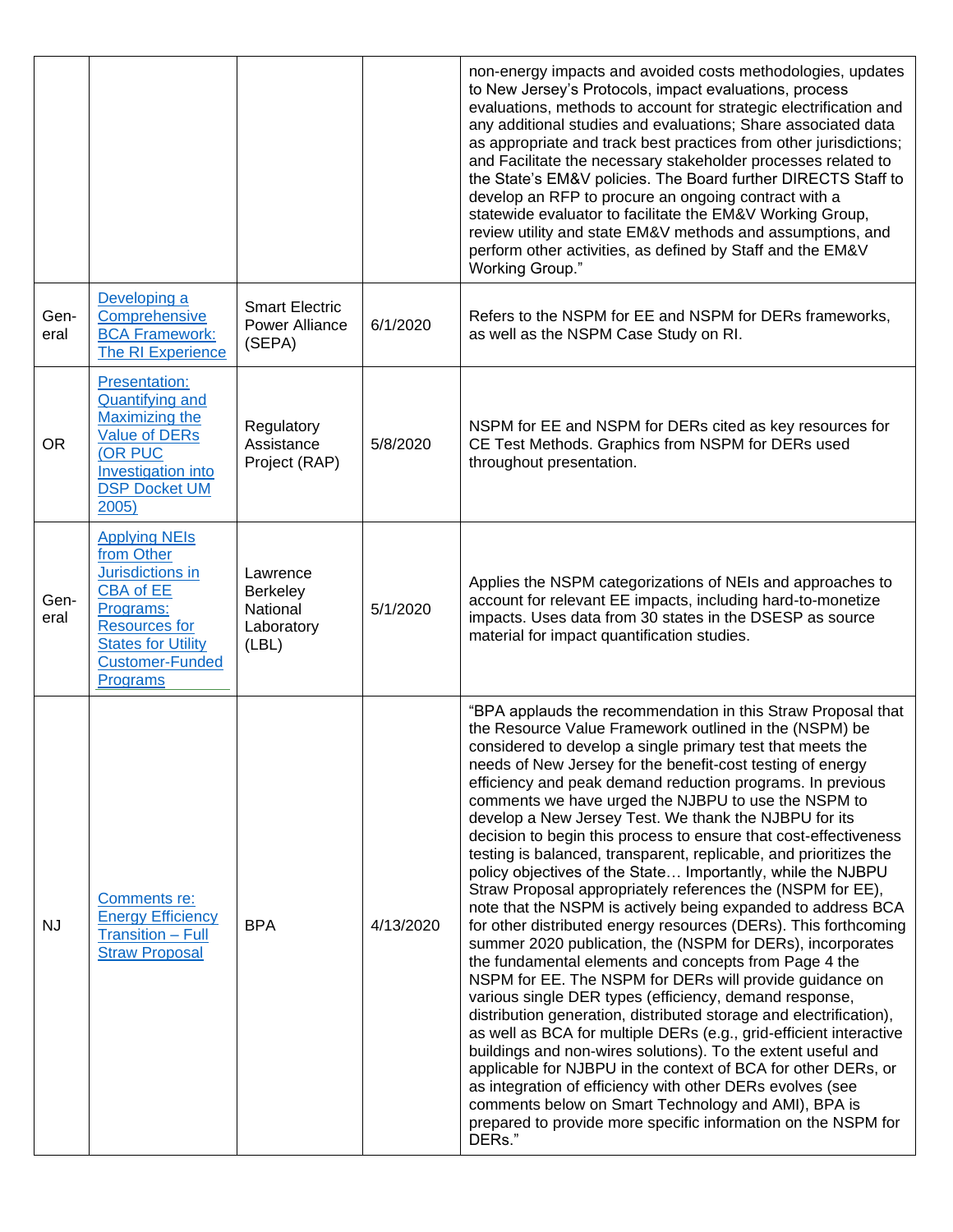|              |                                                                                                                                                                                    |                                                                |           | non-energy impacts and avoided costs methodologies, updates<br>to New Jersey's Protocols, impact evaluations, process<br>evaluations, methods to account for strategic electrification and<br>any additional studies and evaluations; Share associated data<br>as appropriate and track best practices from other jurisdictions;<br>and Facilitate the necessary stakeholder processes related to<br>the State's EM&V policies. The Board further DIRECTS Staff to<br>develop an RFP to procure an ongoing contract with a<br>statewide evaluator to facilitate the EM&V Working Group,<br>review utility and state EM&V methods and assumptions, and<br>perform other activities, as defined by Staff and the EM&V<br>Working Group."                                                                                                                                                                                                                                                                                                                                                                                                                                                                                                                                                                                                                                                                                                                                                                                                                            |
|--------------|------------------------------------------------------------------------------------------------------------------------------------------------------------------------------------|----------------------------------------------------------------|-----------|-------------------------------------------------------------------------------------------------------------------------------------------------------------------------------------------------------------------------------------------------------------------------------------------------------------------------------------------------------------------------------------------------------------------------------------------------------------------------------------------------------------------------------------------------------------------------------------------------------------------------------------------------------------------------------------------------------------------------------------------------------------------------------------------------------------------------------------------------------------------------------------------------------------------------------------------------------------------------------------------------------------------------------------------------------------------------------------------------------------------------------------------------------------------------------------------------------------------------------------------------------------------------------------------------------------------------------------------------------------------------------------------------------------------------------------------------------------------------------------------------------------------------------------------------------------------|
| Gen-<br>eral | Developing a<br>Comprehensive<br><b>BCA Framework:</b><br>The RI Experience                                                                                                        | <b>Smart Electric</b><br><b>Power Alliance</b><br>(SEPA)       | 6/1/2020  | Refers to the NSPM for EE and NSPM for DERs frameworks,<br>as well as the NSPM Case Study on RI.                                                                                                                                                                                                                                                                                                                                                                                                                                                                                                                                                                                                                                                                                                                                                                                                                                                                                                                                                                                                                                                                                                                                                                                                                                                                                                                                                                                                                                                                  |
| <b>OR</b>    | <b>Presentation:</b><br><b>Quantifying and</b><br>Maximizing the<br><b>Value of DERs</b><br>(OR PUC<br>Investigation into<br><b>DSP Docket UM</b><br>2005)                         | Regulatory<br>Assistance<br>Project (RAP)                      | 5/8/2020  | NSPM for EE and NSPM for DERs cited as key resources for<br>CE Test Methods. Graphics from NSPM for DERs used<br>throughout presentation.                                                                                                                                                                                                                                                                                                                                                                                                                                                                                                                                                                                                                                                                                                                                                                                                                                                                                                                                                                                                                                                                                                                                                                                                                                                                                                                                                                                                                         |
| Gen-<br>eral | <b>Applying NEIs</b><br>from Other<br>Jurisdictions in<br><b>CBA of EE</b><br>Programs:<br><b>Resources for</b><br><b>States for Utility</b><br><b>Customer-Funded</b><br>Programs | Lawrence<br><b>Berkeley</b><br>National<br>Laboratory<br>(LBL) | 5/1/2020  | Applies the NSPM categorizations of NEIs and approaches to<br>account for relevant EE impacts, including hard-to-monetize<br>impacts. Uses data from 30 states in the DSESP as source<br>material for impact quantification studies.                                                                                                                                                                                                                                                                                                                                                                                                                                                                                                                                                                                                                                                                                                                                                                                                                                                                                                                                                                                                                                                                                                                                                                                                                                                                                                                              |
| <b>NJ</b>    | Comments re:<br><b>Energy Efficiency</b><br><b>Transition - Full</b><br><b>Straw Proposal</b>                                                                                      | <b>BPA</b>                                                     | 4/13/2020 | "BPA applauds the recommendation in this Straw Proposal that<br>the Resource Value Framework outlined in the (NSPM) be<br>considered to develop a single primary test that meets the<br>needs of New Jersey for the benefit-cost testing of energy<br>efficiency and peak demand reduction programs. In previous<br>comments we have urged the NJBPU to use the NSPM to<br>develop a New Jersey Test. We thank the NJBPU for its<br>decision to begin this process to ensure that cost-effectiveness<br>testing is balanced, transparent, replicable, and prioritizes the<br>policy objectives of the State Importantly, while the NJBPU<br>Straw Proposal appropriately references the (NSPM for EE),<br>note that the NSPM is actively being expanded to address BCA<br>for other distributed energy resources (DERs). This forthcoming<br>summer 2020 publication, the (NSPM for DERs), incorporates<br>the fundamental elements and concepts from Page 4 the<br>NSPM for EE. The NSPM for DERs will provide guidance on<br>various single DER types (efficiency, demand response,<br>distribution generation, distributed storage and electrification),<br>as well as BCA for multiple DERs (e.g., grid-efficient interactive<br>buildings and non-wires solutions). To the extent useful and<br>applicable for NJBPU in the context of BCA for other DERs, or<br>as integration of efficiency with other DERs evolves (see<br>comments below on Smart Technology and AMI), BPA is<br>prepared to provide more specific information on the NSPM for<br>DERs." |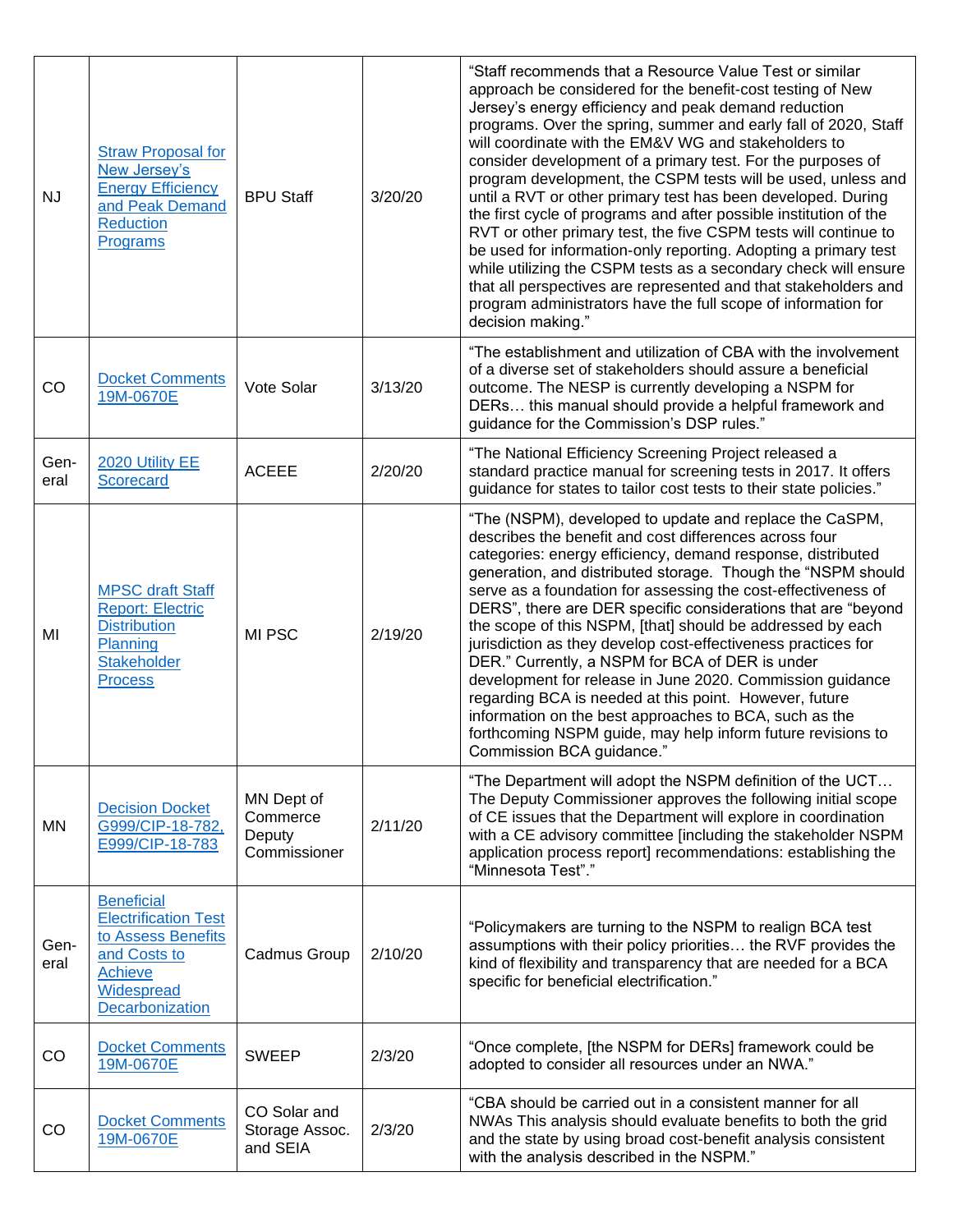| <b>NJ</b>    | <b>Straw Proposal for</b><br>New Jersey's<br><b>Energy Efficiency</b><br>and Peak Demand<br><b>Reduction</b><br>Programs           | <b>BPU Staff</b>                                 | 3/20/20 | "Staff recommends that a Resource Value Test or similar<br>approach be considered for the benefit-cost testing of New<br>Jersey's energy efficiency and peak demand reduction<br>programs. Over the spring, summer and early fall of 2020, Staff<br>will coordinate with the EM&V WG and stakeholders to<br>consider development of a primary test. For the purposes of<br>program development, the CSPM tests will be used, unless and<br>until a RVT or other primary test has been developed. During<br>the first cycle of programs and after possible institution of the<br>RVT or other primary test, the five CSPM tests will continue to<br>be used for information-only reporting. Adopting a primary test<br>while utilizing the CSPM tests as a secondary check will ensure<br>that all perspectives are represented and that stakeholders and<br>program administrators have the full scope of information for<br>decision making." |
|--------------|------------------------------------------------------------------------------------------------------------------------------------|--------------------------------------------------|---------|------------------------------------------------------------------------------------------------------------------------------------------------------------------------------------------------------------------------------------------------------------------------------------------------------------------------------------------------------------------------------------------------------------------------------------------------------------------------------------------------------------------------------------------------------------------------------------------------------------------------------------------------------------------------------------------------------------------------------------------------------------------------------------------------------------------------------------------------------------------------------------------------------------------------------------------------|
| CO           | <b>Docket Comments</b><br>19M-0670E                                                                                                | Vote Solar                                       | 3/13/20 | "The establishment and utilization of CBA with the involvement<br>of a diverse set of stakeholders should assure a beneficial<br>outcome. The NESP is currently developing a NSPM for<br>DERs this manual should provide a helpful framework and<br>guidance for the Commission's DSP rules."                                                                                                                                                                                                                                                                                                                                                                                                                                                                                                                                                                                                                                                  |
| Gen-<br>eral | 2020 Utility EE<br><b>Scorecard</b>                                                                                                | <b>ACEEE</b>                                     | 2/20/20 | "The National Efficiency Screening Project released a<br>standard practice manual for screening tests in 2017. It offers<br>guidance for states to tailor cost tests to their state policies."                                                                                                                                                                                                                                                                                                                                                                                                                                                                                                                                                                                                                                                                                                                                                 |
| MI           | <b>MPSC draft Staff</b><br><b>Report: Electric</b><br><b>Distribution</b><br>Planning<br><b>Stakeholder</b><br><b>Process</b>      | MI PSC                                           | 2/19/20 | "The (NSPM), developed to update and replace the CaSPM,<br>describes the benefit and cost differences across four<br>categories: energy efficiency, demand response, distributed<br>generation, and distributed storage. Though the "NSPM should<br>serve as a foundation for assessing the cost-effectiveness of<br>DERS", there are DER specific considerations that are "beyond<br>the scope of this NSPM, [that] should be addressed by each<br>jurisdiction as they develop cost-effectiveness practices for<br>DER." Currently, a NSPM for BCA of DER is under<br>development for release in June 2020. Commission guidance<br>regarding BCA is needed at this point. However, future<br>information on the best approaches to BCA, such as the<br>forthcoming NSPM guide, may help inform future revisions to<br>Commission BCA guidance."                                                                                              |
| ΜN           | <b>Decision Docket</b><br>G999/CIP-18-782,<br>E999/CIP-18-783                                                                      | MN Dept of<br>Commerce<br>Deputy<br>Commissioner | 2/11/20 | "The Department will adopt the NSPM definition of the UCT<br>The Deputy Commissioner approves the following initial scope<br>of CE issues that the Department will explore in coordination<br>with a CE advisory committee [including the stakeholder NSPM<br>application process report] recommendations: establishing the<br>"Minnesota Test"."                                                                                                                                                                                                                                                                                                                                                                                                                                                                                                                                                                                              |
| Gen-<br>eral | <b>Beneficial</b><br><b>Electrification Test</b><br>to Assess Benefits<br>and Costs to<br>Achieve<br>Widespread<br>Decarbonization | Cadmus Group                                     | 2/10/20 | "Policymakers are turning to the NSPM to realign BCA test<br>assumptions with their policy priorities the RVF provides the<br>kind of flexibility and transparency that are needed for a BCA<br>specific for beneficial electrification."                                                                                                                                                                                                                                                                                                                                                                                                                                                                                                                                                                                                                                                                                                      |
| CO           | <b>Docket Comments</b><br>19M-0670E                                                                                                | <b>SWEEP</b>                                     | 2/3/20  | "Once complete, [the NSPM for DERs] framework could be<br>adopted to consider all resources under an NWA."                                                                                                                                                                                                                                                                                                                                                                                                                                                                                                                                                                                                                                                                                                                                                                                                                                     |
| CO           | <b>Docket Comments</b><br>19M-0670E                                                                                                | CO Solar and<br>Storage Assoc.<br>and SEIA       | 2/3/20  | "CBA should be carried out in a consistent manner for all<br>NWAs This analysis should evaluate benefits to both the grid<br>and the state by using broad cost-benefit analysis consistent<br>with the analysis described in the NSPM."                                                                                                                                                                                                                                                                                                                                                                                                                                                                                                                                                                                                                                                                                                        |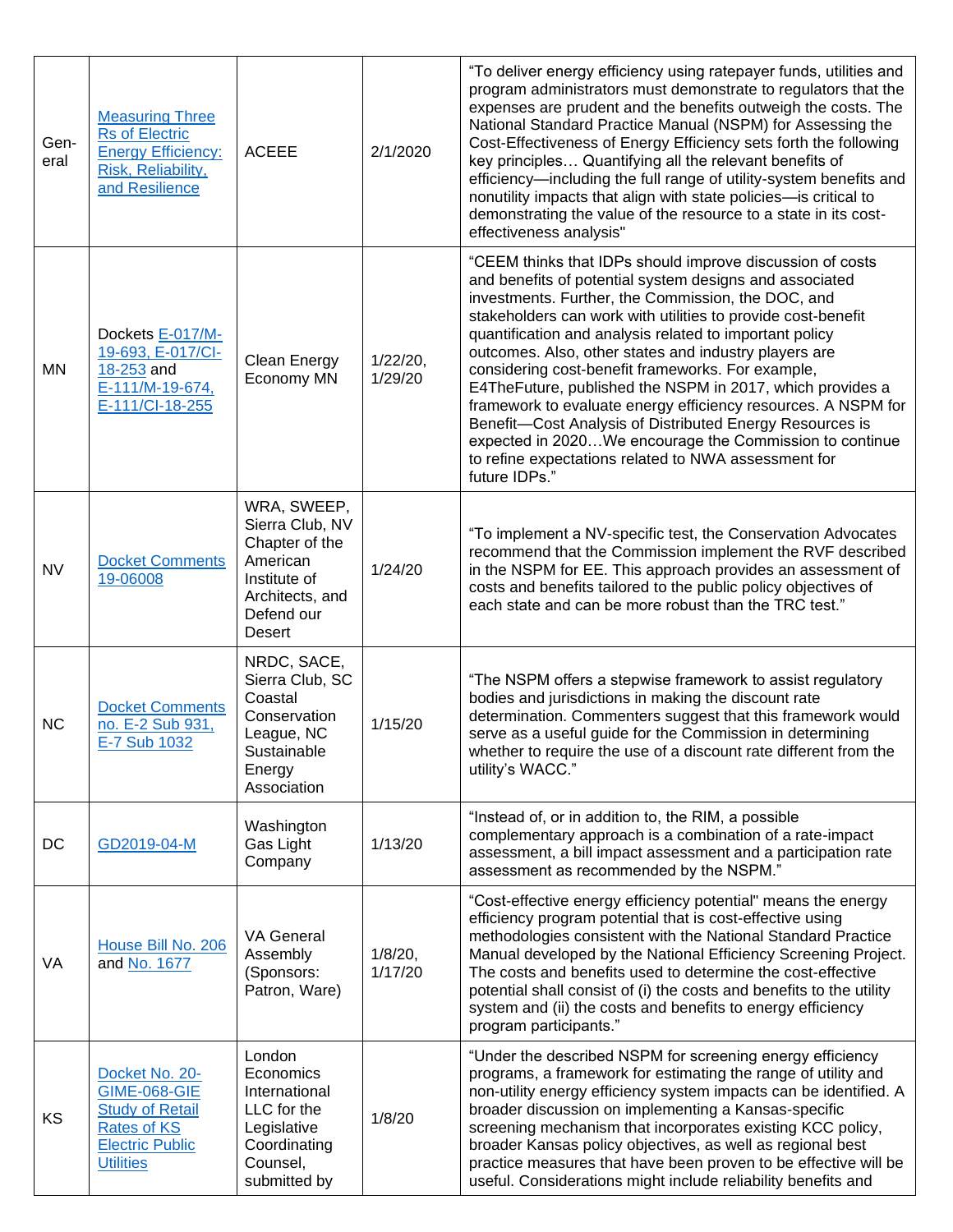| Gen-<br>eral | <b>Measuring Three</b><br><b>Rs of Electric</b><br><b>Energy Efficiency:</b><br>Risk, Reliability,<br>and Resilience                | <b>ACEEE</b>                                                                                                            | 2/1/2020            | "To deliver energy efficiency using ratepayer funds, utilities and<br>program administrators must demonstrate to regulators that the<br>expenses are prudent and the benefits outweigh the costs. The<br>National Standard Practice Manual (NSPM) for Assessing the<br>Cost-Effectiveness of Energy Efficiency sets forth the following<br>key principles Quantifying all the relevant benefits of<br>efficiency-including the full range of utility-system benefits and<br>nonutility impacts that align with state policies-is critical to<br>demonstrating the value of the resource to a state in its cost-<br>effectiveness analysis"                                                                                                        |
|--------------|-------------------------------------------------------------------------------------------------------------------------------------|-------------------------------------------------------------------------------------------------------------------------|---------------------|---------------------------------------------------------------------------------------------------------------------------------------------------------------------------------------------------------------------------------------------------------------------------------------------------------------------------------------------------------------------------------------------------------------------------------------------------------------------------------------------------------------------------------------------------------------------------------------------------------------------------------------------------------------------------------------------------------------------------------------------------|
| ΜN           | Dockets E-017/M-<br>19-693, E-017/CI-<br>18-253 and<br>E-111/M-19-674,<br>E-111/Cl-18-255                                           | Clean Energy<br>Economy MN                                                                                              | 1/22/20,<br>1/29/20 | "CEEM thinks that IDPs should improve discussion of costs<br>and benefits of potential system designs and associated<br>investments. Further, the Commission, the DOC, and<br>stakeholders can work with utilities to provide cost-benefit<br>quantification and analysis related to important policy<br>outcomes. Also, other states and industry players are<br>considering cost-benefit frameworks. For example,<br>E4TheFuture, published the NSPM in 2017, which provides a<br>framework to evaluate energy efficiency resources. A NSPM for<br>Benefit-Cost Analysis of Distributed Energy Resources is<br>expected in 2020We encourage the Commission to continue<br>to refine expectations related to NWA assessment for<br>future IDPs." |
| <b>NV</b>    | <b>Docket Comments</b><br>19-06008                                                                                                  | WRA, SWEEP,<br>Sierra Club, NV<br>Chapter of the<br>American<br>Institute of<br>Architects, and<br>Defend our<br>Desert | 1/24/20             | "To implement a NV-specific test, the Conservation Advocates<br>recommend that the Commission implement the RVF described<br>in the NSPM for EE. This approach provides an assessment of<br>costs and benefits tailored to the public policy objectives of<br>each state and can be more robust than the TRC test."                                                                                                                                                                                                                                                                                                                                                                                                                               |
| <b>NC</b>    | <b>Docket Comments</b><br>no. E-2 Sub 931,<br>E-7 Sub 1032                                                                          | NRDC, SACE,<br>Sierra Club, SC<br>Coastal<br>Conservation<br>League, NC<br>Sustainable<br>Energy<br>Association         | 1/15/20             | "The NSPM offers a stepwise framework to assist regulatory<br>bodies and jurisdictions in making the discount rate<br>determination. Commenters suggest that this framework would<br>serve as a useful guide for the Commission in determining<br>whether to require the use of a discount rate different from the<br>utility's WACC."                                                                                                                                                                                                                                                                                                                                                                                                            |
| DC           | GD2019-04-M                                                                                                                         | Washington<br>Gas Light<br>Company                                                                                      | 1/13/20             | "Instead of, or in addition to, the RIM, a possible<br>complementary approach is a combination of a rate-impact<br>assessment, a bill impact assessment and a participation rate<br>assessment as recommended by the NSPM."                                                                                                                                                                                                                                                                                                                                                                                                                                                                                                                       |
| VA           | House Bill No. 206<br>and No. 1677                                                                                                  | <b>VA General</b><br>Assembly<br>(Sponsors:<br>Patron, Ware)                                                            | 1/8/20,<br>1/17/20  | "Cost-effective energy efficiency potential" means the energy<br>efficiency program potential that is cost-effective using<br>methodologies consistent with the National Standard Practice<br>Manual developed by the National Efficiency Screening Project.<br>The costs and benefits used to determine the cost-effective<br>potential shall consist of (i) the costs and benefits to the utility<br>system and (ii) the costs and benefits to energy efficiency<br>program participants."                                                                                                                                                                                                                                                      |
| KS           | Docket No. 20-<br><b>GIME-068-GIE</b><br><b>Study of Retail</b><br><b>Rates of KS</b><br><b>Electric Public</b><br><b>Utilities</b> | London<br>Economics<br>International<br>LLC for the<br>Legislative<br>Coordinating<br>Counsel,<br>submitted by          | 1/8/20              | "Under the described NSPM for screening energy efficiency<br>programs, a framework for estimating the range of utility and<br>non-utility energy efficiency system impacts can be identified. A<br>broader discussion on implementing a Kansas-specific<br>screening mechanism that incorporates existing KCC policy,<br>broader Kansas policy objectives, as well as regional best<br>practice measures that have been proven to be effective will be<br>useful. Considerations might include reliability benefits and                                                                                                                                                                                                                           |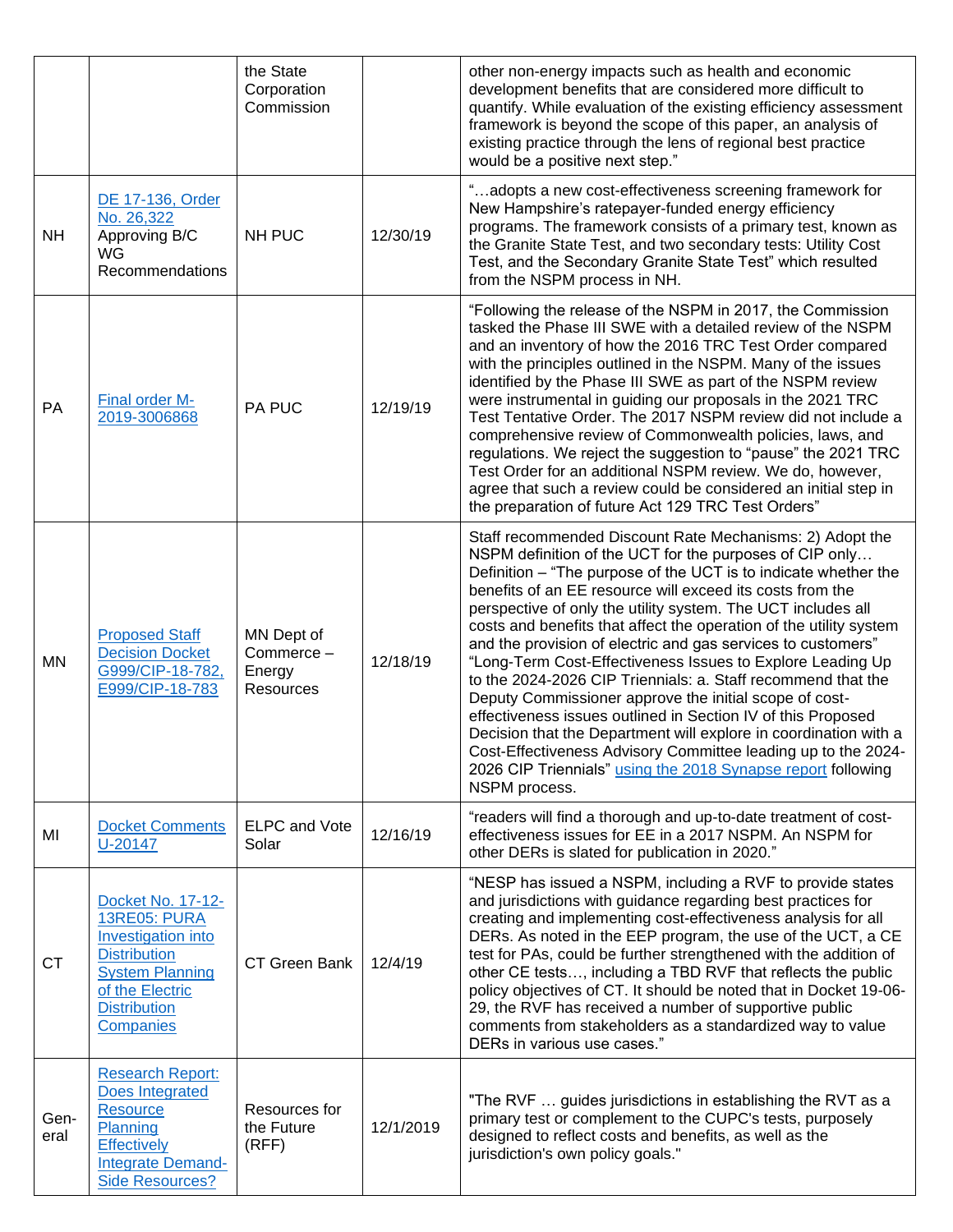|              |                                                                                                                                                                               | the State<br>Corporation<br>Commission         |           | other non-energy impacts such as health and economic<br>development benefits that are considered more difficult to<br>quantify. While evaluation of the existing efficiency assessment<br>framework is beyond the scope of this paper, an analysis of<br>existing practice through the lens of regional best practice<br>would be a positive next step."                                                                                                                                                                                                                                                                                                                                                                                                                                                                                                                                                                                |
|--------------|-------------------------------------------------------------------------------------------------------------------------------------------------------------------------------|------------------------------------------------|-----------|-----------------------------------------------------------------------------------------------------------------------------------------------------------------------------------------------------------------------------------------------------------------------------------------------------------------------------------------------------------------------------------------------------------------------------------------------------------------------------------------------------------------------------------------------------------------------------------------------------------------------------------------------------------------------------------------------------------------------------------------------------------------------------------------------------------------------------------------------------------------------------------------------------------------------------------------|
| <b>NH</b>    | DE 17-136, Order<br>No. 26,322<br>Approving B/C<br><b>WG</b><br>Recommendations                                                                                               | NH PUC                                         | 12/30/19  | "adopts a new cost-effectiveness screening framework for<br>New Hampshire's ratepayer-funded energy efficiency<br>programs. The framework consists of a primary test, known as<br>the Granite State Test, and two secondary tests: Utility Cost<br>Test, and the Secondary Granite State Test" which resulted<br>from the NSPM process in NH.                                                                                                                                                                                                                                                                                                                                                                                                                                                                                                                                                                                           |
| PA           | <b>Final order M-</b><br>2019-3006868                                                                                                                                         | <b>PA PUC</b>                                  | 12/19/19  | "Following the release of the NSPM in 2017, the Commission<br>tasked the Phase III SWE with a detailed review of the NSPM<br>and an inventory of how the 2016 TRC Test Order compared<br>with the principles outlined in the NSPM. Many of the issues<br>identified by the Phase III SWE as part of the NSPM review<br>were instrumental in guiding our proposals in the 2021 TRC<br>Test Tentative Order. The 2017 NSPM review did not include a<br>comprehensive review of Commonwealth policies, laws, and<br>regulations. We reject the suggestion to "pause" the 2021 TRC<br>Test Order for an additional NSPM review. We do, however,<br>agree that such a review could be considered an initial step in<br>the preparation of future Act 129 TRC Test Orders"                                                                                                                                                                    |
| <b>MN</b>    | <b>Proposed Staff</b><br><b>Decision Docket</b><br>G999/CIP-18-782,<br>E999/CIP-18-783                                                                                        | MN Dept of<br>Commerce-<br>Energy<br>Resources | 12/18/19  | Staff recommended Discount Rate Mechanisms: 2) Adopt the<br>NSPM definition of the UCT for the purposes of CIP only<br>Definition - "The purpose of the UCT is to indicate whether the<br>benefits of an EE resource will exceed its costs from the<br>perspective of only the utility system. The UCT includes all<br>costs and benefits that affect the operation of the utility system<br>and the provision of electric and gas services to customers"<br>"Long-Term Cost-Effectiveness Issues to Explore Leading Up<br>to the 2024-2026 CIP Triennials: a. Staff recommend that the<br>Deputy Commissioner approve the initial scope of cost-<br>effectiveness issues outlined in Section IV of this Proposed<br>Decision that the Department will explore in coordination with a<br>Cost-Effectiveness Advisory Committee leading up to the 2024-<br>2026 CIP Triennials" using the 2018 Synapse report following<br>NSPM process. |
| MI           | <b>Docket Comments</b><br>U-20147                                                                                                                                             | <b>ELPC</b> and Vote<br>Solar                  | 12/16/19  | "readers will find a thorough and up-to-date treatment of cost-<br>effectiveness issues for EE in a 2017 NSPM. An NSPM for<br>other DERs is slated for publication in 2020."                                                                                                                                                                                                                                                                                                                                                                                                                                                                                                                                                                                                                                                                                                                                                            |
| <b>CT</b>    | Docket No. 17-12-<br><b>13RE05: PURA</b><br>Investigation into<br><b>Distribution</b><br><b>System Planning</b><br>of the Electric<br><b>Distribution</b><br><b>Companies</b> | CT Green Bank                                  | 12/4/19   | "NESP has issued a NSPM, including a RVF to provide states<br>and jurisdictions with guidance regarding best practices for<br>creating and implementing cost-effectiveness analysis for all<br>DERs. As noted in the EEP program, the use of the UCT, a CE<br>test for PAs, could be further strengthened with the addition of<br>other CE tests, including a TBD RVF that reflects the public<br>policy objectives of CT. It should be noted that in Docket 19-06-<br>29, the RVF has received a number of supportive public<br>comments from stakeholders as a standardized way to value<br>DERs in various use cases."                                                                                                                                                                                                                                                                                                               |
| Gen-<br>eral | <b>Research Report:</b><br><b>Does Integrated</b><br><b>Resource</b><br>Planning<br><b>Effectively</b><br><b>Integrate Demand-</b><br><b>Side Resources?</b>                  | Resources for<br>the Future<br>(RFF)           | 12/1/2019 | "The RVF  guides jurisdictions in establishing the RVT as a<br>primary test or complement to the CUPC's tests, purposely<br>designed to reflect costs and benefits, as well as the<br>jurisdiction's own policy goals."                                                                                                                                                                                                                                                                                                                                                                                                                                                                                                                                                                                                                                                                                                                 |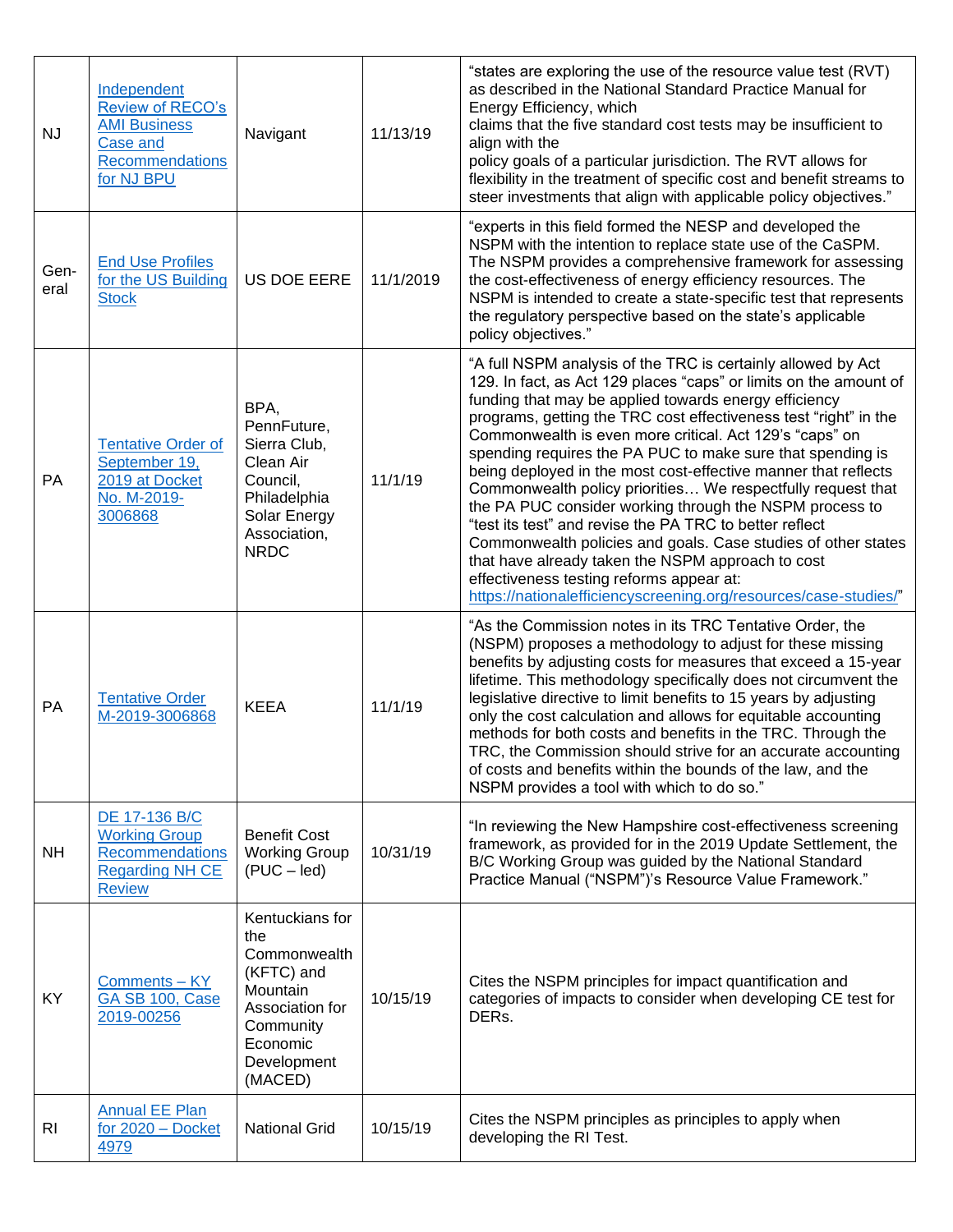| <b>NJ</b>      | Independent<br>Review of RECO's<br><b>AMI Business</b><br>Case and<br><b>Recommendations</b><br>for NJ BPU | Navigant                                                                                                                               | 11/13/19  | "states are exploring the use of the resource value test (RVT)<br>as described in the National Standard Practice Manual for<br>Energy Efficiency, which<br>claims that the five standard cost tests may be insufficient to<br>align with the<br>policy goals of a particular jurisdiction. The RVT allows for<br>flexibility in the treatment of specific cost and benefit streams to<br>steer investments that align with applicable policy objectives."                                                                                                                                                                                                                                                                                                                                                                                                                            |
|----------------|------------------------------------------------------------------------------------------------------------|----------------------------------------------------------------------------------------------------------------------------------------|-----------|--------------------------------------------------------------------------------------------------------------------------------------------------------------------------------------------------------------------------------------------------------------------------------------------------------------------------------------------------------------------------------------------------------------------------------------------------------------------------------------------------------------------------------------------------------------------------------------------------------------------------------------------------------------------------------------------------------------------------------------------------------------------------------------------------------------------------------------------------------------------------------------|
| Gen-<br>eral   | <b>End Use Profiles</b><br>for the US Building<br><b>Stock</b>                                             | <b>US DOE EERE</b>                                                                                                                     | 11/1/2019 | "experts in this field formed the NESP and developed the<br>NSPM with the intention to replace state use of the CaSPM.<br>The NSPM provides a comprehensive framework for assessing<br>the cost-effectiveness of energy efficiency resources. The<br>NSPM is intended to create a state-specific test that represents<br>the regulatory perspective based on the state's applicable<br>policy objectives."                                                                                                                                                                                                                                                                                                                                                                                                                                                                           |
| PA             | <b>Tentative Order of</b><br>September 19,<br>2019 at Docket<br>No. M-2019-<br>3006868                     | BPA,<br>PennFuture,<br>Sierra Club,<br>Clean Air<br>Council,<br>Philadelphia<br>Solar Energy<br>Association,<br><b>NRDC</b>            | 11/1/19   | "A full NSPM analysis of the TRC is certainly allowed by Act<br>129. In fact, as Act 129 places "caps" or limits on the amount of<br>funding that may be applied towards energy efficiency<br>programs, getting the TRC cost effectiveness test "right" in the<br>Commonwealth is even more critical. Act 129's "caps" on<br>spending requires the PA PUC to make sure that spending is<br>being deployed in the most cost-effective manner that reflects<br>Commonwealth policy priorities We respectfully request that<br>the PA PUC consider working through the NSPM process to<br>"test its test" and revise the PA TRC to better reflect<br>Commonwealth policies and goals. Case studies of other states<br>that have already taken the NSPM approach to cost<br>effectiveness testing reforms appear at:<br>https://nationalefficiencyscreening.org/resources/case-studies/" |
| PA             | <b>Tentative Order</b><br>M-2019-3006868                                                                   | <b>KEEA</b>                                                                                                                            | 11/1/19   | "As the Commission notes in its TRC Tentative Order, the<br>(NSPM) proposes a methodology to adjust for these missing<br>benefits by adjusting costs for measures that exceed a 15-year<br>lifetime. This methodology specifically does not circumvent the<br>legislative directive to limit benefits to 15 years by adjusting<br>only the cost calculation and allows for equitable accounting<br>methods for both costs and benefits in the TRC. Through the<br>TRC, the Commission should strive for an accurate accounting<br>of costs and benefits within the bounds of the law, and the<br>NSPM provides a tool with which to do so."                                                                                                                                                                                                                                          |
| <b>NH</b>      | DE 17-136 B/C<br><b>Working Group</b><br><b>Recommendations</b><br><b>Regarding NH CE</b><br><b>Review</b> | <b>Benefit Cost</b><br><b>Working Group</b><br>$(PUC - led)$                                                                           | 10/31/19  | "In reviewing the New Hampshire cost-effectiveness screening<br>framework, as provided for in the 2019 Update Settlement, the<br>B/C Working Group was guided by the National Standard<br>Practice Manual ("NSPM")'s Resource Value Framework."                                                                                                                                                                                                                                                                                                                                                                                                                                                                                                                                                                                                                                      |
| KY             | Comments - KY<br>GA SB 100, Case<br>2019-00256                                                             | Kentuckians for<br>the<br>Commonwealth<br>(KFTC) and<br>Mountain<br>Association for<br>Community<br>Economic<br>Development<br>(MACED) | 10/15/19  | Cites the NSPM principles for impact quantification and<br>categories of impacts to consider when developing CE test for<br>DERs.                                                                                                                                                                                                                                                                                                                                                                                                                                                                                                                                                                                                                                                                                                                                                    |
| R <sub>l</sub> | <b>Annual EE Plan</b><br>for 2020 - Docket<br>4979                                                         | <b>National Grid</b>                                                                                                                   | 10/15/19  | Cites the NSPM principles as principles to apply when<br>developing the RI Test.                                                                                                                                                                                                                                                                                                                                                                                                                                                                                                                                                                                                                                                                                                                                                                                                     |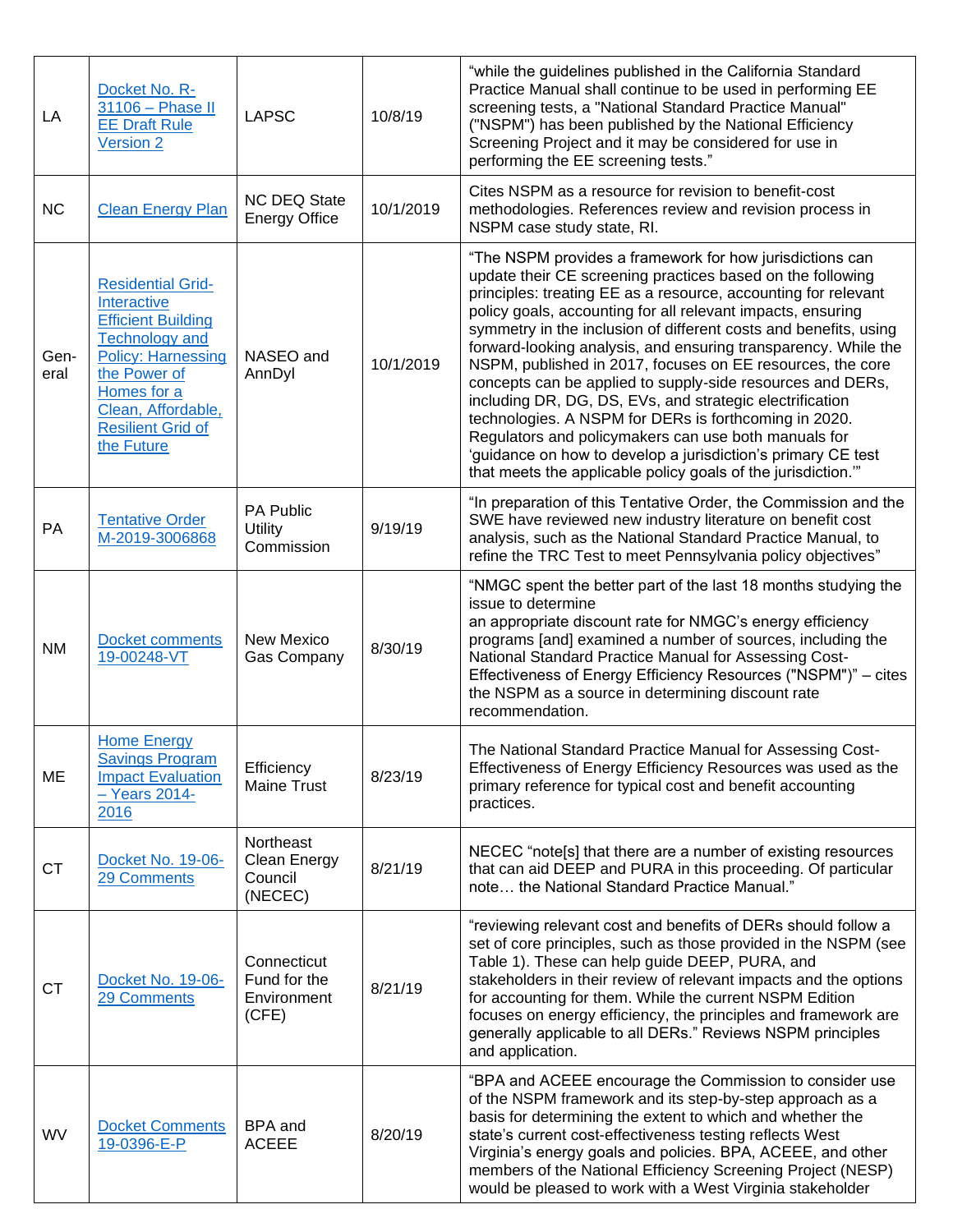| LA           | Docket No. R-<br>31106 - Phase II<br><b>EE Draft Rule</b><br>Version 2                                                                                                                                                    | <b>LAPSC</b>                                        | 10/8/19   | "while the guidelines published in the California Standard<br>Practice Manual shall continue to be used in performing EE<br>screening tests, a "National Standard Practice Manual"<br>("NSPM") has been published by the National Efficiency<br>Screening Project and it may be considered for use in<br>performing the EE screening tests."                                                                                                                                                                                                                                                                                                                                                                                                                                                                                           |
|--------------|---------------------------------------------------------------------------------------------------------------------------------------------------------------------------------------------------------------------------|-----------------------------------------------------|-----------|----------------------------------------------------------------------------------------------------------------------------------------------------------------------------------------------------------------------------------------------------------------------------------------------------------------------------------------------------------------------------------------------------------------------------------------------------------------------------------------------------------------------------------------------------------------------------------------------------------------------------------------------------------------------------------------------------------------------------------------------------------------------------------------------------------------------------------------|
| <b>NC</b>    | <b>Clean Energy Plan</b>                                                                                                                                                                                                  | <b>NC DEQ State</b><br><b>Energy Office</b>         | 10/1/2019 | Cites NSPM as a resource for revision to benefit-cost<br>methodologies. References review and revision process in<br>NSPM case study state, RI.                                                                                                                                                                                                                                                                                                                                                                                                                                                                                                                                                                                                                                                                                        |
| Gen-<br>eral | <b>Residential Grid-</b><br>Interactive<br><b>Efficient Building</b><br><b>Technology and</b><br><b>Policy: Harnessing</b><br>the Power of<br>Homes for a<br>Clean, Affordable,<br><b>Resilient Grid of</b><br>the Future | NASEO and<br>AnnDyl                                 | 10/1/2019 | "The NSPM provides a framework for how jurisdictions can<br>update their CE screening practices based on the following<br>principles: treating EE as a resource, accounting for relevant<br>policy goals, accounting for all relevant impacts, ensuring<br>symmetry in the inclusion of different costs and benefits, using<br>forward-looking analysis, and ensuring transparency. While the<br>NSPM, published in 2017, focuses on EE resources, the core<br>concepts can be applied to supply-side resources and DERs,<br>including DR, DG, DS, EVs, and strategic electrification<br>technologies. A NSPM for DERs is forthcoming in 2020.<br>Regulators and policymakers can use both manuals for<br>'guidance on how to develop a jurisdiction's primary CE test<br>that meets the applicable policy goals of the jurisdiction." |
| PA           | <b>Tentative Order</b><br>M-2019-3006868                                                                                                                                                                                  | PA Public<br><b>Utility</b><br>Commission           | 9/19/19   | "In preparation of this Tentative Order, the Commission and the<br>SWE have reviewed new industry literature on benefit cost<br>analysis, such as the National Standard Practice Manual, to<br>refine the TRC Test to meet Pennsylvania policy objectives"                                                                                                                                                                                                                                                                                                                                                                                                                                                                                                                                                                             |
| <b>NM</b>    | Docket comments<br>19-00248-VT                                                                                                                                                                                            | New Mexico<br><b>Gas Company</b>                    | 8/30/19   | "NMGC spent the better part of the last 18 months studying the<br>issue to determine<br>an appropriate discount rate for NMGC's energy efficiency<br>programs [and] examined a number of sources, including the<br>National Standard Practice Manual for Assessing Cost-<br>Effectiveness of Energy Efficiency Resources ("NSPM")" - cites<br>the NSPM as a source in determining discount rate<br>recommendation.                                                                                                                                                                                                                                                                                                                                                                                                                     |
| ME           | <b>Home Energy</b><br><b>Savings Program</b><br><b>Impact Evaluation</b><br>$-$ Years 2014-<br>2016                                                                                                                       | Efficiency<br><b>Maine Trust</b>                    | 8/23/19   | The National Standard Practice Manual for Assessing Cost-<br>Effectiveness of Energy Efficiency Resources was used as the<br>primary reference for typical cost and benefit accounting<br>practices.                                                                                                                                                                                                                                                                                                                                                                                                                                                                                                                                                                                                                                   |
| CT           | Docket No. 19-06-<br>29 Comments                                                                                                                                                                                          | Northeast<br>Clean Energy<br>Council<br>(NECEC)     | 8/21/19   | NECEC "note[s] that there are a number of existing resources<br>that can aid DEEP and PURA in this proceeding. Of particular<br>note the National Standard Practice Manual."                                                                                                                                                                                                                                                                                                                                                                                                                                                                                                                                                                                                                                                           |
| <b>CT</b>    | Docket No. 19-06-<br>29 Comments                                                                                                                                                                                          | Connecticut<br>Fund for the<br>Environment<br>(CFE) | 8/21/19   | "reviewing relevant cost and benefits of DERs should follow a<br>set of core principles, such as those provided in the NSPM (see<br>Table 1). These can help guide DEEP, PURA, and<br>stakeholders in their review of relevant impacts and the options<br>for accounting for them. While the current NSPM Edition<br>focuses on energy efficiency, the principles and framework are<br>generally applicable to all DERs." Reviews NSPM principles<br>and application.                                                                                                                                                                                                                                                                                                                                                                  |
| WV           | <b>Docket Comments</b><br>19-0396-E-P                                                                                                                                                                                     | BPA and<br><b>ACEEE</b>                             | 8/20/19   | "BPA and ACEEE encourage the Commission to consider use<br>of the NSPM framework and its step-by-step approach as a<br>basis for determining the extent to which and whether the<br>state's current cost-effectiveness testing reflects West<br>Virginia's energy goals and policies. BPA, ACEEE, and other<br>members of the National Efficiency Screening Project (NESP)<br>would be pleased to work with a West Virginia stakeholder                                                                                                                                                                                                                                                                                                                                                                                                |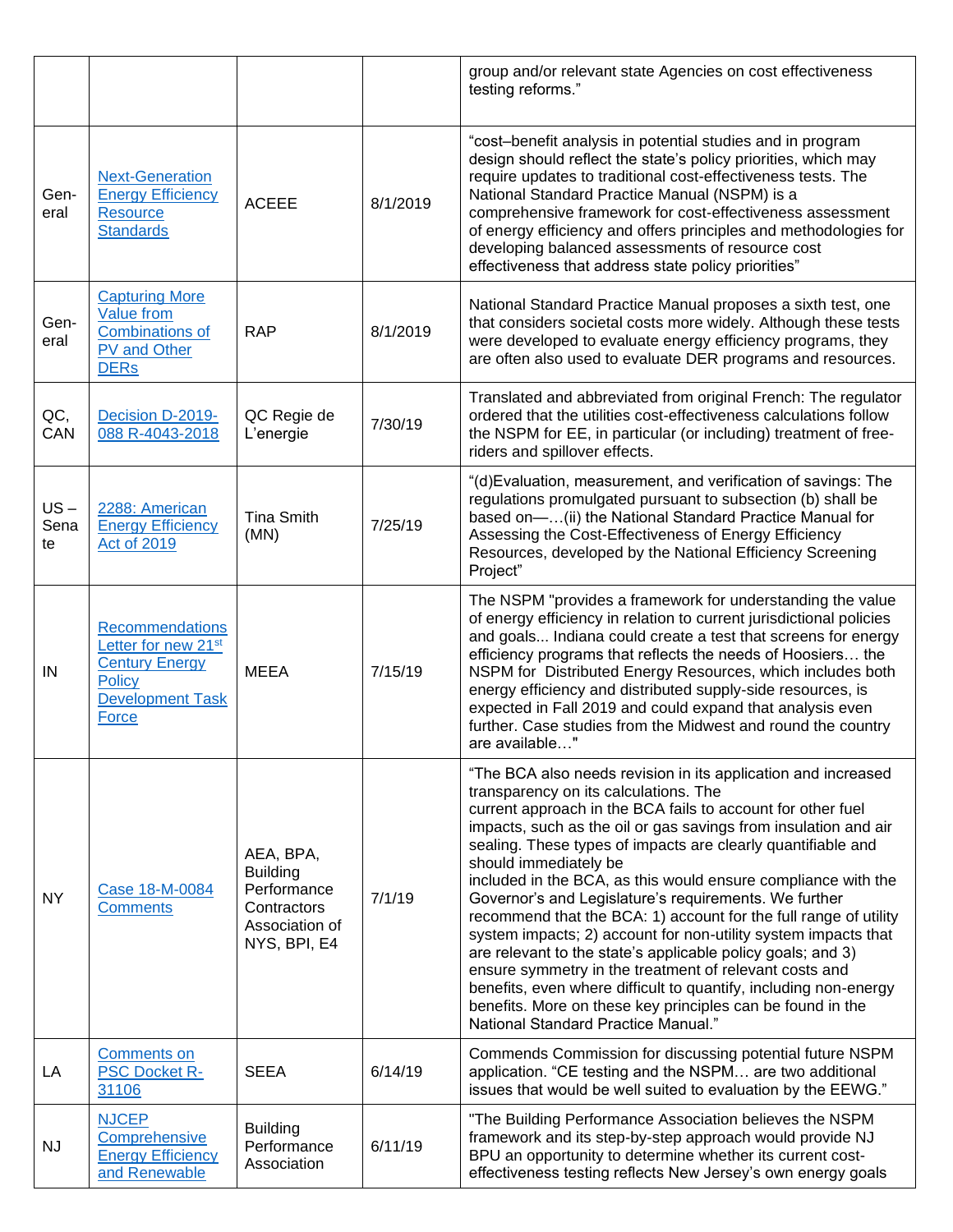|                      |                                                                                                                                  |                                                                                              |          | group and/or relevant state Agencies on cost effectiveness<br>testing reforms."                                                                                                                                                                                                                                                                                                                                                                                                                                                                                                                                                                                                                                                                                                                                                                                                                     |
|----------------------|----------------------------------------------------------------------------------------------------------------------------------|----------------------------------------------------------------------------------------------|----------|-----------------------------------------------------------------------------------------------------------------------------------------------------------------------------------------------------------------------------------------------------------------------------------------------------------------------------------------------------------------------------------------------------------------------------------------------------------------------------------------------------------------------------------------------------------------------------------------------------------------------------------------------------------------------------------------------------------------------------------------------------------------------------------------------------------------------------------------------------------------------------------------------------|
| Gen-<br>eral         | <b>Next-Generation</b><br><b>Energy Efficiency</b><br><b>Resource</b><br><b>Standards</b>                                        | <b>ACEEE</b>                                                                                 | 8/1/2019 | "cost-benefit analysis in potential studies and in program<br>design should reflect the state's policy priorities, which may<br>require updates to traditional cost-effectiveness tests. The<br>National Standard Practice Manual (NSPM) is a<br>comprehensive framework for cost-effectiveness assessment<br>of energy efficiency and offers principles and methodologies for<br>developing balanced assessments of resource cost<br>effectiveness that address state policy priorities"                                                                                                                                                                                                                                                                                                                                                                                                           |
| Gen-<br>eral         | <b>Capturing More</b><br><b>Value</b> from<br><b>Combinations of</b><br>PV and Other<br><b>DERs</b>                              | <b>RAP</b>                                                                                   | 8/1/2019 | National Standard Practice Manual proposes a sixth test, one<br>that considers societal costs more widely. Although these tests<br>were developed to evaluate energy efficiency programs, they<br>are often also used to evaluate DER programs and resources.                                                                                                                                                                                                                                                                                                                                                                                                                                                                                                                                                                                                                                       |
| QC,<br>CAN           | Decision D-2019-<br>088 R-4043-2018                                                                                              | QC Regie de<br>L'energie                                                                     | 7/30/19  | Translated and abbreviated from original French: The regulator<br>ordered that the utilities cost-effectiveness calculations follow<br>the NSPM for EE, in particular (or including) treatment of free-<br>riders and spillover effects.                                                                                                                                                                                                                                                                                                                                                                                                                                                                                                                                                                                                                                                            |
| $US -$<br>Sena<br>te | 2288: American<br><b>Energy Efficiency</b><br><b>Act of 2019</b>                                                                 | <b>Tina Smith</b><br>(MN)                                                                    | 7/25/19  | "(d) Evaluation, measurement, and verification of savings: The<br>regulations promulgated pursuant to subsection (b) shall be<br>based on-(ii) the National Standard Practice Manual for<br>Assessing the Cost-Effectiveness of Energy Efficiency<br>Resources, developed by the National Efficiency Screening<br>Project"                                                                                                                                                                                                                                                                                                                                                                                                                                                                                                                                                                          |
| IN                   | Recommendations<br>Letter for new 21 <sup>st</sup><br><b>Century Energy</b><br><b>Policy</b><br><b>Development Task</b><br>Force | <b>MEEA</b>                                                                                  | 7/15/19  | The NSPM "provides a framework for understanding the value<br>of energy efficiency in relation to current jurisdictional policies<br>and goals Indiana could create a test that screens for energy<br>efficiency programs that reflects the needs of Hoosiers the<br>NSPM for Distributed Energy Resources, which includes both<br>energy efficiency and distributed supply-side resources, is<br>expected in Fall 2019 and could expand that analysis even<br>further. Case studies from the Midwest and round the country<br>are available"                                                                                                                                                                                                                                                                                                                                                       |
| <b>NY</b>            | Case 18-M-0084<br><b>Comments</b>                                                                                                | AEA, BPA,<br><b>Building</b><br>Performance<br>Contractors<br>Association of<br>NYS, BPI, E4 | 7/1/19   | "The BCA also needs revision in its application and increased<br>transparency on its calculations. The<br>current approach in the BCA fails to account for other fuel<br>impacts, such as the oil or gas savings from insulation and air<br>sealing. These types of impacts are clearly quantifiable and<br>should immediately be<br>included in the BCA, as this would ensure compliance with the<br>Governor's and Legislature's requirements. We further<br>recommend that the BCA: 1) account for the full range of utility<br>system impacts; 2) account for non-utility system impacts that<br>are relevant to the state's applicable policy goals; and 3)<br>ensure symmetry in the treatment of relevant costs and<br>benefits, even where difficult to quantify, including non-energy<br>benefits. More on these key principles can be found in the<br>National Standard Practice Manual." |
| LA                   | <b>Comments on</b><br><b>PSC Docket R-</b><br>31106                                                                              | <b>SEEA</b>                                                                                  | 6/14/19  | Commends Commission for discussing potential future NSPM<br>application. "CE testing and the NSPM are two additional<br>issues that would be well suited to evaluation by the EEWG."                                                                                                                                                                                                                                                                                                                                                                                                                                                                                                                                                                                                                                                                                                                |
| <b>NJ</b>            | <b>NJCEP</b><br>Comprehensive<br><b>Energy Efficiency</b><br>and Renewable                                                       | <b>Building</b><br>Performance<br>Association                                                | 6/11/19  | "The Building Performance Association believes the NSPM<br>framework and its step-by-step approach would provide NJ<br>BPU an opportunity to determine whether its current cost-<br>effectiveness testing reflects New Jersey's own energy goals                                                                                                                                                                                                                                                                                                                                                                                                                                                                                                                                                                                                                                                    |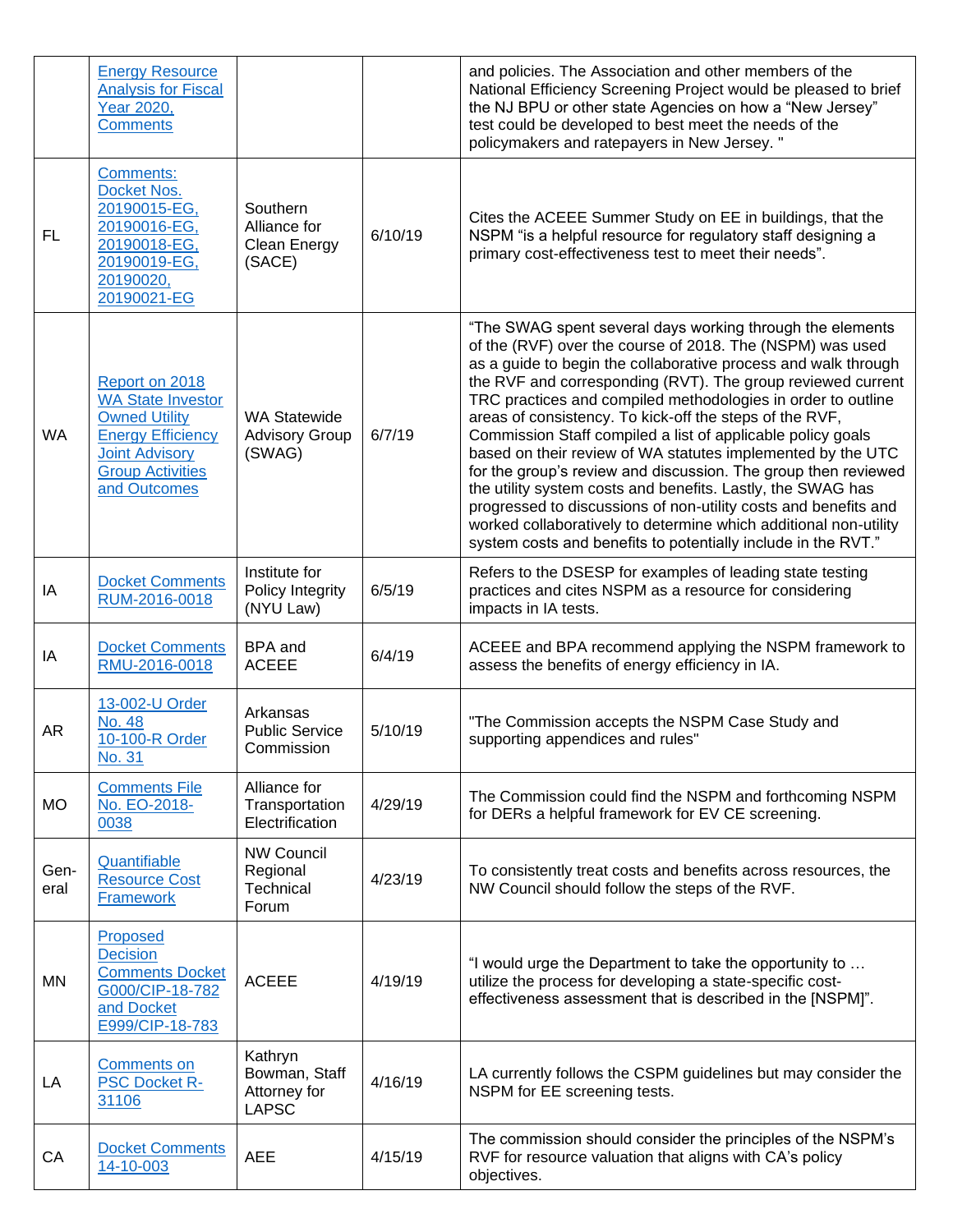|              | <b>Energy Resource</b><br><b>Analysis for Fiscal</b><br>Year 2020,<br><b>Comments</b>                                                                              |                                                           |         | and policies. The Association and other members of the<br>National Efficiency Screening Project would be pleased to brief<br>the NJ BPU or other state Agencies on how a "New Jersey"<br>test could be developed to best meet the needs of the<br>policymakers and ratepayers in New Jersey. "                                                                                                                                                                                                                                                                                                                                                                                                                                                                                                                                                            |
|--------------|--------------------------------------------------------------------------------------------------------------------------------------------------------------------|-----------------------------------------------------------|---------|-----------------------------------------------------------------------------------------------------------------------------------------------------------------------------------------------------------------------------------------------------------------------------------------------------------------------------------------------------------------------------------------------------------------------------------------------------------------------------------------------------------------------------------------------------------------------------------------------------------------------------------------------------------------------------------------------------------------------------------------------------------------------------------------------------------------------------------------------------------|
| <b>FL</b>    | Comments:<br>Docket Nos.<br>20190015-EG,<br>20190016-EG,<br>20190018-EG,<br>20190019-EG,<br>20190020,<br>20190021-EG                                               | Southern<br>Alliance for<br><b>Clean Energy</b><br>(SACE) | 6/10/19 | Cites the ACEEE Summer Study on EE in buildings, that the<br>NSPM "is a helpful resource for regulatory staff designing a<br>primary cost-effectiveness test to meet their needs".                                                                                                                                                                                                                                                                                                                                                                                                                                                                                                                                                                                                                                                                        |
| <b>WA</b>    | Report on 2018<br><b>WA State Investor</b><br><b>Owned Utility</b><br><b>Energy Efficiency</b><br><b>Joint Advisory</b><br><b>Group Activities</b><br>and Outcomes | <b>WA Statewide</b><br><b>Advisory Group</b><br>(SWAG)    | 6/7/19  | "The SWAG spent several days working through the elements<br>of the (RVF) over the course of 2018. The (NSPM) was used<br>as a guide to begin the collaborative process and walk through<br>the RVF and corresponding (RVT). The group reviewed current<br>TRC practices and compiled methodologies in order to outline<br>areas of consistency. To kick-off the steps of the RVF,<br>Commission Staff compiled a list of applicable policy goals<br>based on their review of WA statutes implemented by the UTC<br>for the group's review and discussion. The group then reviewed<br>the utility system costs and benefits. Lastly, the SWAG has<br>progressed to discussions of non-utility costs and benefits and<br>worked collaboratively to determine which additional non-utility<br>system costs and benefits to potentially include in the RVT." |
| IA           | <b>Docket Comments</b><br>RUM-2016-0018                                                                                                                            | Institute for<br>Policy Integrity<br>(NYU Law)            | 6/5/19  | Refers to the DSESP for examples of leading state testing<br>practices and cites NSPM as a resource for considering<br>impacts in IA tests.                                                                                                                                                                                                                                                                                                                                                                                                                                                                                                                                                                                                                                                                                                               |
| IA           | <b>Docket Comments</b><br>RMU-2016-0018                                                                                                                            | <b>BPA</b> and<br><b>ACEEE</b>                            | 6/4/19  | ACEEE and BPA recommend applying the NSPM framework to<br>assess the benefits of energy efficiency in IA.                                                                                                                                                                                                                                                                                                                                                                                                                                                                                                                                                                                                                                                                                                                                                 |
| AR           | 13-002-U Order<br><b>No. 48</b><br>10-100-R Order<br>No. 31                                                                                                        | Arkansas<br><b>Public Service</b><br>Commission           | 5/10/19 | "The Commission accepts the NSPM Case Study and<br>supporting appendices and rules"                                                                                                                                                                                                                                                                                                                                                                                                                                                                                                                                                                                                                                                                                                                                                                       |
| <b>MO</b>    | <b>Comments File</b><br>No. EO-2018-<br>0038                                                                                                                       | Alliance for<br>Transportation<br>Electrification         | 4/29/19 | The Commission could find the NSPM and forthcoming NSPM<br>for DERs a helpful framework for EV CE screening.                                                                                                                                                                                                                                                                                                                                                                                                                                                                                                                                                                                                                                                                                                                                              |
| Gen-<br>eral | Quantifiable<br><b>Resource Cost</b><br><b>Framework</b>                                                                                                           | <b>NW Council</b><br>Regional<br>Technical<br>Forum       | 4/23/19 | To consistently treat costs and benefits across resources, the<br>NW Council should follow the steps of the RVF.                                                                                                                                                                                                                                                                                                                                                                                                                                                                                                                                                                                                                                                                                                                                          |
| ΜN           | Proposed<br><b>Decision</b><br><b>Comments Docket</b><br>G000/CIP-18-782<br>and Docket<br>E999/CIP-18-783                                                          | <b>ACEEE</b>                                              | 4/19/19 | "I would urge the Department to take the opportunity to<br>utilize the process for developing a state-specific cost-<br>effectiveness assessment that is described in the [NSPM]".                                                                                                                                                                                                                                                                                                                                                                                                                                                                                                                                                                                                                                                                        |
| LA           | <b>Comments on</b><br><b>PSC Docket R-</b><br>31106                                                                                                                | Kathryn<br>Bowman, Staff<br>Attorney for<br><b>LAPSC</b>  | 4/16/19 | LA currently follows the CSPM guidelines but may consider the<br>NSPM for EE screening tests.                                                                                                                                                                                                                                                                                                                                                                                                                                                                                                                                                                                                                                                                                                                                                             |
| CA           | <b>Docket Comments</b><br>14-10-003                                                                                                                                | <b>AEE</b>                                                | 4/15/19 | The commission should consider the principles of the NSPM's<br>RVF for resource valuation that aligns with CA's policy<br>objectives.                                                                                                                                                                                                                                                                                                                                                                                                                                                                                                                                                                                                                                                                                                                     |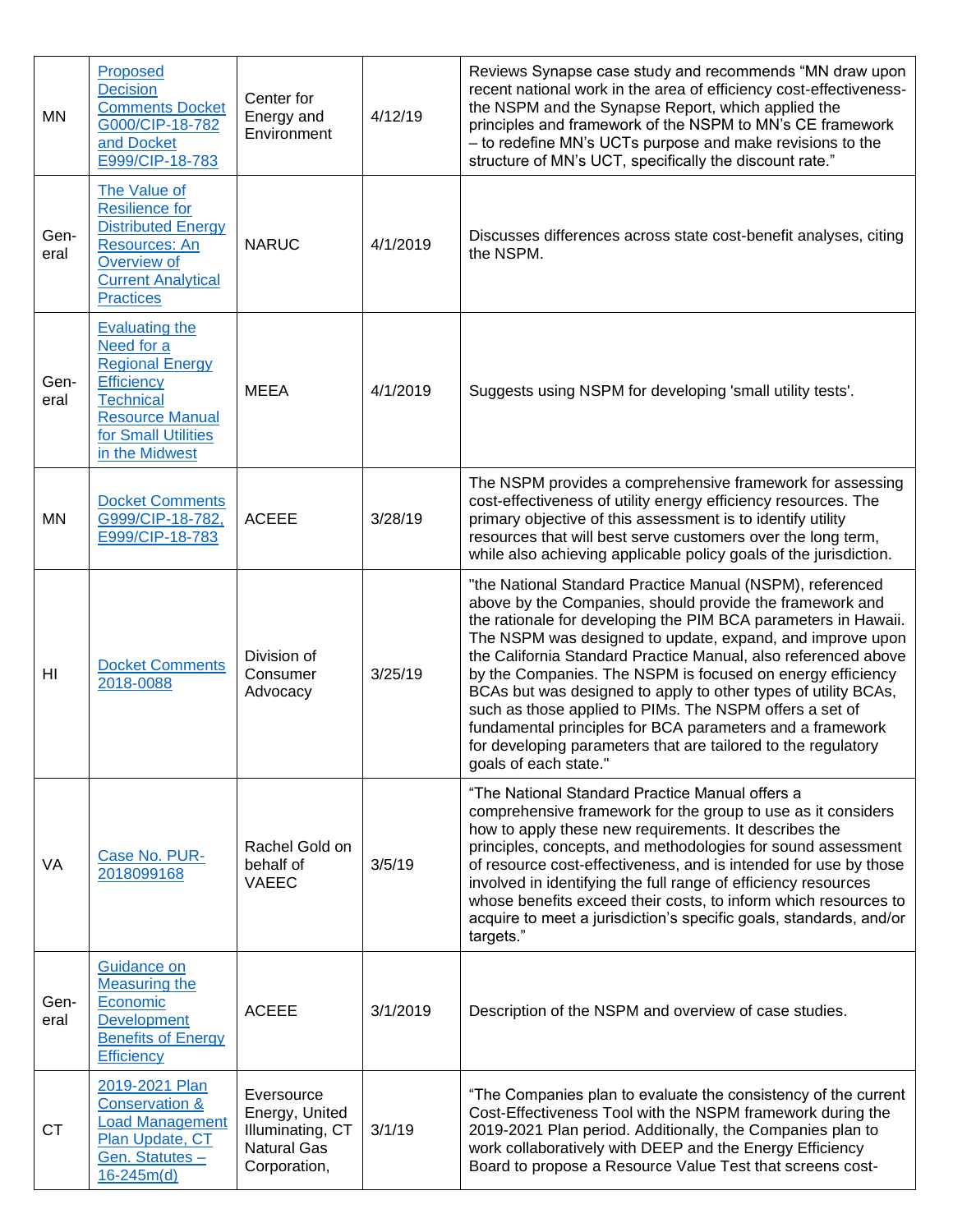| MN             | Proposed<br><b>Decision</b><br><b>Comments Docket</b><br>G000/CIP-18-782<br>and Docket<br>E999/CIP-18-783                                                                 | Center for<br>Energy and<br>Environment                                                | 4/12/19  | Reviews Synapse case study and recommends "MN draw upon<br>recent national work in the area of efficiency cost-effectiveness-<br>the NSPM and the Synapse Report, which applied the<br>principles and framework of the NSPM to MN's CE framework<br>- to redefine MN's UCTs purpose and make revisions to the<br>structure of MN's UCT, specifically the discount rate."                                                                                                                                                                                                                                                                                                 |
|----------------|---------------------------------------------------------------------------------------------------------------------------------------------------------------------------|----------------------------------------------------------------------------------------|----------|--------------------------------------------------------------------------------------------------------------------------------------------------------------------------------------------------------------------------------------------------------------------------------------------------------------------------------------------------------------------------------------------------------------------------------------------------------------------------------------------------------------------------------------------------------------------------------------------------------------------------------------------------------------------------|
| Gen-<br>eral   | The Value of<br><b>Resilience for</b><br><b>Distributed Energy</b><br>Resources: An<br>Overview of<br><b>Current Analytical</b><br><b>Practices</b>                       | <b>NARUC</b>                                                                           | 4/1/2019 | Discusses differences across state cost-benefit analyses, citing<br>the NSPM.                                                                                                                                                                                                                                                                                                                                                                                                                                                                                                                                                                                            |
| Gen-<br>eral   | <b>Evaluating the</b><br>Need for a<br><b>Regional Energy</b><br><b>Efficiency</b><br><b>Technical</b><br><b>Resource Manual</b><br>for Small Utilities<br>in the Midwest | <b>MEEA</b>                                                                            | 4/1/2019 | Suggests using NSPM for developing 'small utility tests'.                                                                                                                                                                                                                                                                                                                                                                                                                                                                                                                                                                                                                |
| <b>MN</b>      | <b>Docket Comments</b><br>G999/CIP-18-782,<br>E999/CIP-18-783                                                                                                             | <b>ACEEE</b>                                                                           | 3/28/19  | The NSPM provides a comprehensive framework for assessing<br>cost-effectiveness of utility energy efficiency resources. The<br>primary objective of this assessment is to identify utility<br>resources that will best serve customers over the long term,<br>while also achieving applicable policy goals of the jurisdiction.                                                                                                                                                                                                                                                                                                                                          |
| H <sub>l</sub> | <b>Docket Comments</b><br>2018-0088                                                                                                                                       | Division of<br>Consumer<br>Advocacy                                                    | 3/25/19  | "the National Standard Practice Manual (NSPM), referenced<br>above by the Companies, should provide the framework and<br>the rationale for developing the PIM BCA parameters in Hawaii.<br>The NSPM was designed to update, expand, and improve upon<br>the California Standard Practice Manual, also referenced above<br>by the Companies. The NSPM is focused on energy efficiency<br>BCAs but was designed to apply to other types of utility BCAs,<br>such as those applied to PIMs. The NSPM offers a set of<br>fundamental principles for BCA parameters and a framework<br>for developing parameters that are tailored to the regulatory<br>goals of each state." |
| VA             | Case No. PUR-<br>2018099168                                                                                                                                               | Rachel Gold on<br>behalf of<br><b>VAEEC</b>                                            | 3/5/19   | "The National Standard Practice Manual offers a<br>comprehensive framework for the group to use as it considers<br>how to apply these new requirements. It describes the<br>principles, concepts, and methodologies for sound assessment<br>of resource cost-effectiveness, and is intended for use by those<br>involved in identifying the full range of efficiency resources<br>whose benefits exceed their costs, to inform which resources to<br>acquire to meet a jurisdiction's specific goals, standards, and/or<br>targets."                                                                                                                                     |
| Gen-<br>eral   | Guidance on<br><b>Measuring the</b><br>Economic<br><b>Development</b><br><b>Benefits of Energy</b><br>Efficiency                                                          | <b>ACEEE</b>                                                                           | 3/1/2019 | Description of the NSPM and overview of case studies.                                                                                                                                                                                                                                                                                                                                                                                                                                                                                                                                                                                                                    |
| <b>CT</b>      | 2019-2021 Plan<br><b>Conservation &amp;</b><br><b>Load Management</b><br>Plan Update, CT<br>Gen. Statutes -<br>$16 - 245m(d)$                                             | Eversource<br>Energy, United<br>Illuminating, CT<br><b>Natural Gas</b><br>Corporation, | 3/1/19   | "The Companies plan to evaluate the consistency of the current<br>Cost-Effectiveness Tool with the NSPM framework during the<br>2019-2021 Plan period. Additionally, the Companies plan to<br>work collaboratively with DEEP and the Energy Efficiency<br>Board to propose a Resource Value Test that screens cost-                                                                                                                                                                                                                                                                                                                                                      |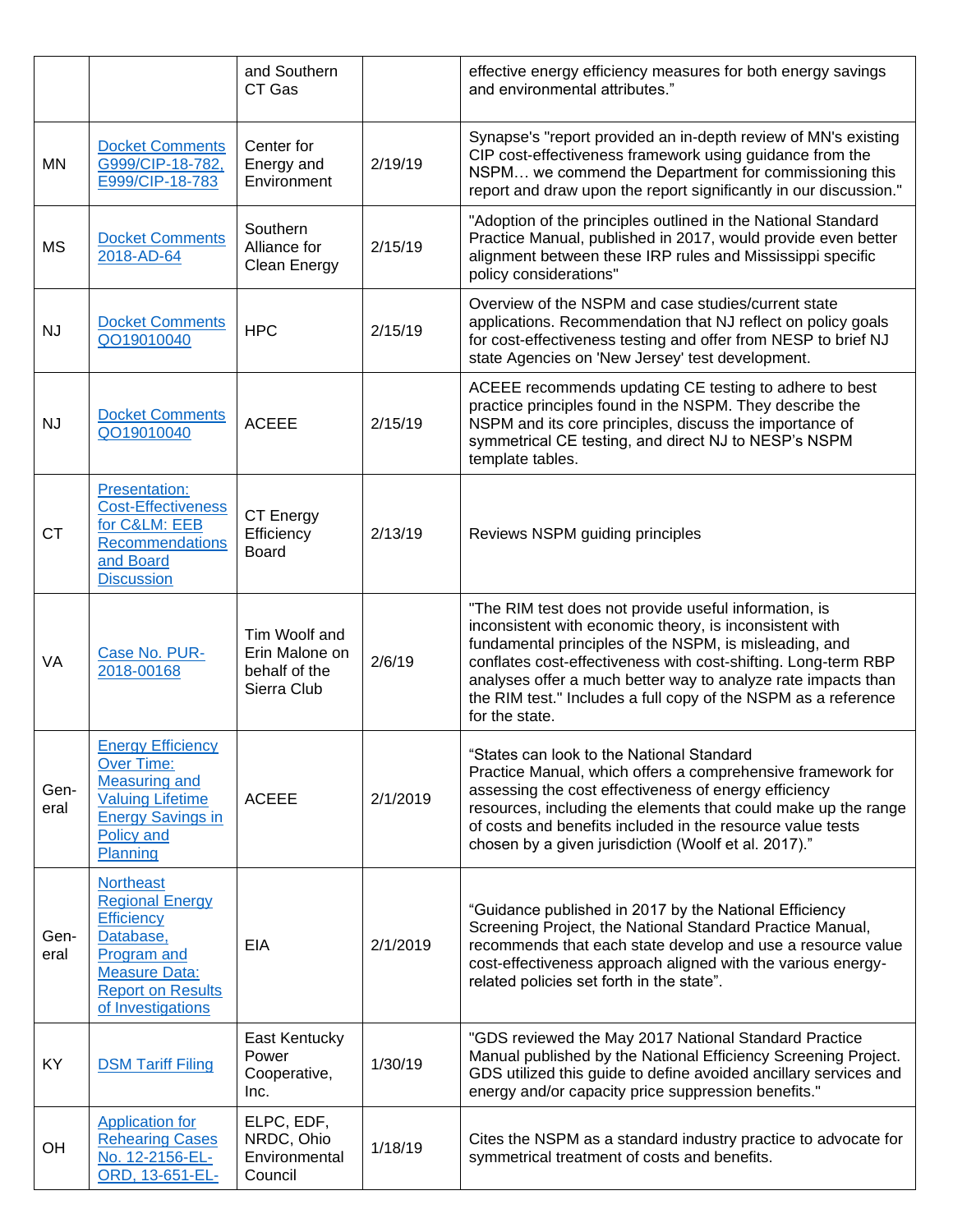|              |                                                                                                                                                                             | and Southern<br>CT Gas                                          |          | effective energy efficiency measures for both energy savings<br>and environmental attributes."                                                                                                                                                                                                                                                                                                    |
|--------------|-----------------------------------------------------------------------------------------------------------------------------------------------------------------------------|-----------------------------------------------------------------|----------|---------------------------------------------------------------------------------------------------------------------------------------------------------------------------------------------------------------------------------------------------------------------------------------------------------------------------------------------------------------------------------------------------|
| MN           | <b>Docket Comments</b><br>G999/CIP-18-782,<br>E999/CIP-18-783                                                                                                               | Center for<br>Energy and<br>Environment                         | 2/19/19  | Synapse's "report provided an in-depth review of MN's existing<br>CIP cost-effectiveness framework using guidance from the<br>NSPM we commend the Department for commissioning this<br>report and draw upon the report significantly in our discussion."                                                                                                                                          |
| <b>MS</b>    | <b>Docket Comments</b><br>2018-AD-64                                                                                                                                        | Southern<br>Alliance for<br>Clean Energy                        | 2/15/19  | "Adoption of the principles outlined in the National Standard<br>Practice Manual, published in 2017, would provide even better<br>alignment between these IRP rules and Mississippi specific<br>policy considerations"                                                                                                                                                                            |
| NJ           | <b>Docket Comments</b><br>QO19010040                                                                                                                                        | <b>HPC</b>                                                      | 2/15/19  | Overview of the NSPM and case studies/current state<br>applications. Recommendation that NJ reflect on policy goals<br>for cost-effectiveness testing and offer from NESP to brief NJ<br>state Agencies on 'New Jersey' test development.                                                                                                                                                         |
| <b>NJ</b>    | <b>Docket Comments</b><br>QO19010040                                                                                                                                        | <b>ACEEE</b>                                                    | 2/15/19  | ACEEE recommends updating CE testing to adhere to best<br>practice principles found in the NSPM. They describe the<br>NSPM and its core principles, discuss the importance of<br>symmetrical CE testing, and direct NJ to NESP's NSPM<br>template tables.                                                                                                                                         |
| <b>CT</b>    | Presentation:<br><b>Cost-Effectiveness</b><br>for C&LM: EEB<br><b>Recommendations</b><br>and Board<br><b>Discussion</b>                                                     | CT Energy<br>Efficiency<br><b>Board</b>                         | 2/13/19  | Reviews NSPM guiding principles                                                                                                                                                                                                                                                                                                                                                                   |
| VA           | Case No. PUR-<br>2018-00168                                                                                                                                                 | Tim Woolf and<br>Erin Malone on<br>behalf of the<br>Sierra Club | 2/6/19   | "The RIM test does not provide useful information, is<br>inconsistent with economic theory, is inconsistent with<br>fundamental principles of the NSPM, is misleading, and<br>conflates cost-effectiveness with cost-shifting. Long-term RBP<br>analyses offer a much better way to analyze rate impacts than<br>the RIM test." Includes a full copy of the NSPM as a reference<br>for the state. |
| Gen-<br>eral | <b>Energy Efficiency</b><br><b>Over Time:</b><br><b>Measuring and</b><br><b>Valuing Lifetime</b><br><b>Energy Savings in</b><br>Policy and<br>Planning                      | <b>ACEEE</b>                                                    | 2/1/2019 | "States can look to the National Standard<br>Practice Manual, which offers a comprehensive framework for<br>assessing the cost effectiveness of energy efficiency<br>resources, including the elements that could make up the range<br>of costs and benefits included in the resource value tests<br>chosen by a given jurisdiction (Woolf et al. 2017)."                                         |
| Gen-<br>eral | <b>Northeast</b><br><b>Regional Energy</b><br><b>Efficiency</b><br>Database,<br><b>Program and</b><br><b>Measure Data:</b><br><b>Report on Results</b><br>of Investigations | EIA                                                             | 2/1/2019 | "Guidance published in 2017 by the National Efficiency<br>Screening Project, the National Standard Practice Manual,<br>recommends that each state develop and use a resource value<br>cost-effectiveness approach aligned with the various energy-<br>related policies set forth in the state".                                                                                                   |
| KY           | <b>DSM Tariff Filing</b>                                                                                                                                                    | East Kentucky<br>Power<br>Cooperative,<br>Inc.                  | 1/30/19  | "GDS reviewed the May 2017 National Standard Practice<br>Manual published by the National Efficiency Screening Project.<br>GDS utilized this guide to define avoided ancillary services and<br>energy and/or capacity price suppression benefits."                                                                                                                                                |
| OH           | <b>Application for</b><br><b>Rehearing Cases</b><br>No. 12-2156-EL-<br>ORD, 13-651-EL-                                                                                      | ELPC, EDF,<br>NRDC, Ohio<br>Environmental<br>Council            | 1/18/19  | Cites the NSPM as a standard industry practice to advocate for<br>symmetrical treatment of costs and benefits.                                                                                                                                                                                                                                                                                    |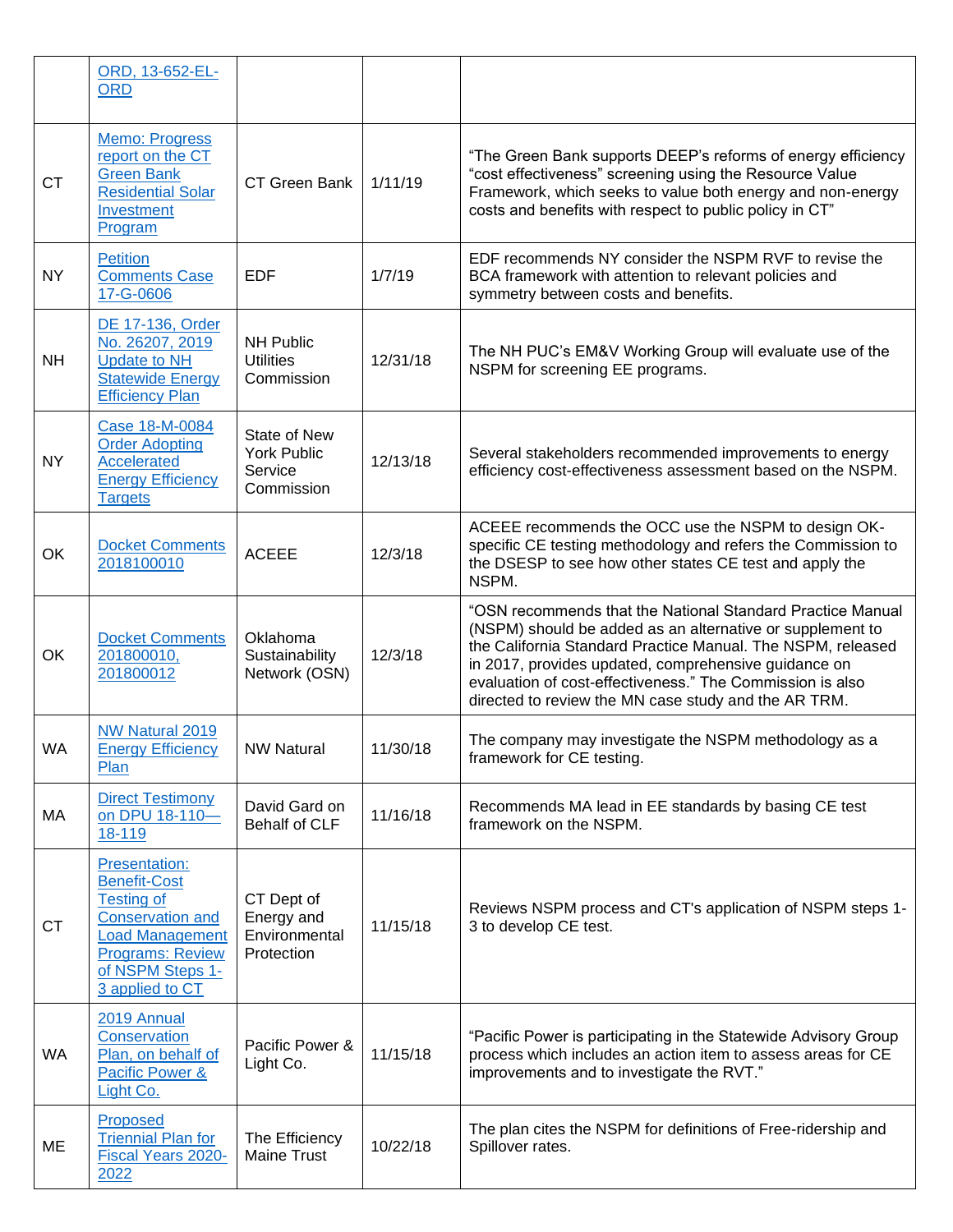|           | ORD, 13-652-EL-<br><b>ORD</b>                                                                                                                                                           |                                                             |          |                                                                                                                                                                                                                                                                                                                                                                     |
|-----------|-----------------------------------------------------------------------------------------------------------------------------------------------------------------------------------------|-------------------------------------------------------------|----------|---------------------------------------------------------------------------------------------------------------------------------------------------------------------------------------------------------------------------------------------------------------------------------------------------------------------------------------------------------------------|
| <b>CT</b> | Memo: Progress<br>report on the CT<br><b>Green Bank</b><br><b>Residential Solar</b><br>Investment<br>Program                                                                            | CT Green Bank                                               | 1/11/19  | "The Green Bank supports DEEP's reforms of energy efficiency<br>"cost effectiveness" screening using the Resource Value<br>Framework, which seeks to value both energy and non-energy<br>costs and benefits with respect to public policy in CT"                                                                                                                    |
| <b>NY</b> | <b>Petition</b><br><b>Comments Case</b><br>17-G-0606                                                                                                                                    | <b>EDF</b>                                                  | 1/7/19   | EDF recommends NY consider the NSPM RVF to revise the<br>BCA framework with attention to relevant policies and<br>symmetry between costs and benefits.                                                                                                                                                                                                              |
| <b>NH</b> | DE 17-136, Order<br>No. 26207, 2019<br><b>Update to NH</b><br><b>Statewide Energy</b><br><b>Efficiency Plan</b>                                                                         | <b>NH Public</b><br><b>Utilities</b><br>Commission          | 12/31/18 | The NH PUC's EM&V Working Group will evaluate use of the<br>NSPM for screening EE programs.                                                                                                                                                                                                                                                                         |
| <b>NY</b> | Case 18-M-0084<br><b>Order Adopting</b><br><b>Accelerated</b><br><b>Energy Efficiency</b><br><b>Targets</b>                                                                             | State of New<br><b>York Public</b><br>Service<br>Commission | 12/13/18 | Several stakeholders recommended improvements to energy<br>efficiency cost-effectiveness assessment based on the NSPM.                                                                                                                                                                                                                                              |
| OK        | <b>Docket Comments</b><br>2018100010                                                                                                                                                    | <b>ACEEE</b>                                                | 12/3/18  | ACEEE recommends the OCC use the NSPM to design OK-<br>specific CE testing methodology and refers the Commission to<br>the DSESP to see how other states CE test and apply the<br>NSPM.                                                                                                                                                                             |
| OK        | <b>Docket Comments</b><br>201800010,<br>201800012                                                                                                                                       | Oklahoma<br>Sustainability<br>Network (OSN)                 | 12/3/18  | "OSN recommends that the National Standard Practice Manual<br>(NSPM) should be added as an alternative or supplement to<br>the California Standard Practice Manual. The NSPM, released<br>in 2017, provides updated, comprehensive guidance on<br>evaluation of cost-effectiveness." The Commission is also<br>directed to review the MN case study and the AR TRM. |
| WA        | <b>NW Natural 2019</b><br><b>Energy Efficiency</b><br>Plan                                                                                                                              | <b>NW Natural</b>                                           | 11/30/18 | The company may investigate the NSPM methodology as a<br>framework for CE testing.                                                                                                                                                                                                                                                                                  |
| MA        | <b>Direct Testimony</b><br>on DPU 18-110-<br>18-119                                                                                                                                     | David Gard on<br>Behalf of CLF                              | 11/16/18 | Recommends MA lead in EE standards by basing CE test<br>framework on the NSPM.                                                                                                                                                                                                                                                                                      |
| <b>CT</b> | <b>Presentation:</b><br><b>Benefit-Cost</b><br><b>Testing of</b><br><b>Conservation and</b><br><b>Load Management</b><br><b>Programs: Review</b><br>of NSPM Steps 1-<br>3 applied to CT | CT Dept of<br>Energy and<br>Environmental<br>Protection     | 11/15/18 | Reviews NSPM process and CT's application of NSPM steps 1-<br>3 to develop CE test.                                                                                                                                                                                                                                                                                 |
| <b>WA</b> | 2019 Annual<br>Conservation<br>Plan, on behalf of<br>Pacific Power &<br>Light Co.                                                                                                       | Pacific Power &<br>Light Co.                                | 11/15/18 | "Pacific Power is participating in the Statewide Advisory Group<br>process which includes an action item to assess areas for CE<br>improvements and to investigate the RVT."                                                                                                                                                                                        |
| ME        | Proposed<br><b>Triennial Plan for</b><br>Fiscal Years 2020-<br>2022                                                                                                                     | The Efficiency<br><b>Maine Trust</b>                        | 10/22/18 | The plan cites the NSPM for definitions of Free-ridership and<br>Spillover rates.                                                                                                                                                                                                                                                                                   |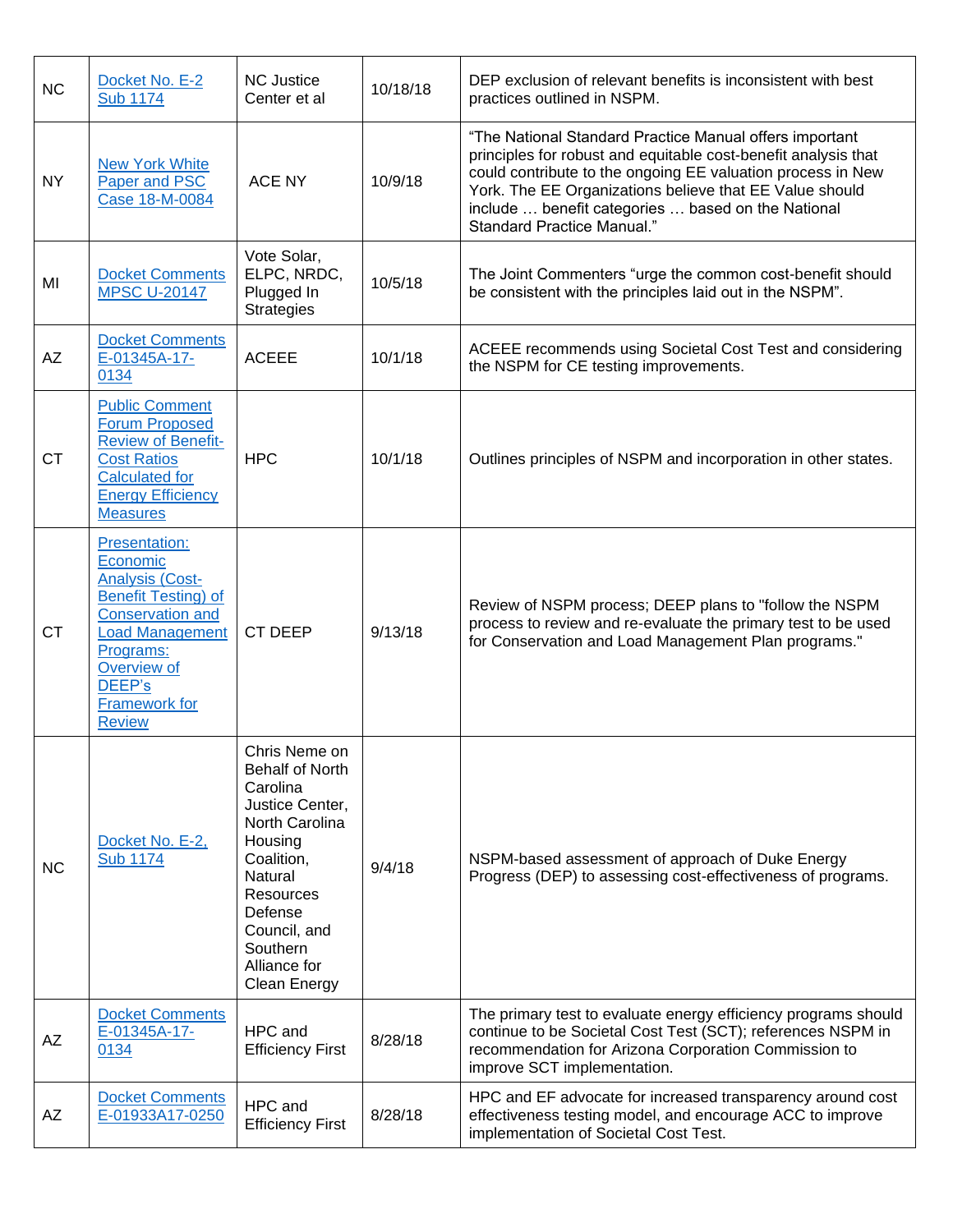| <b>NC</b> | Docket No. E-2<br><b>Sub 1174</b>                                                                                                                                                                                            | <b>NC Justice</b><br>Center et al                                                                                                                                                                                | 10/18/18 | DEP exclusion of relevant benefits is inconsistent with best<br>practices outlined in NSPM.                                                                                                                                                                                                                                                    |
|-----------|------------------------------------------------------------------------------------------------------------------------------------------------------------------------------------------------------------------------------|------------------------------------------------------------------------------------------------------------------------------------------------------------------------------------------------------------------|----------|------------------------------------------------------------------------------------------------------------------------------------------------------------------------------------------------------------------------------------------------------------------------------------------------------------------------------------------------|
| <b>NY</b> | <b>New York White</b><br>Paper and PSC<br>Case 18-M-0084                                                                                                                                                                     | <b>ACE NY</b>                                                                                                                                                                                                    | 10/9/18  | "The National Standard Practice Manual offers important<br>principles for robust and equitable cost-benefit analysis that<br>could contribute to the ongoing EE valuation process in New<br>York. The EE Organizations believe that EE Value should<br>include  benefit categories  based on the National<br><b>Standard Practice Manual."</b> |
| MI        | <b>Docket Comments</b><br><b>MPSC U-20147</b>                                                                                                                                                                                | Vote Solar,<br>ELPC, NRDC,<br>Plugged In<br><b>Strategies</b>                                                                                                                                                    | 10/5/18  | The Joint Commenters "urge the common cost-benefit should<br>be consistent with the principles laid out in the NSPM".                                                                                                                                                                                                                          |
| AZ        | <b>Docket Comments</b><br>E-01345A-17-<br>0134                                                                                                                                                                               | <b>ACEEE</b>                                                                                                                                                                                                     | 10/1/18  | ACEEE recommends using Societal Cost Test and considering<br>the NSPM for CE testing improvements.                                                                                                                                                                                                                                             |
| <b>CT</b> | <b>Public Comment</b><br><b>Forum Proposed</b><br><b>Review of Benefit-</b><br><b>Cost Ratios</b><br><b>Calculated for</b><br><b>Energy Efficiency</b><br><b>Measures</b>                                                    | <b>HPC</b>                                                                                                                                                                                                       | 10/1/18  | Outlines principles of NSPM and incorporation in other states.                                                                                                                                                                                                                                                                                 |
| <b>CT</b> | <b>Presentation:</b><br>Economic<br><b>Analysis (Cost-</b><br><b>Benefit Testing) of</b><br><b>Conservation and</b><br><b>Load Management</b><br>Programs:<br>Overview of<br>DEEP's<br><b>Framework for</b><br><b>Review</b> | <b>CT DEEP</b>                                                                                                                                                                                                   | 9/13/18  | Review of NSPM process; DEEP plans to "follow the NSPM<br>process to review and re-evaluate the primary test to be used<br>for Conservation and Load Management Plan programs."                                                                                                                                                                |
| <b>NC</b> | Docket No. E-2,<br><b>Sub 1174</b>                                                                                                                                                                                           | Chris Neme on<br>Behalf of North<br>Carolina<br>Justice Center,<br>North Carolina<br>Housing<br>Coalition,<br>Natural<br><b>Resources</b><br>Defense<br>Council, and<br>Southern<br>Alliance for<br>Clean Energy | 9/4/18   | NSPM-based assessment of approach of Duke Energy<br>Progress (DEP) to assessing cost-effectiveness of programs.                                                                                                                                                                                                                                |
| AZ        | <b>Docket Comments</b><br>E-01345A-17-<br>0134                                                                                                                                                                               | HPC and<br><b>Efficiency First</b>                                                                                                                                                                               | 8/28/18  | The primary test to evaluate energy efficiency programs should<br>continue to be Societal Cost Test (SCT); references NSPM in<br>recommendation for Arizona Corporation Commission to<br>improve SCT implementation.                                                                                                                           |
| AZ        | <b>Docket Comments</b><br>E-01933A17-0250                                                                                                                                                                                    | HPC and<br><b>Efficiency First</b>                                                                                                                                                                               | 8/28/18  | HPC and EF advocate for increased transparency around cost<br>effectiveness testing model, and encourage ACC to improve<br>implementation of Societal Cost Test.                                                                                                                                                                               |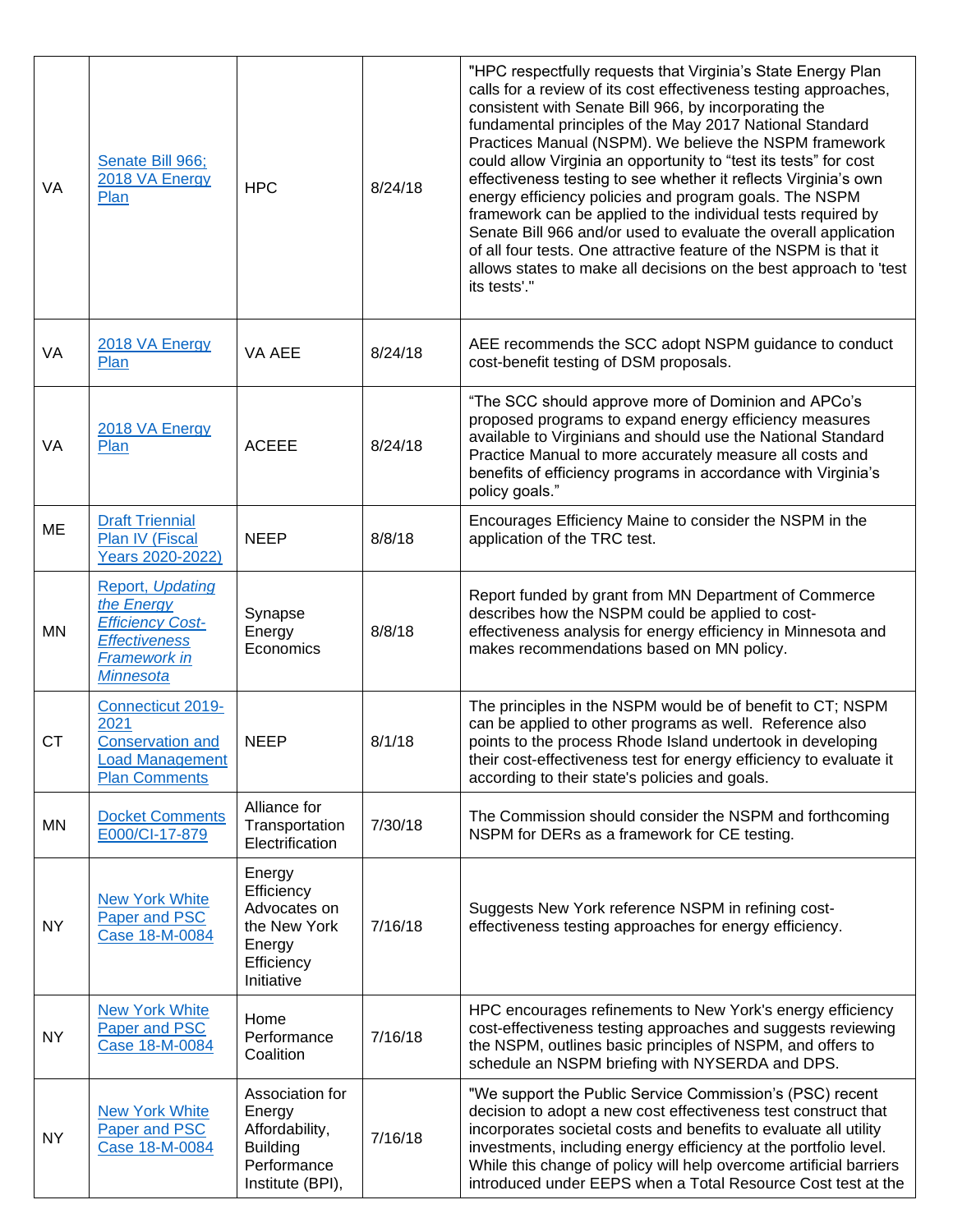| VA        | Senate Bill 966;<br>2018 VA Energy<br>Plan                                                                                   | <b>HPC</b>                                                                                        | 8/24/18 | "HPC respectfully requests that Virginia's State Energy Plan<br>calls for a review of its cost effectiveness testing approaches,<br>consistent with Senate Bill 966, by incorporating the<br>fundamental principles of the May 2017 National Standard<br>Practices Manual (NSPM). We believe the NSPM framework<br>could allow Virginia an opportunity to "test its tests" for cost<br>effectiveness testing to see whether it reflects Virginia's own<br>energy efficiency policies and program goals. The NSPM<br>framework can be applied to the individual tests required by<br>Senate Bill 966 and/or used to evaluate the overall application<br>of all four tests. One attractive feature of the NSPM is that it<br>allows states to make all decisions on the best approach to 'test<br>its tests'." |
|-----------|------------------------------------------------------------------------------------------------------------------------------|---------------------------------------------------------------------------------------------------|---------|--------------------------------------------------------------------------------------------------------------------------------------------------------------------------------------------------------------------------------------------------------------------------------------------------------------------------------------------------------------------------------------------------------------------------------------------------------------------------------------------------------------------------------------------------------------------------------------------------------------------------------------------------------------------------------------------------------------------------------------------------------------------------------------------------------------|
| VA        | 2018 VA Energy<br>Plan                                                                                                       | VA AEE                                                                                            | 8/24/18 | AEE recommends the SCC adopt NSPM guidance to conduct<br>cost-benefit testing of DSM proposals.                                                                                                                                                                                                                                                                                                                                                                                                                                                                                                                                                                                                                                                                                                              |
| VA        | 2018 VA Energy<br>Plan                                                                                                       | <b>ACEEE</b>                                                                                      | 8/24/18 | "The SCC should approve more of Dominion and APCo's<br>proposed programs to expand energy efficiency measures<br>available to Virginians and should use the National Standard<br>Practice Manual to more accurately measure all costs and<br>benefits of efficiency programs in accordance with Virginia's<br>policy goals."                                                                                                                                                                                                                                                                                                                                                                                                                                                                                 |
| ME        | <b>Draft Triennial</b><br>Plan IV (Fiscal<br><b>Years 2020-2022)</b>                                                         | <b>NEEP</b>                                                                                       | 8/8/18  | Encourages Efficiency Maine to consider the NSPM in the<br>application of the TRC test.                                                                                                                                                                                                                                                                                                                                                                                                                                                                                                                                                                                                                                                                                                                      |
| <b>MN</b> | Report, Updating<br>the Energy<br><b>Efficiency Cost-</b><br><b>Effectiveness</b><br><b>Framework in</b><br><b>Minnesota</b> | Synapse<br>Energy<br>Economics                                                                    | 8/8/18  | Report funded by grant from MN Department of Commerce<br>describes how the NSPM could be applied to cost-<br>effectiveness analysis for energy efficiency in Minnesota and<br>makes recommendations based on MN policy.                                                                                                                                                                                                                                                                                                                                                                                                                                                                                                                                                                                      |
| <b>CT</b> | Connecticut 2019-<br>2021<br><b>Conservation and</b><br><b>Load Management</b><br><b>Plan Comments</b>                       | <b>NEEP</b>                                                                                       | 8/1/18  | The principles in the NSPM would be of benefit to CT; NSPM<br>can be applied to other programs as well. Reference also<br>points to the process Rhode Island undertook in developing<br>their cost-effectiveness test for energy efficiency to evaluate it<br>according to their state's policies and goals.                                                                                                                                                                                                                                                                                                                                                                                                                                                                                                 |
| ΜN        | <b>Docket Comments</b><br>E000/Cl-17-879                                                                                     | Alliance for<br>Transportation<br>Electrification                                                 | 7/30/18 | The Commission should consider the NSPM and forthcoming<br>NSPM for DERs as a framework for CE testing.                                                                                                                                                                                                                                                                                                                                                                                                                                                                                                                                                                                                                                                                                                      |
| <b>NY</b> | <b>New York White</b><br>Paper and PSC<br>Case 18-M-0084                                                                     | Energy<br>Efficiency<br>Advocates on<br>the New York<br>Energy<br>Efficiency<br>Initiative        | 7/16/18 | Suggests New York reference NSPM in refining cost-<br>effectiveness testing approaches for energy efficiency.                                                                                                                                                                                                                                                                                                                                                                                                                                                                                                                                                                                                                                                                                                |
| <b>NY</b> | <b>New York White</b><br>Paper and PSC<br>Case 18-M-0084                                                                     | Home<br>Performance<br>Coalition                                                                  | 7/16/18 | HPC encourages refinements to New York's energy efficiency<br>cost-effectiveness testing approaches and suggests reviewing<br>the NSPM, outlines basic principles of NSPM, and offers to<br>schedule an NSPM briefing with NYSERDA and DPS.                                                                                                                                                                                                                                                                                                                                                                                                                                                                                                                                                                  |
| <b>NY</b> | <b>New York White</b><br>Paper and PSC<br>Case 18-M-0084                                                                     | Association for<br>Energy<br>Affordability,<br><b>Building</b><br>Performance<br>Institute (BPI), | 7/16/18 | "We support the Public Service Commission's (PSC) recent<br>decision to adopt a new cost effectiveness test construct that<br>incorporates societal costs and benefits to evaluate all utility<br>investments, including energy efficiency at the portfolio level.<br>While this change of policy will help overcome artificial barriers<br>introduced under EEPS when a Total Resource Cost test at the                                                                                                                                                                                                                                                                                                                                                                                                     |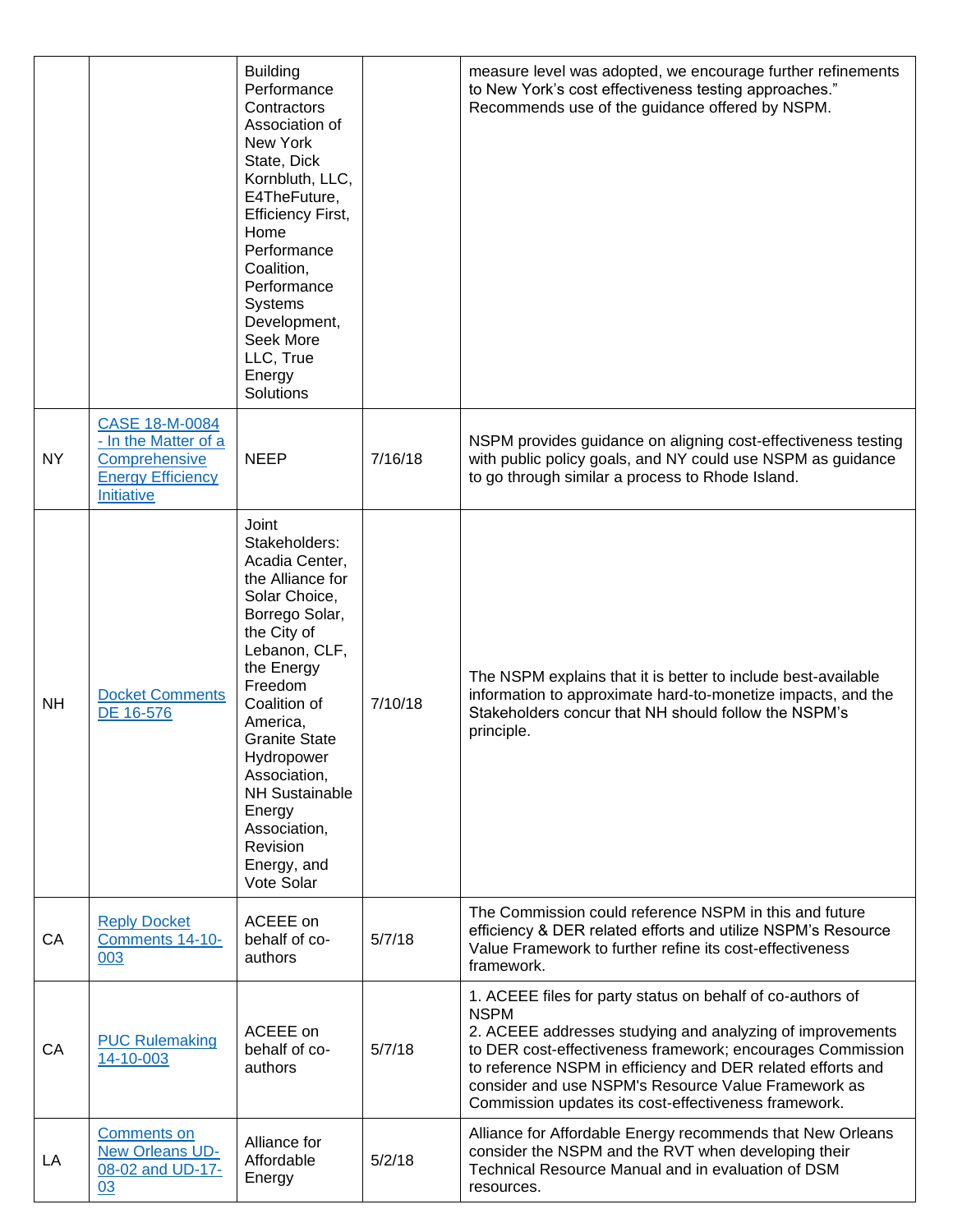|           |                                                                                                          | <b>Building</b><br>Performance<br>Contractors<br>Association of<br>New York<br>State, Dick<br>Kornbluth, LLC,<br>E4TheFuture,<br><b>Efficiency First,</b><br>Home<br>Performance<br>Coalition,<br>Performance<br><b>Systems</b><br>Development,<br>Seek More<br>LLC, True<br>Energy<br>Solutions                                       |         | measure level was adopted, we encourage further refinements<br>to New York's cost effectiveness testing approaches."<br>Recommends use of the guidance offered by NSPM.                                                                                                                                                                                                            |
|-----------|----------------------------------------------------------------------------------------------------------|----------------------------------------------------------------------------------------------------------------------------------------------------------------------------------------------------------------------------------------------------------------------------------------------------------------------------------------|---------|------------------------------------------------------------------------------------------------------------------------------------------------------------------------------------------------------------------------------------------------------------------------------------------------------------------------------------------------------------------------------------|
| <b>NY</b> | CASE 18-M-0084<br>- In the Matter of a<br>Comprehensive<br><b>Energy Efficiency</b><br><b>Initiative</b> | <b>NEEP</b>                                                                                                                                                                                                                                                                                                                            | 7/16/18 | NSPM provides guidance on aligning cost-effectiveness testing<br>with public policy goals, and NY could use NSPM as guidance<br>to go through similar a process to Rhode Island.                                                                                                                                                                                                   |
| <b>NH</b> | <b>Docket Comments</b><br>DE 16-576                                                                      | Joint<br>Stakeholders:<br>Acadia Center,<br>the Alliance for<br>Solar Choice,<br>Borrego Solar,<br>the City of<br>Lebanon, CLF,<br>the Energy<br>Freedom<br>Coalition of<br>America,<br><b>Granite State</b><br>Hydropower<br>Association,<br><b>NH Sustainable</b><br>Energy<br>Association,<br>Revision<br>Energy, and<br>Vote Solar | 7/10/18 | The NSPM explains that it is better to include best-available<br>information to approximate hard-to-monetize impacts, and the<br>Stakeholders concur that NH should follow the NSPM's<br>principle.                                                                                                                                                                                |
| CA        | <b>Reply Docket</b><br>Comments 14-10-<br>003                                                            | ACEEE on<br>behalf of co-<br>authors                                                                                                                                                                                                                                                                                                   | 5/7/18  | The Commission could reference NSPM in this and future<br>efficiency & DER related efforts and utilize NSPM's Resource<br>Value Framework to further refine its cost-effectiveness<br>framework.                                                                                                                                                                                   |
| CA        | <b>PUC Rulemaking</b><br>14-10-003                                                                       | ACEEE on<br>behalf of co-<br>authors                                                                                                                                                                                                                                                                                                   | 5/7/18  | 1. ACEEE files for party status on behalf of co-authors of<br><b>NSPM</b><br>2. ACEEE addresses studying and analyzing of improvements<br>to DER cost-effectiveness framework; encourages Commission<br>to reference NSPM in efficiency and DER related efforts and<br>consider and use NSPM's Resource Value Framework as<br>Commission updates its cost-effectiveness framework. |
| LA        | <b>Comments on</b><br>New Orleans UD-<br>08-02 and UD-17-<br>03                                          | Alliance for<br>Affordable<br>Energy                                                                                                                                                                                                                                                                                                   | 5/2/18  | Alliance for Affordable Energy recommends that New Orleans<br>consider the NSPM and the RVT when developing their<br>Technical Resource Manual and in evaluation of DSM<br>resources.                                                                                                                                                                                              |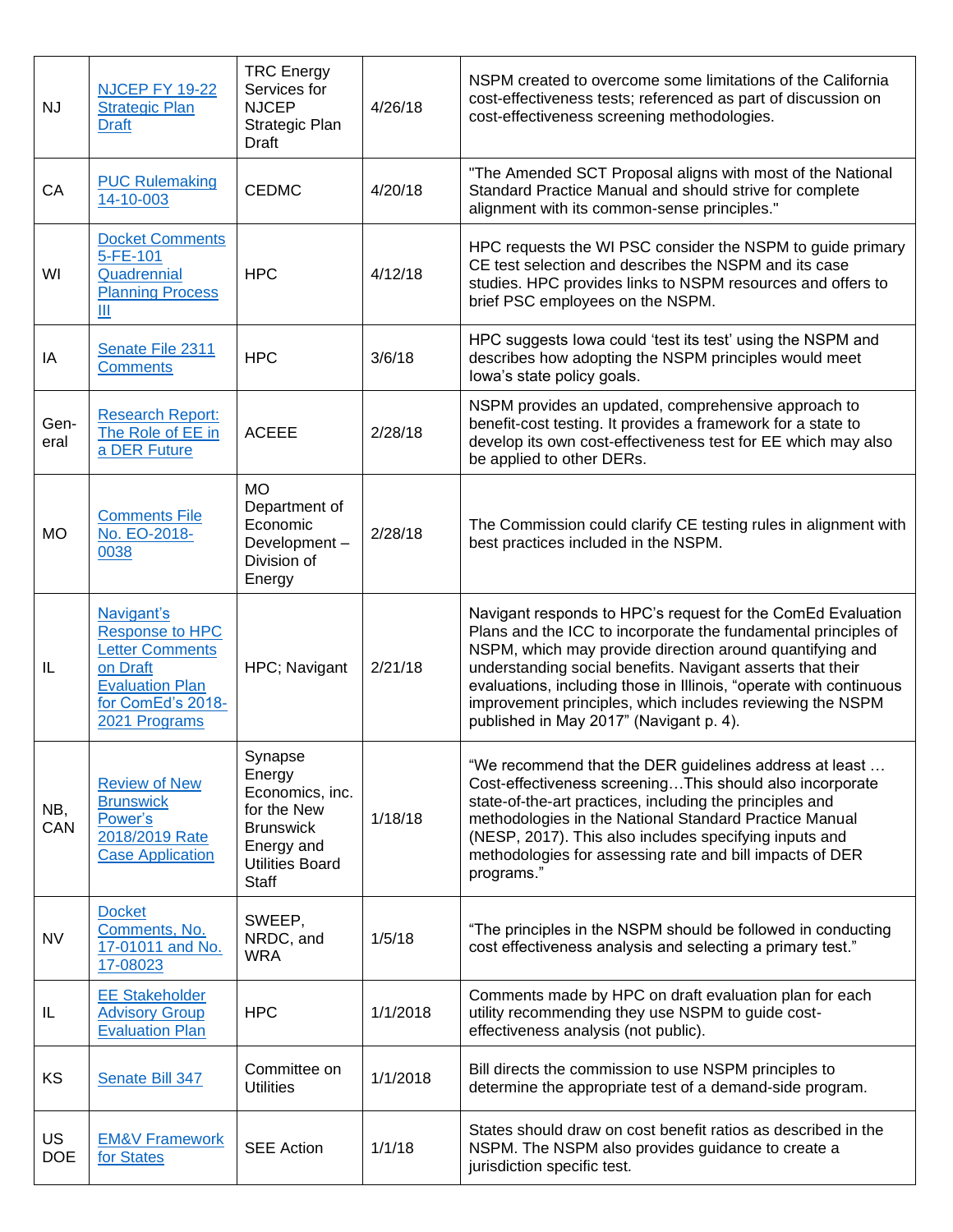| <b>NJ</b>               | <b>NJCEP FY 19-22</b><br><b>Strategic Plan</b><br><b>Draft</b>                                                                             | <b>TRC</b> Energy<br>Services for<br><b>NJCEP</b><br>Strategic Plan<br>Draft                                             | 4/26/18  | NSPM created to overcome some limitations of the California<br>cost-effectiveness tests; referenced as part of discussion on<br>cost-effectiveness screening methodologies.                                                                                                                                                                                                                                                           |
|-------------------------|--------------------------------------------------------------------------------------------------------------------------------------------|--------------------------------------------------------------------------------------------------------------------------|----------|---------------------------------------------------------------------------------------------------------------------------------------------------------------------------------------------------------------------------------------------------------------------------------------------------------------------------------------------------------------------------------------------------------------------------------------|
| CA                      | <b>PUC Rulemaking</b><br>14-10-003                                                                                                         | <b>CEDMC</b>                                                                                                             | 4/20/18  | "The Amended SCT Proposal aligns with most of the National<br>Standard Practice Manual and should strive for complete<br>alignment with its common-sense principles."                                                                                                                                                                                                                                                                 |
| WI                      | <b>Docket Comments</b><br>5-FE-101<br>Quadrennial<br><b>Planning Process</b><br>Ш                                                          | <b>HPC</b>                                                                                                               | 4/12/18  | HPC requests the WI PSC consider the NSPM to guide primary<br>CE test selection and describes the NSPM and its case<br>studies. HPC provides links to NSPM resources and offers to<br>brief PSC employees on the NSPM.                                                                                                                                                                                                                |
| IA                      | Senate File 2311<br><b>Comments</b>                                                                                                        | <b>HPC</b>                                                                                                               | 3/6/18   | HPC suggests lowa could 'test its test' using the NSPM and<br>describes how adopting the NSPM principles would meet<br>lowa's state policy goals.                                                                                                                                                                                                                                                                                     |
| Gen-<br>eral            | <b>Research Report:</b><br>The Role of EE in<br>a DER Future                                                                               | <b>ACEEE</b>                                                                                                             | 2/28/18  | NSPM provides an updated, comprehensive approach to<br>benefit-cost testing. It provides a framework for a state to<br>develop its own cost-effectiveness test for EE which may also<br>be applied to other DERs.                                                                                                                                                                                                                     |
| <b>MO</b>               | <b>Comments File</b><br>No. EO-2018-<br>0038                                                                                               | <b>MO</b><br>Department of<br>Economic<br>Development-<br>Division of<br>Energy                                          | 2/28/18  | The Commission could clarify CE testing rules in alignment with<br>best practices included in the NSPM.                                                                                                                                                                                                                                                                                                                               |
| IL                      | Navigant's<br><b>Response to HPC</b><br><b>Letter Comments</b><br>on Draft<br><b>Evaluation Plan</b><br>for ComEd's 2018-<br>2021 Programs | HPC; Navigant                                                                                                            | 2/21/18  | Navigant responds to HPC's request for the ComEd Evaluation<br>Plans and the ICC to incorporate the fundamental principles of<br>NSPM, which may provide direction around quantifying and<br>understanding social benefits. Navigant asserts that their<br>evaluations, including those in Illinois, "operate with continuous<br>improvement principles, which includes reviewing the NSPM<br>published in May 2017" (Navigant p. 4). |
| NB,<br>CAN              | <b>Review of New</b><br><b>Brunswick</b><br>Power's<br>2018/2019 Rate<br><b>Case Application</b>                                           | Synapse<br>Energy<br>Economics, inc.<br>for the New<br><b>Brunswick</b><br>Energy and<br><b>Utilities Board</b><br>Staff | 1/18/18  | "We recommend that the DER guidelines address at least<br>Cost-effectiveness screeningThis should also incorporate<br>state-of-the-art practices, including the principles and<br>methodologies in the National Standard Practice Manual<br>(NESP, 2017). This also includes specifying inputs and<br>methodologies for assessing rate and bill impacts of DER<br>programs."                                                          |
| <b>NV</b>               | <b>Docket</b><br>Comments, No.<br>17-01011 and No.<br>17-08023                                                                             | SWEEP,<br>NRDC, and<br><b>WRA</b>                                                                                        | 1/5/18   | "The principles in the NSPM should be followed in conducting<br>cost effectiveness analysis and selecting a primary test."                                                                                                                                                                                                                                                                                                            |
| IL                      | <b>EE Stakeholder</b><br><b>Advisory Group</b><br><b>Evaluation Plan</b>                                                                   | <b>HPC</b>                                                                                                               | 1/1/2018 | Comments made by HPC on draft evaluation plan for each<br>utility recommending they use NSPM to guide cost-<br>effectiveness analysis (not public).                                                                                                                                                                                                                                                                                   |
| KS                      | Senate Bill 347                                                                                                                            | Committee on<br><b>Utilities</b>                                                                                         | 1/1/2018 | Bill directs the commission to use NSPM principles to<br>determine the appropriate test of a demand-side program.                                                                                                                                                                                                                                                                                                                     |
| <b>US</b><br><b>DOE</b> | <b>EM&amp;V Framework</b><br>for States                                                                                                    | <b>SEE Action</b>                                                                                                        | 1/1/18   | States should draw on cost benefit ratios as described in the<br>NSPM. The NSPM also provides guidance to create a<br>jurisdiction specific test.                                                                                                                                                                                                                                                                                     |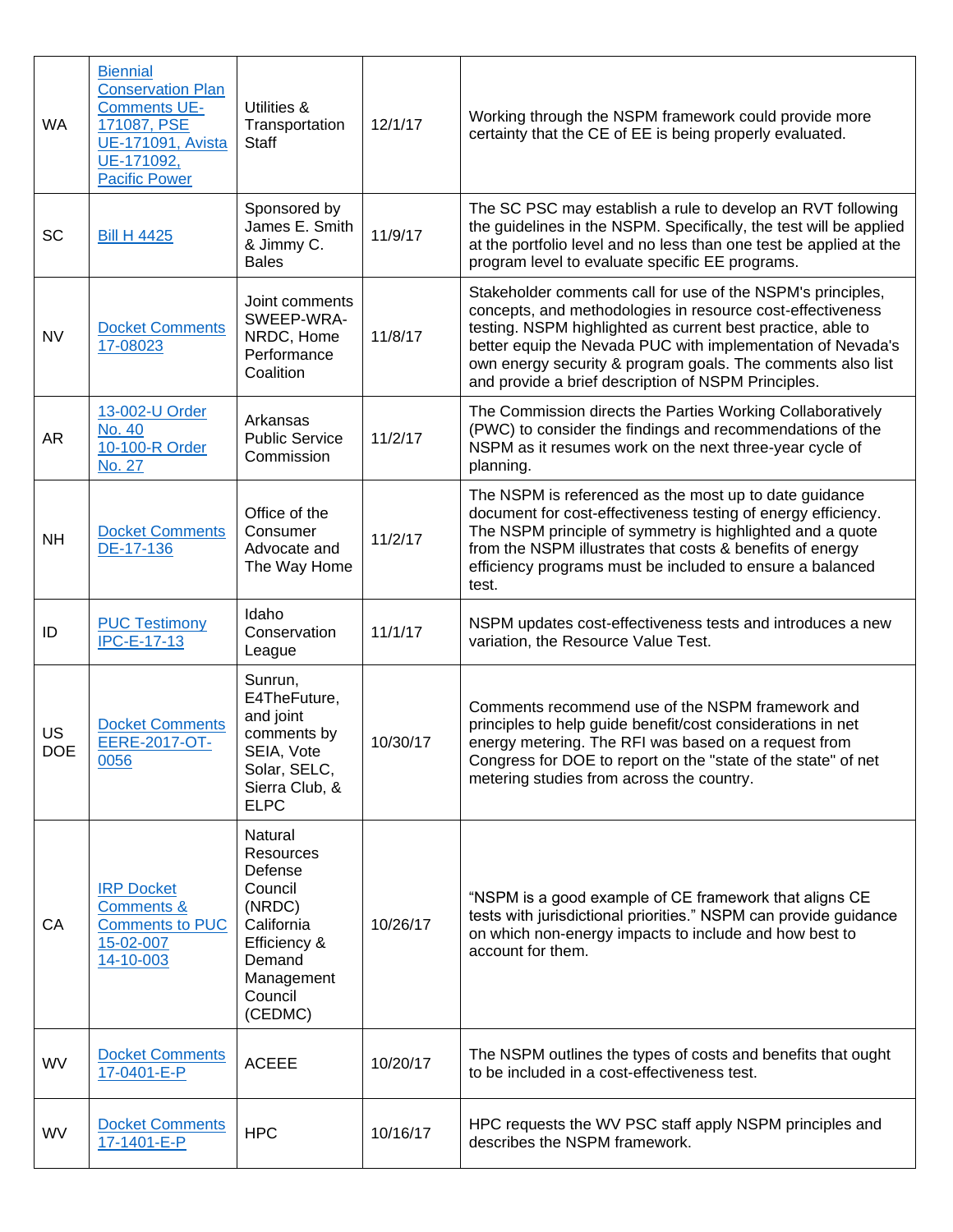| WA               | <b>Biennial</b><br><b>Conservation Plan</b><br><b>Comments UE-</b><br>171087, PSE<br><b>UE-171091, Avista</b><br>UE-171092,<br><b>Pacific Power</b> | Utilities &<br>Transportation<br><b>Staff</b>                                                                                           | 12/1/17  | Working through the NSPM framework could provide more<br>certainty that the CE of EE is being properly evaluated.                                                                                                                                                                                                                                                             |
|------------------|-----------------------------------------------------------------------------------------------------------------------------------------------------|-----------------------------------------------------------------------------------------------------------------------------------------|----------|-------------------------------------------------------------------------------------------------------------------------------------------------------------------------------------------------------------------------------------------------------------------------------------------------------------------------------------------------------------------------------|
| SC               | <b>Bill H 4425</b>                                                                                                                                  | Sponsored by<br>James E. Smith<br>& Jimmy C.<br><b>Bales</b>                                                                            | 11/9/17  | The SC PSC may establish a rule to develop an RVT following<br>the guidelines in the NSPM. Specifically, the test will be applied<br>at the portfolio level and no less than one test be applied at the<br>program level to evaluate specific EE programs.                                                                                                                    |
| <b>NV</b>        | <b>Docket Comments</b><br>17-08023                                                                                                                  | Joint comments<br>SWEEP-WRA-<br>NRDC, Home<br>Performance<br>Coalition                                                                  | 11/8/17  | Stakeholder comments call for use of the NSPM's principles,<br>concepts, and methodologies in resource cost-effectiveness<br>testing. NSPM highlighted as current best practice, able to<br>better equip the Nevada PUC with implementation of Nevada's<br>own energy security & program goals. The comments also list<br>and provide a brief description of NSPM Principles. |
| AR               | 13-002-U Order<br><b>No. 40</b><br>10-100-R Order<br>No. 27                                                                                         | Arkansas<br><b>Public Service</b><br>Commission                                                                                         | 11/2/17  | The Commission directs the Parties Working Collaboratively<br>(PWC) to consider the findings and recommendations of the<br>NSPM as it resumes work on the next three-year cycle of<br>planning.                                                                                                                                                                               |
| <b>NH</b>        | <b>Docket Comments</b><br>DE-17-136                                                                                                                 | Office of the<br>Consumer<br>Advocate and<br>The Way Home                                                                               | 11/2/17  | The NSPM is referenced as the most up to date guidance<br>document for cost-effectiveness testing of energy efficiency.<br>The NSPM principle of symmetry is highlighted and a quote<br>from the NSPM illustrates that costs & benefits of energy<br>efficiency programs must be included to ensure a balanced<br>test.                                                       |
| ID               | <b>PUC Testimony</b><br><b>IPC-E-17-13</b>                                                                                                          | Idaho<br>Conservation<br>League                                                                                                         | 11/1/17  | NSPM updates cost-effectiveness tests and introduces a new<br>variation, the Resource Value Test.                                                                                                                                                                                                                                                                             |
| US<br><b>DOE</b> | <b>Docket Comments</b><br>EERE-2017-OT-<br>0056                                                                                                     | Sunrun,<br>E4TheFuture,<br>and joint<br>comments by<br>SEIA, Vote<br>Solar, SELC,<br>Sierra Club, &<br><b>ELPC</b>                      | 10/30/17 | Comments recommend use of the NSPM framework and<br>principles to help guide benefit/cost considerations in net<br>energy metering. The RFI was based on a request from<br>Congress for DOE to report on the "state of the state" of net<br>metering studies from across the country.                                                                                         |
| CA               | <b>IRP Docket</b><br><b>Comments &amp;</b><br><b>Comments to PUC</b><br>15-02-007<br>14-10-003                                                      | Natural<br><b>Resources</b><br>Defense<br>Council<br>(NRDC)<br>California<br>Efficiency &<br>Demand<br>Management<br>Council<br>(CEDMC) | 10/26/17 | "NSPM is a good example of CE framework that aligns CE<br>tests with jurisdictional priorities." NSPM can provide guidance<br>on which non-energy impacts to include and how best to<br>account for them.                                                                                                                                                                     |
| <b>WV</b>        | <b>Docket Comments</b><br>17-0401-E-P                                                                                                               | <b>ACEEE</b>                                                                                                                            | 10/20/17 | The NSPM outlines the types of costs and benefits that ought<br>to be included in a cost-effectiveness test.                                                                                                                                                                                                                                                                  |
| <b>WV</b>        | <b>Docket Comments</b><br>17-1401-E-P                                                                                                               | <b>HPC</b>                                                                                                                              | 10/16/17 | HPC requests the WV PSC staff apply NSPM principles and<br>describes the NSPM framework.                                                                                                                                                                                                                                                                                      |